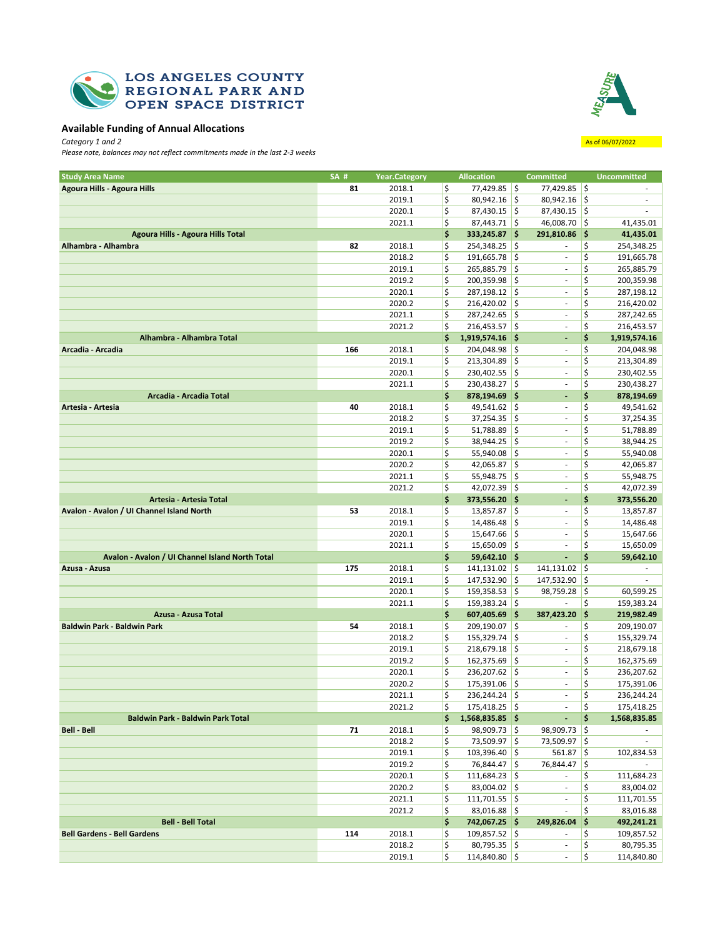



## **Available Funding of Annual Allocations**

**Category** 1 and 2 **As of 06/07/2022** *Please note, balances may not reflect commitments made in the last 2-3 weeks*

| <b>Study Area Name</b>                          | SA# | <b>Year.Category</b> |                 | <b>Allocation</b> |     | <b>Committed</b>         |      | <b>Uncommitted</b> |
|-------------------------------------------------|-----|----------------------|-----------------|-------------------|-----|--------------------------|------|--------------------|
| Agoura Hills - Agoura Hills                     | 81  | 2018.1               | \$              | $77,429.85$ \$    |     | 77,429.85 \$             |      |                    |
|                                                 |     | 2019.1               | \$              | $80,942.16$ \$    |     | 80,942.16                | \$   |                    |
|                                                 |     | 2020.1               | \$              | $87,430.15$ \$    |     | $87,430.15$ \$           |      |                    |
|                                                 |     | 2021.1               | \$              | $87,443.71$ \$    |     | $46,008.70$ \$           |      | 41,435.01          |
| Agoura Hills - Agoura Hills Total               |     |                      | \$              | 333,245.87 \$     |     | 291,810.86               | - 15 | 41,435.01          |
| Alhambra - Alhambra                             | 82  | 2018.1               | \$              | $254,348.25$ \$   |     | ÷.                       | \$   | 254,348.25         |
|                                                 |     | 2018.2               | \$              | 191,665.78        | \$  | $\sim$                   | \$   | 191,665.78         |
|                                                 |     | 2019.1               | \$              | 265,885.79 \$     |     | $\blacksquare$           | \$   | 265,885.79         |
|                                                 |     |                      |                 |                   |     | $\overline{\phantom{a}}$ |      |                    |
|                                                 |     | 2019.2               | \$              | $200,359.98$ \$   |     |                          | \$   | 200,359.98         |
|                                                 |     | 2020.1               | \$              | 287,198.12 \$     |     | $\bar{\phantom{a}}$      | \$   | 287,198.12         |
|                                                 |     | 2020.2               | \$              | $216,420.02$ \$   |     | $\sim$                   | \$   | 216,420.02         |
|                                                 |     | 2021.1               | \$              | $287,242.65$ \$   |     | $\sim$                   | \$   | 287,242.65         |
|                                                 |     | 2021.2               | \$              | $216,453.57$ \$   |     | $\overline{\phantom{a}}$ | \$   | 216,453.57         |
| Alhambra - Alhambra Total                       |     |                      | \$              | 1,919,574.16 \$   |     | ٠                        | \$   | 1,919,574.16       |
| Arcadia - Arcadia                               | 166 | 2018.1               | \$              | $204,048.98$ \$   |     | $\overline{\phantom{a}}$ | \$   | 204,048.98         |
|                                                 |     | 2019.1               | \$              | $213,304.89$ \$   |     | $\overline{\phantom{a}}$ | \$   | 213,304.89         |
|                                                 |     | 2020.1               | \$              | $230,402.55$ \$   |     | ٠                        | \$   | 230,402.55         |
|                                                 |     | 2021.1               | \$              | $230,438.27$ \$   |     | $\overline{\phantom{a}}$ | \$   | 230,438.27         |
| Arcadia - Arcadia Total                         |     |                      | \$              | $878,194.69$ \$   |     | ٠                        | \$   | 878,194.69         |
| Artesia - Artesia                               | 40  | 2018.1               | \$              | $49,541.62$ \$    |     | ٠                        | \$   | 49,541.62          |
|                                                 |     | 2018.2               | \$              | 37,254.35         | \$  | $\overline{\phantom{a}}$ | \$   | 37,254.35          |
|                                                 |     | 2019.1               | \$              | $51,788.89$ \$    |     | $\sim$                   | \$   | 51,788.89          |
|                                                 |     | 2019.2               | \$              | 38,944.25         | \$  | $\overline{\phantom{a}}$ | \$   | 38,944.25          |
|                                                 |     | 2020.1               | \$              | $55,940.08$ \$    |     | $\overline{\phantom{a}}$ | \$   | 55,940.08          |
|                                                 |     | 2020.2               | \$              | 42,065.87         | \$  | ٠                        | \$   | 42,065.87          |
|                                                 |     | 2021.1               | \$              | $55,948.75$ \$    |     | $\sim$                   | \$   | 55,948.75          |
|                                                 |     | 2021.2               | \$              | $42,072.39$ \$    |     | $\overline{\phantom{a}}$ | \$   | 42,072.39          |
| Artesia - Artesia Total                         |     |                      | \$              | 373,556.20 \$     |     | $\overline{\phantom{a}}$ | \$   | 373,556.20         |
| Avalon - Avalon / UI Channel Island North       | 53  | 2018.1               | \$              | 13,857.87         | \$  | $\blacksquare$           | \$   | 13,857.87          |
|                                                 |     | 2019.1               | \$              | $14,486.48$ \$    |     | $\sim$                   | \$   | 14,486.48          |
|                                                 |     | 2020.1               | \$              | 15,647.66         | l\$ | $\sim$                   | \$   | 15,647.66          |
|                                                 |     | 2021.1               | \$              | $15,650.09$ \$    |     | $\overline{\phantom{a}}$ | \$   | 15,650.09          |
|                                                 |     |                      |                 |                   |     |                          | \$   |                    |
| Avalon - Avalon / UI Channel Island North Total |     |                      | \$              | $59,642.10$ \$    |     | $\overline{\phantom{a}}$ |      | 59,642.10          |
| Azusa - Azusa                                   | 175 | 2018.1               | \$              | 141,131.02        | \$  | 141,131.02               | \$   |                    |
|                                                 |     | 2019.1               | \$              | 147,532.90 \$     |     | 147,532.90               | \$   |                    |
|                                                 |     | 2020.1               | \$              | $159,358.53$ \$   |     | 98,759.28                | \$   | 60,599.25          |
|                                                 |     | 2021.1               | \$              | $159,383.24$ \$   |     | $\frac{1}{2}$            | \$   | 159,383.24         |
| Azusa - Azusa Total                             |     |                      | \$              | $607,405.69$ \$   |     | 387,423.20               | \$   | 219,982.49         |
| Baldwin Park - Baldwin Park                     | 54  | 2018.1               | \$              | 209,190.07 \$     |     | ٠                        | \$   | 209,190.07         |
|                                                 |     | 2018.2               | \$              | $155,329.74$ \$   |     | $\overline{\phantom{a}}$ | \$   | 155,329.74         |
|                                                 |     | 2019.1               | \$              | $218,679.18$ \$   |     | ٠                        | \$   | 218,679.18         |
|                                                 |     | 2019.2               | \$              | $162,375.69$ \$   |     | $\sim$                   | \$   | 162,375.69         |
|                                                 |     | 2020.1               | \$              | 236,207.62        | \$  | $\blacksquare$           | \$   | 236,207.62         |
|                                                 |     | 2020.2               | \$              | 175,391.06        | \$  | $\overline{\phantom{a}}$ | \$   | 175,391.06         |
|                                                 |     | 2021.1               | \$              | $236,244.24$ \$   |     | ä,                       | \$   | 236,244.24         |
|                                                 |     | 2021.2               | <sup>&gt;</sup> | $175,418.25$ \$   |     | <b>Contractor</b>        | Ş    | 175,418.25         |
| <b>Baldwin Park - Baldwin Park Total</b>        |     |                      | \$.             | $1,568,835.85$ \$ |     | $\omega_{\rm{eff}}$      | \$   | 1,568,835.85       |
| Bell - Bell                                     | 71  | 2018.1               | \$              | 98,909.73 \$      |     | $98,909.73$ \$           |      |                    |
|                                                 |     | 2018.2               | \$              | 73,509.97 \$      |     | 73,509.97 \$             |      | $\sim$             |
|                                                 |     | 2019.1               | \$              | $103,396.40$ \$   |     | $561.87$ \$              |      | 102,834.53         |
|                                                 |     | 2019.2               | \$              | 76,844.47 \$      |     | 76,844.47 \$             |      | $\sim$             |
|                                                 |     | 2020.1               | \$              | $111,684.23$ \$   |     | $\sim$                   | \$   | 111,684.23         |
|                                                 |     | 2020.2               | \$              | $83,004.02$ \$    |     | $\sim$                   | \$   | 83,004.02          |
|                                                 |     | 2021.1               | \$              | $111,701.55$ \$   |     | $\sim$                   | \$   | 111,701.55         |
|                                                 |     | 2021.2               | \$              | $83,016.88$ \$    |     | $\sim$                   | \$   | 83,016.88          |
| <b>Bell - Bell Total</b>                        |     |                      | \$              | 742,067.25 \$     |     | 249,826.04 \$            |      | 492,241.21         |
| <b>Bell Gardens - Bell Gardens</b>              | 114 | 2018.1               | \$              | $109,857.52$ \$   |     | $\sim$                   | \$   | 109,857.52         |
|                                                 |     | 2018.2               | \$              | $80,795.35$ \$    |     | $\sim$                   | \$   | 80,795.35          |
|                                                 |     |                      |                 |                   |     |                          |      |                    |

2019.1 \$ 114,840.80 \$ - \$ 114,840.80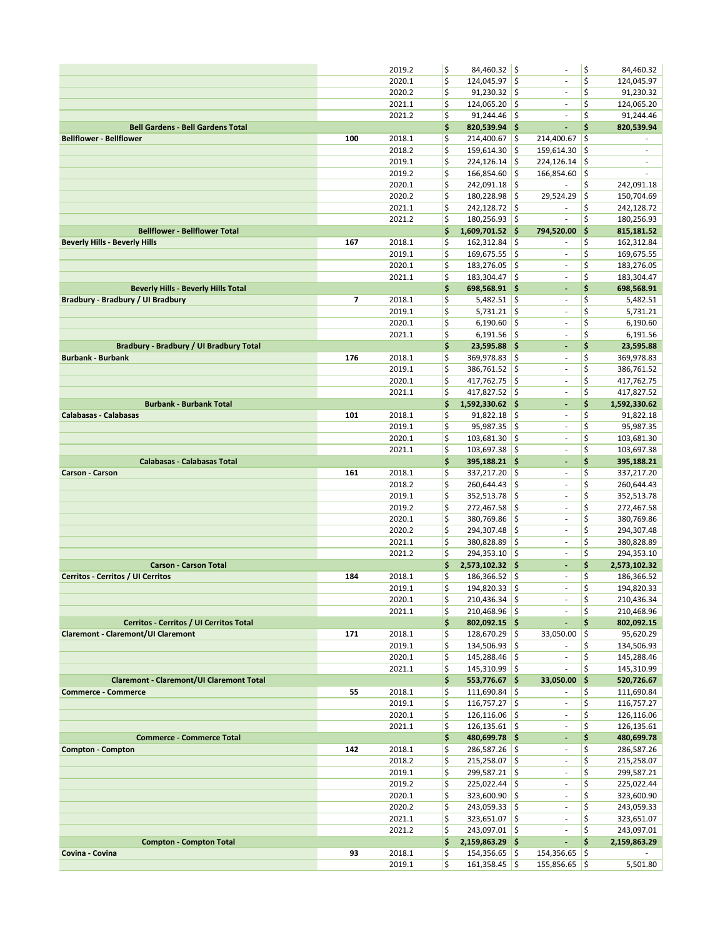|                                                                                      |     | 2019.2           | \$       | 84,460.32 \$                     |               |                                    | \$       | 84,460.32                     |
|--------------------------------------------------------------------------------------|-----|------------------|----------|----------------------------------|---------------|------------------------------------|----------|-------------------------------|
|                                                                                      |     | 2020.1           | \$       | 124,045.97                       | ¦\$           | $\sim$                             | \$       | 124,045.97                    |
|                                                                                      |     | 2020.2           | \$       | 91,230.32                        | l\$           | ä,                                 | \$       | 91,230.32                     |
|                                                                                      |     | 2021.1           | \$       | 124,065.20                       | ١\$           |                                    | \$       | 124,065.20                    |
|                                                                                      |     | 2021.2           | \$       | $91,244.46$ \$                   |               | ÷,                                 | \$       | 91,244.46                     |
| <b>Bell Gardens - Bell Gardens Total</b>                                             |     |                  | \$       | 820,539.94 \$                    |               | $\blacksquare$                     | \$       | 820,539.94                    |
| <b>Bellflower - Bellflower</b>                                                       | 100 | 2018.1           | \$       | 214,400.67                       | ¦\$           | 214,400.67                         | \$       |                               |
|                                                                                      |     | 2018.2<br>2019.1 | \$<br>\$ | 159,614.30                       | ¦\$<br>\$     | 159,614.30                         | \$<br>\$ | $\overline{\phantom{a}}$<br>٠ |
|                                                                                      |     | 2019.2           | \$       | 224,126.14<br>166,854.60         | $\frac{1}{2}$ | 224,126.14<br>166,854.60           | \$       | $\overline{\phantom{a}}$      |
|                                                                                      |     | 2020.1           | \$       | 242,091.18                       | ¦\$           |                                    | \$       | 242,091.18                    |
|                                                                                      |     | 2020.2           | \$       | 180,228.98                       | ١\$           | 29,524.29                          | \$       | 150,704.69                    |
|                                                                                      |     | 2021.1           | \$       | 242,128.72                       | ¦\$           |                                    | \$       | 242,128.72                    |
|                                                                                      |     | 2021.2           | \$       | 180,256.93 \$                    |               | $\sim$                             | \$       | 180,256.93                    |
| <b>Bellflower - Bellflower Total</b>                                                 |     |                  | \$       | 1,609,701.52 \$                  |               | 794,520.00                         | \$       | 815,181.52                    |
| <b>Beverly Hills - Beverly Hills</b>                                                 | 167 | 2018.1           | \$       | 162,312.84                       | ¦\$           | ÷                                  | \$       | 162,312.84                    |
|                                                                                      |     | 2019.1           | \$       | 169,675.55                       | ¦\$           | ä,                                 | \$       | 169,675.55                    |
|                                                                                      |     | 2020.1           | \$       | 183,276.05                       | ¦\$           | $\sim$                             | \$       | 183,276.05                    |
|                                                                                      |     | 2021.1           | \$       | 183,304.47                       | l\$           | $\overline{\phantom{a}}$           | \$       | 183,304.47                    |
| <b>Beverly Hills - Beverly Hills Total</b>                                           |     |                  | \$       | 698,568.91 \$                    |               | ÷,                                 | \$       | 698,568.91                    |
| Bradbury - Bradbury / UI Bradbury                                                    | 7   | 2018.1           | \$       | $5,482.51$ \$                    |               | $\sim$                             | \$       | 5,482.51                      |
|                                                                                      |     | 2019.1           | \$<br>\$ | $5,731.21$ \$                    |               | $\overline{\phantom{a}}$<br>÷,     | \$<br>\$ | 5,731.21                      |
|                                                                                      |     | 2020.1<br>2021.1 | \$       | 6,190.60<br>$6,191.56$ \$        | $\frac{1}{2}$ | ÷,                                 | \$       | 6,190.60<br>6,191.56          |
| Bradbury - Bradbury / UI Bradbury Total                                              |     |                  | \$       | 23,595.88 \$                     |               | ÷,                                 | \$       | 23,595.88                     |
| <b>Burbank - Burbank</b>                                                             | 176 | 2018.1           | \$       | 369,978.83                       | ¦\$           | $\overline{\phantom{a}}$           | \$       | 369,978.83                    |
|                                                                                      |     | 2019.1           | \$       | 386,761.52                       | l\$           | ÷                                  | \$       | 386,761.52                    |
|                                                                                      |     | 2020.1           | \$       | $417,762.75$ \$                  |               | ÷,                                 | \$       | 417,762.75                    |
|                                                                                      |     | 2021.1           | \$       | 417,827.52 \$                    |               | ä,                                 | \$       | 417,827.52                    |
| <b>Burbank - Burbank Total</b>                                                       |     |                  | \$       | 1,592,330.62 \$                  |               | ÷,                                 | \$       | 1,592,330.62                  |
| Calabasas - Calabasas                                                                | 101 | 2018.1           | \$       | 91,822.18                        | ¦\$           | ä,                                 | \$       | 91,822.18                     |
|                                                                                      |     | 2019.1           | \$       | 95,987.35                        | ¦\$           | ÷                                  | \$       | 95,987.35                     |
|                                                                                      |     | 2020.1           | \$       | 103,681.30 \$                    |               | ÷,                                 | \$       | 103,681.30                    |
|                                                                                      |     | 2021.1           | \$       | 103,697.38                       | ¦\$           | ä,                                 | \$       | 103,697.38                    |
| <b>Calabasas - Calabasas Total</b>                                                   |     |                  | \$       | 395,188.21 \$                    |               | ÷,                                 | \$       | 395,188.21                    |
| Carson - Carson                                                                      | 161 | 2018.1           | \$<br>\$ | 337,217.20                       | ¦\$           | $\overline{\phantom{a}}$           | \$<br>\$ | 337,217.20                    |
|                                                                                      |     | 2018.2<br>2019.1 | \$       | 260,644.43<br>352,513.78         | ¦\$<br>∣\$    | $\sim$<br>$\sim$                   | \$       | 260,644.43<br>352,513.78      |
|                                                                                      |     | 2019.2           | \$       | 272,467.58                       | ¦\$           | ä,                                 | \$       | 272,467.58                    |
|                                                                                      |     | 2020.1           | \$       | 380,769.86                       | ¦\$           | $\overline{\phantom{a}}$           | \$       | 380,769.86                    |
|                                                                                      |     | 2020.2           | \$       | 294,307.48                       | ¦\$           | ÷,                                 | \$       | 294,307.48                    |
|                                                                                      |     | 2021.1           | \$       | 380,828.89                       | ¦\$           | $\sim$                             | \$       | 380,828.89                    |
|                                                                                      |     | 2021.2           | \$       | 294,353.10 \$                    |               | $\overline{\phantom{a}}$           | \$       | 294,353.10                    |
| <b>Carson - Carson Total</b>                                                         |     |                  | \$       | 2,573,102.32 \$                  |               | ÷,                                 | \$       | 2,573,102.32                  |
| Cerritos - Cerritos / UI Cerritos                                                    | 184 | 2018.1           | \$       | 186,366.52 \$                    |               | $\overline{\phantom{a}}$           | \$       | 186,366.52                    |
|                                                                                      |     | 2019.1           | \$       | 194,820.33                       | l\$           | ä,                                 | \$       | 194,820.33                    |
|                                                                                      |     | 2020.1           | \$       | $210,436.34$ \$                  |               | $\overline{\phantom{a}}$           | \$       | 210,436.34                    |
|                                                                                      |     | 2021.1           | \$       | 210,468.96 \$                    |               | $\overline{\phantom{a}}$           | \$<br>\$ | 210,468.96                    |
| Cerritos - Cerritos / UI Cerritos Total<br><b>Claremont - Claremont/UI Claremont</b> | 171 | 2018.1           | \$<br>\$ | $802,092.15$ \$<br>128,670.29 \$ |               | $\blacksquare$<br>33,050.00        | I\$      | 802,092.15<br>95,620.29       |
|                                                                                      |     | 2019.1           | \$       | 134,506.93 \$                    |               | $\sim$                             | \$       | 134,506.93                    |
|                                                                                      |     | 2020.1           | \$       | 145,288.46 \$                    |               | $\overline{\phantom{a}}$           | \$       | 145,288.46                    |
|                                                                                      |     | 2021.1           | \$       | 145,310.99 \$                    |               | $\overline{\phantom{a}}$           | \$       | 145,310.99                    |
| <b>Claremont - Claremont/UI Claremont Total</b>                                      |     |                  | \$       | 553,776.67 \$                    |               | 33,050.00                          | ∣\$      | 520,726.67                    |
| <b>Commerce - Commerce</b>                                                           | 55  | 2018.1           | \$       | $111,690.84$ \$                  |               | $\overline{\phantom{a}}$           | \$       | 111,690.84                    |
|                                                                                      |     | 2019.1           | \$       | $116,757.27$ \$                  |               | $\sim$                             | \$       | 116,757.27                    |
|                                                                                      |     | 2020.1           | \$       | $126,116.06$ \$                  |               | $\bar{\phantom{a}}$                | \$       | 126,116.06                    |
|                                                                                      |     | 2021.1           | \$       | $126, 135.61$ \$                 |               | $\sim$                             | \$       | 126,135.61                    |
| <b>Commerce - Commerce Total</b>                                                     |     |                  | \$       | 480,699.78 \$                    |               | $\overline{\phantom{a}}$           | \$       | 480,699.78                    |
| <b>Compton - Compton</b>                                                             | 142 | 2018.1           | \$       | 286,587.26 \$<br>215,258.07 \$   |               | $\overline{\phantom{a}}$<br>$\sim$ | \$<br>\$ | 286,587.26                    |
|                                                                                      |     | 2018.2<br>2019.1 | \$<br>\$ | 299,587.21 \$                    |               | $\sim$                             | \$       | 215,258.07<br>299,587.21      |
|                                                                                      |     | 2019.2           | \$       | 225,022.44 \$                    |               | $\sim$                             | \$       | 225,022.44                    |
|                                                                                      |     | 2020.1           | \$       | 323,600.90 \$                    |               | $\overline{\phantom{a}}$           | \$       | 323,600.90                    |
|                                                                                      |     | 2020.2           | \$       | $243,059.33$ \$                  |               | $\bar{\phantom{a}}$                | \$       | 243,059.33                    |
|                                                                                      |     | 2021.1           | \$       | $323,651.07$ \$                  |               | $\sim$                             | \$       | 323,651.07                    |
|                                                                                      |     | 2021.2           | \$       | 243,097.01 \$                    |               | $\sim$                             | \$       | 243,097.01                    |
| <b>Compton - Compton Total</b>                                                       |     |                  | \$       | 2,159,863.29 \$                  |               | ÷.                                 | \$       | 2,159,863.29                  |
| Covina - Covina                                                                      | 93  | 2018.1           | \$       | $154,356.65$ \$                  |               | $154,356.65$ \$                    |          |                               |
|                                                                                      |     | 2019.1           | \$       | $161,358.45$ \$                  |               | 155,856.65 \$                      |          | 5,501.80                      |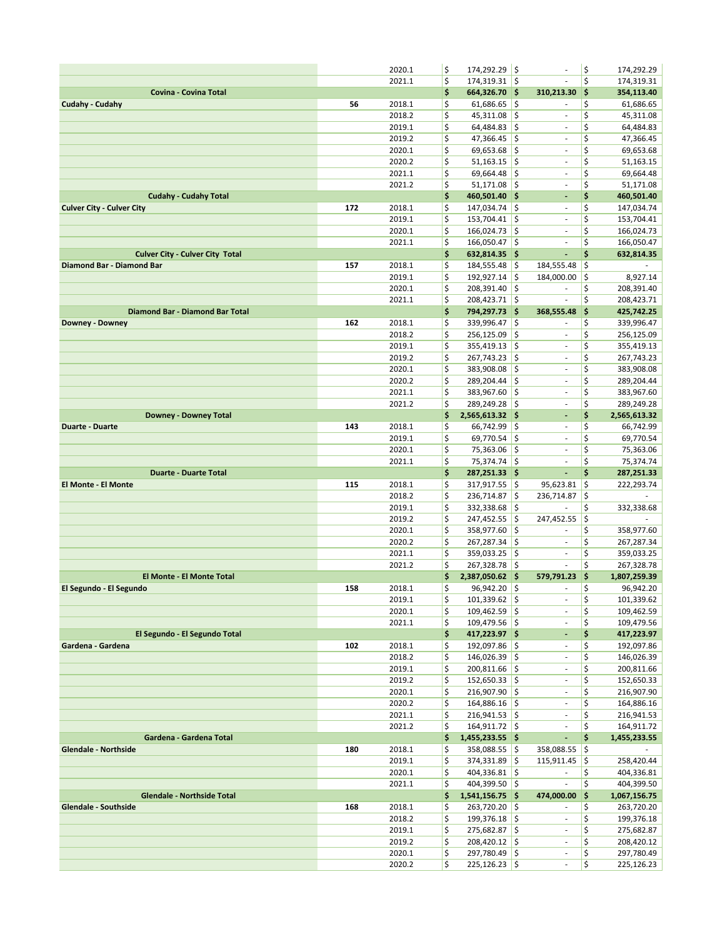|                                                             |     | 2020.1           | \$       | 174,292.29 \$                     |            | ÷,                                                   | \$        | 174,292.29                |
|-------------------------------------------------------------|-----|------------------|----------|-----------------------------------|------------|------------------------------------------------------|-----------|---------------------------|
|                                                             |     | 2021.1           | \$       | 174,319.31 \$                     |            | ÷,                                                   | \$        | 174,319.31                |
| Covina - Covina Total                                       |     |                  | \$       | 664,326.70 \$                     |            | 310,213.30                                           | \$        | 354,113.40                |
| Cudahy - Cudahy                                             | 56  | 2018.1           | \$       | $61,686.65$ \$                    |            | ×,                                                   | \$        | 61,686.65                 |
|                                                             |     | 2018.2           | \$       | 45,311.08                         | ¦\$        | $\sim$                                               | \$        | 45,311.08                 |
|                                                             |     | 2019.1           | \$       | $64,484.83$ \$                    |            | $\overline{\phantom{a}}$                             | \$        | 64,484.83                 |
|                                                             |     | 2019.2           | \$       | 47,366.45                         | ¦\$        | $\overline{\phantom{a}}$                             | \$        | 47,366.45                 |
|                                                             |     | 2020.1           | \$       | 69,653.68                         | ¦\$        | $\overline{\phantom{a}}$                             | \$        | 69,653.68                 |
|                                                             |     | 2020.2           | \$       | 51,163.15                         | ¦\$        | $\overline{\phantom{a}}$                             | \$        | 51,163.15                 |
|                                                             |     | 2021.1<br>2021.2 | \$<br>\$ | 69,664.48<br>$51,171.08$ \$       | ¦\$        | $\overline{\phantom{a}}$<br>$\overline{\phantom{a}}$ | \$<br>\$  | 69,664.48                 |
| <b>Cudahy - Cudahy Total</b>                                |     |                  | \$       | 460,501.40 \$                     |            | ÷,                                                   | \$        | 51,171.08<br>460,501.40   |
| <b>Culver City - Culver City</b>                            | 172 | 2018.1           | \$       | 147,034.74 \$                     |            | $\sim$                                               | \$        | 147,034.74                |
|                                                             |     | 2019.1           | \$       | $153,704.41$ \$                   |            | $\overline{\phantom{a}}$                             | \$        | 153,704.41                |
|                                                             |     | 2020.1           | \$       | 166,024.73                        | ¦\$        | $\sim$                                               | \$        | 166,024.73                |
|                                                             |     | 2021.1           | \$       | 166,050.47 \$                     |            | ÷                                                    | \$        | 166,050.47                |
| <b>Culver City - Culver City Total</b>                      |     |                  | \$       | 632,814.35 \$                     |            | ä,                                                   | \$        | 632,814.35                |
| Diamond Bar - Diamond Bar                                   | 157 | 2018.1           | \$       | 184,555.48                        | ¦\$        | 184,555.48                                           | \$        |                           |
|                                                             |     | 2019.1           | \$       | 192,927.14                        | ¦\$        | 184,000.00                                           | \$        | 8,927.14                  |
|                                                             |     | 2020.1           | \$       | 208,391.40                        | ¦\$        | $\overline{\phantom{a}}$                             | \$        | 208,391.40                |
|                                                             |     | 2021.1           | \$       | 208,423.71 \$                     |            | $\overline{\phantom{a}}$                             | \$        | 208,423.71                |
| <b>Diamond Bar - Diamond Bar Total</b>                      |     |                  | \$       | 794,297.73 \$                     |            | 368,555.48                                           | \$        | 425,742.25                |
| Downey - Downey                                             | 162 | 2018.1           | \$       | 339,996.47                        | ¦\$        |                                                      | \$        | 339,996.47                |
|                                                             |     | 2018.2           | \$       | 256,125.09                        | ¦\$        | $\overline{\phantom{a}}$                             | \$        | 256,125.09                |
|                                                             |     | 2019.1           | \$       | 355,419.13                        | ١\$        | ÷.                                                   | \$        | 355,419.13                |
|                                                             |     | 2019.2           | \$       | 267,743.23                        | ¦\$        | $\bar{\phantom{a}}$                                  | \$<br>\$  | 267,743.23                |
|                                                             |     | 2020.1<br>2020.2 | \$<br>\$ | 383,908.08<br>289,204.44          | ¦\$<br>¦\$ | $\overline{\phantom{a}}$<br>÷,                       | \$        | 383,908.08                |
|                                                             |     | 2021.1           | \$       | 383,967.60 \$                     |            | $\overline{\phantom{a}}$                             | \$        | 289,204.44<br>383,967.60  |
|                                                             |     | 2021.2           | \$       | 289,249.28 \$                     |            | ÷,                                                   | \$        | 289,249.28                |
| <b>Downey - Downey Total</b>                                |     |                  | \$       | 2,565,613.32 \$                   |            | ÷,                                                   | \$        | 2,565,613.32              |
| <b>Duarte - Duarte</b>                                      | 143 | 2018.1           | \$       | 66,742.99                         | l\$        | $\overline{\phantom{a}}$                             | \$        | 66,742.99                 |
|                                                             |     | 2019.1           | \$       | 69,770.54 \$                      |            | ÷.                                                   | \$        | 69,770.54                 |
|                                                             |     | 2020.1           | \$       | 75,363.06                         | ¦\$        | $\bar{\phantom{a}}$                                  | \$        | 75,363.06                 |
|                                                             |     | 2021.1           | \$       | 75,374.74 \$                      |            | $\overline{\phantom{a}}$                             | \$        | 75,374.74                 |
|                                                             |     |                  |          |                                   |            |                                                      |           |                           |
| <b>Duarte - Duarte Total</b>                                |     |                  | \$       | 287,251.33 \$                     |            | ÷,                                                   | \$        | 287,251.33                |
| El Monte - El Monte                                         | 115 | 2018.1           | \$       | 317,917.55 \$                     |            | 95,623.81                                            | \$        | 222,293.74                |
|                                                             |     | 2018.2           | \$       | 236,714.87                        | ١\$        | 236,714.87                                           | \$        |                           |
|                                                             |     | 2019.1           | \$       | 332,338.68                        | ¦\$        |                                                      | \$        | 332,338.68                |
|                                                             |     | 2019.2           | \$       | 247,452.55                        | ¦\$        | 247,452.55                                           | \$        |                           |
|                                                             |     | 2020.1           | \$       | 358,977.60 \$                     |            | $\overline{\phantom{a}}$                             | \$        | 358,977.60                |
|                                                             |     | 2020.2           | \$       | 267,287.34                        | ¦\$        | $\overline{\phantom{a}}$                             | \$        | 267,287.34                |
|                                                             |     | 2021.1           | \$       | $359,033.25$ \$                   |            | $\sim$                                               | \$        | 359,033.25                |
|                                                             |     | 2021.2           | \$       | 267,328.78                        | ¦\$        | ä,                                                   | \$        | 267,328.78                |
| <b>El Monte - El Monte Total</b><br>El Segundo - El Segundo | 158 | 2018.1           | \$<br>\$ | 2,387,050.62 \$<br>$96,942.20$ \$ |            | 579,791.23<br>$\sim$                                 | \$<br>\$  | 1,807,259.39<br>96,942.20 |
|                                                             |     | 2019.1           | \$       | $101,339.62$ \$                   |            | $\overline{\phantom{a}}$                             | \$        | 101,339.62                |
|                                                             |     | 2020.1           | \$       | $109,462.59$ \$                   |            | $\blacksquare$                                       | \$        | 109,462.59                |
|                                                             |     | 2021.1           | \$       | 109,479.56 \$                     |            | ä,                                                   | \$        | 109,479.56                |
| El Segundo - El Segundo Total                               |     |                  | \$       | 417,223.97 \$                     |            | ٠                                                    | \$        | 417,223.97                |
| Gardena - Gardena                                           | 102 | 2018.1           | \$       | 192,097.86 \$                     |            | $\sim$                                               | \$        | 192,097.86                |
|                                                             |     | 2018.2           | \$       | 146,026.39 \$                     |            | ÷                                                    | \$        | 146,026.39                |
|                                                             |     | 2019.1           | \$       | 200,811.66 \$                     |            | $\overline{\phantom{a}}$                             | \$        | 200,811.66                |
|                                                             |     | 2019.2           | \$       | $152,650.33$ \$                   |            | $\overline{\phantom{a}}$                             | \$        | 152,650.33                |
|                                                             |     | 2020.1           | \$       | 216,907.90 \$                     |            | $\overline{\phantom{a}}$                             | \$        | 216,907.90                |
|                                                             |     | 2020.2           | \$       | 164,886.16 \$                     |            | ÷                                                    | \$        | 164,886.16                |
|                                                             |     | 2021.1           | \$       | $216,941.53$ \$                   |            | ÷,                                                   | \$        | 216,941.53                |
|                                                             |     | 2021.2           | \$       | 164,911.72 \$                     |            | $\overline{\phantom{a}}$                             | \$        | 164,911.72                |
| Gardena - Gardena Total<br><b>Glendale - Northside</b>      | 180 | 2018.1           | \$<br>\$ | 1,455,233.55 \$<br>358,088.55 \$  |            | ÷<br>358,088.55                                      | \$<br> \$ | 1,455,233.55              |
|                                                             |     | 2019.1           | \$       | 374,331.89 \$                     |            | 115,911.45                                           | - 15      | 258,420.44                |
|                                                             |     | 2020.1           | \$       | 404,336.81 \$                     |            | $\sim$                                               | \$        | 404,336.81                |
|                                                             |     | 2021.1           | \$       | 404,399.50 \$                     |            | $\sim$                                               | \$        | 404,399.50                |
| <b>Glendale - Northside Total</b>                           |     |                  | \$       | 1,541,156.75 \$                   |            | 474,000.00                                           | \$        | 1,067,156.75              |
| Glendale - Southside                                        | 168 | 2018.1           | \$       | 263,720.20 \$                     |            | ٠                                                    | \$        | 263,720.20                |
|                                                             |     | 2018.2           | \$       | 199,376.18 \$                     |            | $\sim$                                               | \$        | 199,376.18                |
|                                                             |     | 2019.1           | \$       | 275,682.87 \$                     |            | $\bar{\phantom{a}}$                                  | \$        | 275,682.87                |
|                                                             |     | 2019.2           | \$       | 208,420.12 \$                     |            | $\overline{\phantom{a}}$                             | \$        | 208,420.12                |
|                                                             |     | 2020.1<br>2020.2 | \$<br>\$ | 297,780.49 \$<br>$225,126.23$ \$  |            | $\sim$<br>÷,                                         | \$<br>\$  | 297,780.49<br>225,126.23  |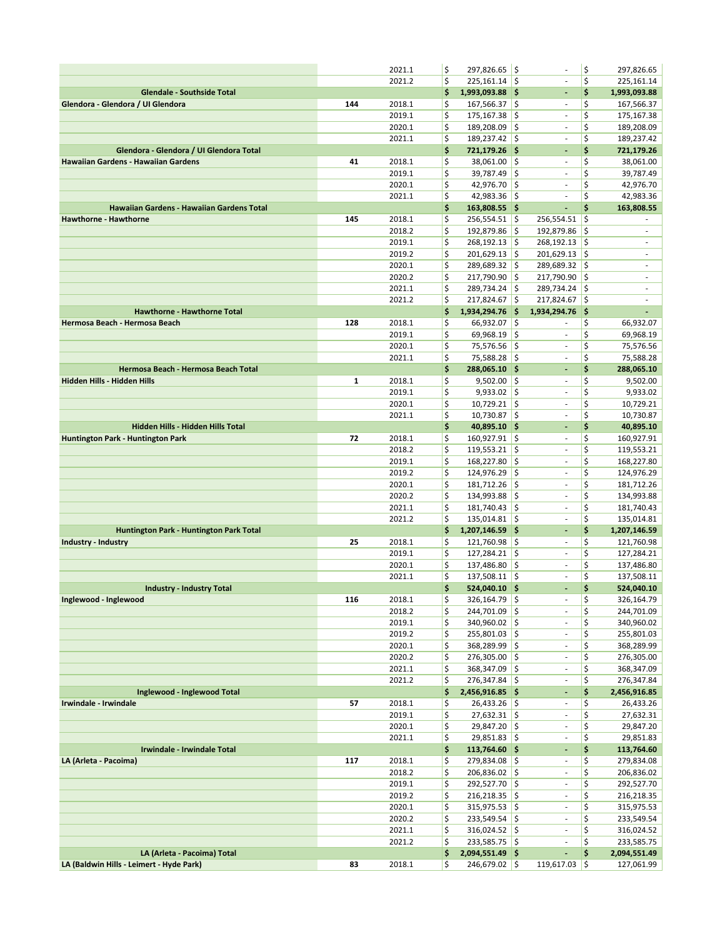|                                           |     | 2021.1           | \$       | 297,826.65 \$                    |                     | ÷,                         | \$        | 297,826.65                    |
|-------------------------------------------|-----|------------------|----------|----------------------------------|---------------------|----------------------------|-----------|-------------------------------|
|                                           |     | 2021.2           | \$       | $225,161.14$ \$                  |                     | $\Box$                     | \$        | 225,161.14                    |
| <b>Glendale - Southside Total</b>         |     |                  | \$       | 1,993,093.88 \$                  |                     | ٠                          | \$        | 1,993,093.88                  |
| Glendora - Glendora / UI Glendora         | 144 | 2018.1           | \$       | $167,566.37$ \$                  |                     | $\overline{\phantom{a}}$   | \$        | 167,566.37                    |
|                                           |     | 2019.1           | \$       | 175,167.38                       | ١\$                 | $\sim$                     | \$        | 175,167.38                    |
|                                           |     | 2020.1           | \$       | 189,208.09 \$                    |                     | $\overline{\phantom{a}}$   | \$        | 189,208.09                    |
|                                           |     | 2021.1           | \$       | 189,237.42                       | ¦\$                 | $\blacksquare$             | \$        | 189,237.42                    |
| Glendora - Glendora / UI Glendora Total   |     |                  | \$       | 721,179.26 \$                    |                     | ٠                          | \$        | 721,179.26                    |
| Hawaiian Gardens - Hawaiian Gardens       | 41  | 2018.1           | \$       | 38,061.00 \$                     |                     | $\overline{\phantom{a}}$   | \$        | 38,061.00                     |
|                                           |     | 2019.1           | \$       | 39,787.49                        | ١\$                 | $\sim$                     | \$        | 39,787.49                     |
|                                           |     | 2020.1           | \$       | $42,976.70$ \$                   |                     | ÷                          | \$        | 42,976.70                     |
|                                           |     | 2021.1           | \$       | $42,983.36$ \$                   |                     | ÷,                         | \$        | 42,983.36                     |
| Hawaiian Gardens - Hawaiian Gardens Total |     |                  | \$       | 163,808.55 \$                    |                     | ÷,                         | \$        | 163,808.55                    |
| <b>Hawthorne - Hawthorne</b>              | 145 | 2018.1           | \$       | $256,554.51$ \$                  |                     | 256,554.51                 | \$        |                               |
|                                           |     | 2018.2           | \$       | 192,879.86                       | ¦\$                 | 192,879.86                 | \$        | ä,                            |
|                                           |     | 2019.1           | \$       | 268,192.13                       | ¦\$                 | 268,192.13 \$              |           | $\overline{\phantom{a}}$      |
|                                           |     | 2019.2           | \$       | 201,629.13                       | ¦\$                 | $201,629.13$ \$            |           | ٠                             |
|                                           |     | 2020.1           | \$       | 289,689.32                       | $\ddot{\mathsf{s}}$ | 289,689.32                 | ∣\$       | $\overline{\phantom{a}}$      |
|                                           |     | 2020.2           | \$       | 217,790.90                       | ¦\$                 | 217,790.90                 | - 15      | $\overline{\phantom{a}}$      |
|                                           |     | 2021.1           | \$<br>\$ | 289,734.24                       | ¦\$                 | 289,734.24                 | I\$       | $\overline{\phantom{a}}$<br>٠ |
| <b>Hawthorne - Hawthorne Total</b>        |     | 2021.2           | \$       | 217,824.67<br>1,934,294.76 \$    | l\$                 | 217,824.67<br>1,934,294.76 | ¦\$<br>\$ |                               |
| Hermosa Beach - Hermosa Beach             | 128 | 2018.1           | \$       | 66,932.07                        | ¦\$                 |                            | \$        | 66,932.07                     |
|                                           |     | 2019.1           | \$       | 69,968.19                        | ¦\$                 | ÷                          | \$        | 69,968.19                     |
|                                           |     | 2020.1           | \$       | 75,576.56 \$                     |                     | ÷,                         | \$        | 75,576.56                     |
|                                           |     | 2021.1           | \$       | 75,588.28                        | ¦\$                 | $\bar{\phantom{a}}$        | \$        | 75,588.28                     |
| Hermosa Beach - Hermosa Beach Total       |     |                  | \$       | 288,065.10 \$                    |                     | ٠                          | \$        | 288,065.10                    |
| Hidden Hills - Hidden Hills               | 1   | 2018.1           | \$       | $9,502.00$ \$                    |                     | ×,                         | \$        | 9,502.00                      |
|                                           |     | 2019.1           | \$       | $9,933.02$ \$                    |                     | $\bar{\phantom{a}}$        | \$        | 9,933.02                      |
|                                           |     | 2020.1           | \$       | $10,729.21$ \$                   |                     | $\overline{\phantom{a}}$   | \$        | 10,729.21                     |
|                                           |     | 2021.1           | \$       | 10,730.87                        | ¦\$                 | ä,                         | \$        | 10,730.87                     |
| Hidden Hills - Hidden Hills Total         |     |                  | \$       | $40,895.10$ \$                   |                     | ٠                          | \$        | 40,895.10                     |
| Huntington Park - Huntington Park         | 72  | 2018.1           | \$       | 160,927.91 \$                    |                     | ä,                         | \$        | 160,927.91                    |
|                                           |     | 2018.2           | \$       | 119,553.21                       | ¦\$                 | $\sim$                     | \$        | 119,553.21                    |
|                                           |     | 2019.1           | \$       | 168,227.80                       | l\$                 | $\sim$                     | \$        | 168,227.80                    |
|                                           |     | 2019.2           | \$       | 124,976.29                       | ¦\$                 | ÷                          | \$        | 124,976.29                    |
|                                           |     | 2020.1           | \$       | 181,712.26                       | ¦\$                 | $\overline{\phantom{a}}$   | \$        | 181,712.26                    |
|                                           |     | 2020.2           | \$       | 134,993.88                       | ١\$                 | $\bar{\phantom{a}}$        | \$        | 134,993.88                    |
|                                           |     | 2021.1           | \$       | 181,740.43                       | ¦\$                 | ä,                         | \$        | 181,740.43                    |
|                                           |     | 2021.2           | \$       | $135,014.81$ \$                  |                     | $\overline{\phantom{a}}$   | \$        | 135,014.81                    |
| Huntington Park - Huntington Park Total   |     |                  | \$       | 1,207,146.59 \$                  |                     | ÷,                         | \$        | 1,207,146.59                  |
| Industry - Industry                       | 25  | 2018.1           | \$       | $121,760.98$ \$                  |                     | $\overline{\phantom{a}}$   | \$        | 121,760.98                    |
|                                           |     | 2019.1<br>2020.1 | \$       | 127,284.21 \$                    | ¦\$                 | $\sim$<br>÷                | \$<br>\$  | 127,284.21                    |
|                                           |     | 2021.1           | \$<br>\$ | 137,486.80<br>$137,508.11$ \$    |                     | ÷,                         | \$        | 137,486.80<br>137,508.11      |
| <b>Industry - Industry Total</b>          |     |                  | \$       | 524,040.10 \$                    |                     | $\overline{a}$             | \$        | 524,040.10                    |
| Inglewood - Inglewood                     | 116 | 2018.1           | \$       | 326,164.79 \$                    |                     | $\overline{\phantom{a}}$   | \$        | 326,164.79                    |
|                                           |     | 2018.2           | \$       | 244,701.09 \$                    |                     | ÷                          | \$        | 244,701.09                    |
|                                           |     | 2019.1           | \$       | $340,960.02$ \$                  |                     | $\overline{\phantom{a}}$   | \$        | 340,960.02                    |
|                                           |     | 2019.2           | \$       | 255,801.03 \$                    |                     | $\overline{\phantom{a}}$   | \$        | 255,801.03                    |
|                                           |     | 2020.1           | \$       | 368,289.99 \$                    |                     | $\blacksquare$             | \$        | 368,289.99                    |
|                                           |     | 2020.2           | \$       | 276,305.00 \$                    |                     | ÷                          | \$        | 276,305.00                    |
|                                           |     | 2021.1           | \$       | 368,347.09 \$                    |                     | $\blacksquare$             | \$        | 368,347.09                    |
|                                           |     | 2021.2           | \$       | 276,347.84 \$                    |                     | ä,                         | \$        | 276,347.84                    |
| Inglewood - Inglewood Total               |     |                  | \$       | 2,456,916.85 \$                  |                     | ÷,                         | \$        | 2,456,916.85                  |
| Irwindale - Irwindale                     | 57  | 2018.1           | \$       | $26,433.26$ \$                   |                     | $\overline{\phantom{a}}$   | \$        | 26,433.26                     |
|                                           |     | 2019.1           | \$       | $27,632.31$ \$                   |                     | ä,                         | \$        | 27,632.31                     |
|                                           |     | 2020.1           | \$       | 29,847.20 \$                     |                     | $\sim$                     | \$        | 29,847.20                     |
|                                           |     | 2021.1           | \$       | $29,851.83$ \$                   |                     | $\overline{\phantom{a}}$   | \$        | 29,851.83                     |
| Irwindale - Irwindale Total               |     |                  | \$       | 113,764.60 \$                    |                     | ٠                          | \$        | 113,764.60                    |
| LA (Arleta - Pacoima)                     | 117 | 2018.1           | \$       | 279,834.08 \$                    |                     | $\overline{\phantom{a}}$   | \$        | 279,834.08                    |
|                                           |     | 2018.2           | \$       | 206,836.02 \$                    |                     | $\sim$                     | \$        | 206,836.02                    |
|                                           |     | 2019.1           | \$       | 292,527.70 \$                    |                     | $\bar{\phantom{a}}$        | \$        | 292,527.70                    |
|                                           |     | 2019.2           | \$       | $216,218.35$ \$                  |                     | ÷                          | \$        | 216,218.35                    |
|                                           |     | 2020.1           | \$       | $315,975.53$ \$                  |                     | ä,                         | \$        | 315,975.53                    |
|                                           |     | 2020.2           | \$       | $233,549.54$ \$                  |                     | $\overline{\phantom{a}}$   | \$        | 233,549.54                    |
|                                           |     | 2021.1           | \$       | $316,024.52$ \$<br>233,585.75 \$ |                     | $\sim$                     | \$<br>\$  | 316,024.52                    |
| LA (Arleta - Pacoima) Total               |     | 2021.2           | \$<br>\$ | 2,094,551.49 \$                  |                     | ÷                          | \$        | 233,585.75<br>2,094,551.49    |
| LA (Baldwin Hills - Leimert - Hyde Park)  | 83  | 2018.1           | \$       | 246,679.02 \$                    |                     | 119,617.03 \$              |           | 127,061.99                    |
|                                           |     |                  |          |                                  |                     |                            |           |                               |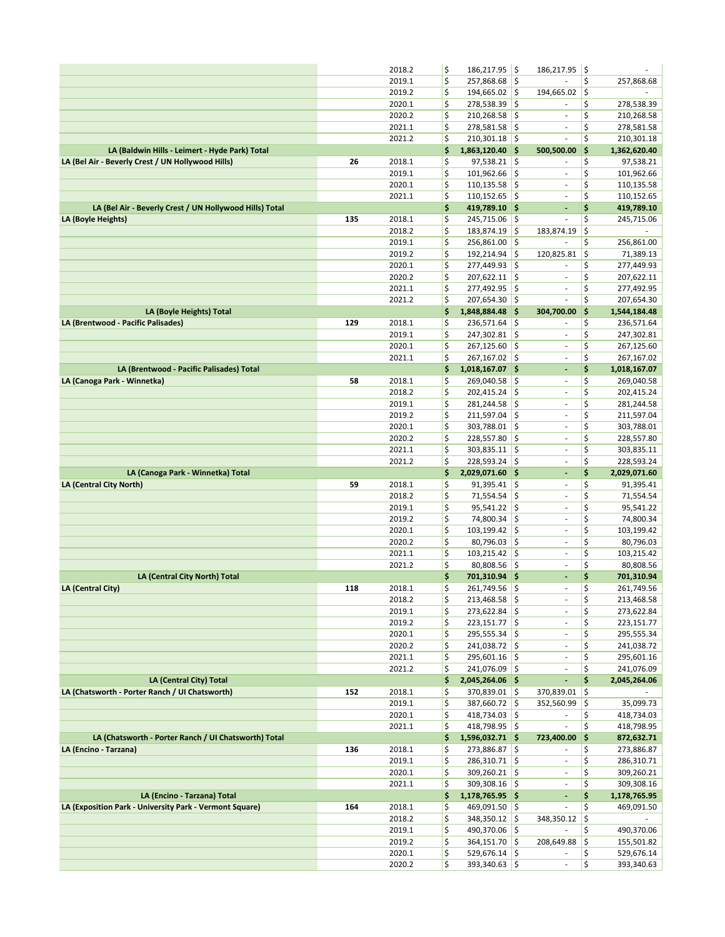|                                                         |     | 2018.2           | \$       | 186,217.95                       | ¦\$                | 186,217.95                   | ∣\$      |                          |
|---------------------------------------------------------|-----|------------------|----------|----------------------------------|--------------------|------------------------------|----------|--------------------------|
|                                                         |     | 2019.1           | \$       | 257,868.68 \$                    |                    |                              | \$       | 257,868.68               |
|                                                         |     | 2019.2           | \$       | 194,665.02 \$                    |                    | 194,665.02                   | \$       |                          |
|                                                         |     | 2020.1           | \$       | 278,538.39                       | ¦\$                |                              | \$       | 278,538.39               |
|                                                         |     | 2020.2           | \$       | 210,268.58                       | ¦\$                | $\overline{\phantom{a}}$     | \$       | 210,268.58               |
|                                                         |     | 2021.1           | \$       | 278,581.58 \$                    |                    | ä,                           | \$       | 278,581.58               |
|                                                         |     | 2021.2           | \$       | 210,301.18                       | ∣\$                | $\bar{\phantom{a}}$          | \$       | 210,301.18               |
| LA (Baldwin Hills - Leimert - Hyde Park) Total          |     |                  | \$       | 1,863,120.40 \$                  |                    | 500,500.00                   | \$       | 1,362,620.40             |
| LA (Bel Air - Beverly Crest / UN Hollywood Hills)       | 26  | 2018.1           | \$       | 97,538.21                        | $\ddot{\varsigma}$ |                              | \$       | 97,538.21                |
|                                                         |     | 2019.1           | \$       | 101,962.66                       | ∣\$                | $\overline{\phantom{a}}$     | \$       | 101,962.66               |
|                                                         |     | 2020.1           | \$       | $110, 135.58$ \$                 |                    | $\overline{\phantom{a}}$     | \$       | 110,135.58               |
|                                                         |     | 2021.1           | \$       | 110,152.65                       | ¦\$                | $\overline{\phantom{a}}$     | \$       | 110,152.65               |
| LA (Bel Air - Beverly Crest / UN Hollywood Hills) Total |     |                  | \$       | 419,789.10 \$                    |                    | ٠                            | \$       | 419,789.10               |
| LA (Boyle Heights)                                      | 135 | 2018.1           | \$       | 245,715.06 \$                    |                    | $\overline{\phantom{a}}$     | \$       | 245,715.06               |
|                                                         |     | 2018.2           | \$       | 183,874.19                       | $\ddot{\varsigma}$ | 183,874.19                   | \$       |                          |
|                                                         |     | 2019.1           | \$       | 256,861.00                       | ¦\$                |                              | \$       | 256,861.00               |
|                                                         |     | 2019.2           | \$<br>\$ | 192,214.94                       | \$                 | 120,825.81<br>÷,             | \$<br>\$ | 71,389.13                |
|                                                         |     | 2020.1<br>2020.2 | \$       | 277,449.93<br>$207,622.11$ \$    | ¦\$                | $\overline{\phantom{a}}$     | \$       | 277,449.93               |
|                                                         |     | 2021.1           | \$       | 277,492.95                       | ¦\$                | $\blacksquare$               | \$       | 207,622.11<br>277,492.95 |
|                                                         |     | 2021.2           | \$       | 207,654.30                       | l\$                | $\overline{\phantom{a}}$     | \$       | 207,654.30               |
| LA (Boyle Heights) Total                                |     |                  | \$       | 1,848,884.48 \$                  |                    | 304,700.00                   | \$       | 1,544,184.48             |
| LA (Brentwood - Pacific Palisades)                      | 129 | 2018.1           | \$       | 236,571.64                       | \$                 | ٠                            | \$       | 236,571.64               |
|                                                         |     | 2019.1           | \$       | 247,302.81 \$                    |                    | $\overline{\phantom{a}}$     | \$       | 247,302.81               |
|                                                         |     | 2020.1           | \$       | 267,125.60                       | ¦\$                | $\sim$                       | \$       | 267,125.60               |
|                                                         |     | 2021.1           | \$       | 267,167.02 \$                    |                    | $\overline{\phantom{a}}$     | \$       | 267,167.02               |
| LA (Brentwood - Pacific Palisades) Total                |     |                  | \$       | $1,018,167.07$ \$                |                    | $\blacksquare$               | \$       | 1,018,167.07             |
| LA (Canoga Park - Winnetka)                             | 58  | 2018.1           | \$       | 269,040.58                       | ¦\$                | $\overline{\phantom{a}}$     | \$       | 269,040.58               |
|                                                         |     | 2018.2           | \$       | 202,415.24                       | \$                 | $\blacksquare$               | \$       | 202,415.24               |
|                                                         |     | 2019.1           | \$       | 281,244.58                       | ∣\$                | ä,                           | \$       | 281,244.58               |
|                                                         |     | 2019.2           | \$       | 211,597.04                       | ¦\$                | $\bar{\phantom{a}}$          | \$       | 211,597.04               |
|                                                         |     | 2020.1           | \$       | 303,788.01 \$                    |                    | $\overline{\phantom{a}}$     | \$       | 303,788.01               |
|                                                         |     | 2020.2           | \$       | 228,557.80                       | $\frac{1}{2}$      | $\sim$                       | \$       | 228,557.80               |
|                                                         |     | 2021.1           | \$       | $303,835.11$ \$                  |                    | $\overline{\phantom{a}}$     | \$       | 303,835.11               |
|                                                         |     | 2021.2           | \$       | $228,593.24$ \$                  |                    | ÷,                           | \$       | 228,593.24               |
| LA (Canoga Park - Winnetka) Total                       |     |                  | \$       | 2,029,071.60 \$                  |                    | ÷                            | \$       | 2,029,071.60             |
| LA (Central City North)                                 | 59  | 2018.1           | \$       | $91,395.41$ \$                   |                    | $\overline{\phantom{a}}$     | \$       | 91,395.41                |
|                                                         |     |                  |          |                                  |                    |                              |          |                          |
|                                                         |     | 2018.2           | \$       | 71,554.54                        | ¦\$                | $\overline{\phantom{a}}$     | \$       | 71,554.54                |
|                                                         |     | 2019.1           | \$       | $95,541.22$ \$                   |                    | $\overline{\phantom{a}}$     | \$       | 95,541.22                |
|                                                         |     | 2019.2           | \$       | 74,800.34                        | ¦\$                | $\overline{\phantom{a}}$     | \$       | 74,800.34                |
|                                                         |     | 2020.1           | \$       | 103,199.42                       | $\frac{1}{2}$      | ÷,                           | \$       | 103,199.42               |
|                                                         |     | 2020.2           | \$       | 80,796.03                        | ¦\$                | $\blacksquare$               | \$       | 80,796.03                |
|                                                         |     | 2021.1           | \$       | $103,215.42$ \$                  |                    | ÷                            | \$       | 103,215.42               |
|                                                         |     | 2021.2           | \$       | 80,808.56                        | ۱\$                | ä,                           | \$       | 80,808.56                |
| LA (Central City North) Total                           |     |                  | \$       | 701,310.94 \$                    |                    | ٠                            | \$       | 701,310.94               |
| LA (Central City)                                       | 118 | 2018.1           | \$       | 261,749.56                       | ¦\$                | ÷,                           | \$       | 261,749.56               |
|                                                         |     | 2018.2           | \$       | $213,468.58$ \$                  |                    | $\qquad \qquad \blacksquare$ | \$       | 213,468.58               |
|                                                         |     | 2019.1           | \$       | 273,622.84 \$                    |                    | ä,                           | \$       | 273,622.84               |
|                                                         |     | 2019.2           | \$       | $223,151.77$ \$                  |                    | $\overline{\phantom{a}}$     | \$       | 223,151.77               |
|                                                         |     | 2020.1           | \$       | 295,555.34 \$                    |                    | $\blacksquare$               | \$       | 295,555.34               |
|                                                         |     | 2020.2           | \$       | 241,038.72 \$                    |                    | $\overline{\phantom{a}}$     | \$       | 241,038.72               |
|                                                         |     | 2021.1           | \$       | $295,601.16$ \$                  |                    | $\sim$                       | \$       | 295,601.16               |
|                                                         |     | 2021.2           | \$       | 241,076.09 \$                    |                    | $\blacksquare$               | \$       | 241,076.09               |
| LA (Central City) Total                                 |     |                  | \$       | 2,045,264.06 \$                  |                    | ÷,                           | \$       | 2,045,264.06             |
| LA (Chatsworth - Porter Ranch / UI Chatsworth)          | 152 | 2018.1           | \$       | 370,839.01 \$                    |                    | 370,839.01                   | İ\$      |                          |
|                                                         |     | 2019.1           | \$       | 387,660.72 \$                    |                    | 352,560.99 \$                |          | 35,099.73                |
|                                                         |     | 2020.1           | \$       | $418,734.03$ \$                  |                    |                              | \$       | 418,734.03               |
|                                                         |     | 2021.1           | \$       | $418,798.95$ \$                  |                    | ÷,                           | \$       | 418,798.95               |
| LA (Chatsworth - Porter Ranch / UI Chatsworth) Total    |     |                  | \$       | 1,596,032.71 \$                  |                    | 723,400.00                   | ∣\$      | 872,632.71               |
| LA (Encino - Tarzana)                                   | 136 | 2018.1           | \$       | 273,886.87 \$                    |                    |                              | \$       | 273,886.87               |
|                                                         |     | 2019.1           | \$       | 286,310.71 \$                    |                    | $\overline{\phantom{a}}$     | \$       | 286,310.71               |
|                                                         |     | 2020.1           | \$       | 309,260.21 \$                    |                    |                              | \$       | 309,260.21               |
|                                                         |     | 2021.1           | \$       | 309,308.16 \$                    |                    | ÷                            | \$       | 309,308.16               |
| LA (Encino - Tarzana) Total                             |     |                  | \$       | 1,178,765.95 \$                  |                    | ÷.                           | \$       | 1,178,765.95             |
| LA (Exposition Park - University Park - Vermont Square) | 164 | 2018.1           | \$       | 469,091.50 \$                    |                    |                              | \$       | 469,091.50               |
|                                                         |     | 2018.2           | \$       | $348,350.12$ \$                  |                    | 348,350.12 \$                |          |                          |
|                                                         |     | 2019.1           | \$       | 490,370.06 \$                    |                    |                              | \$       | 490,370.06               |
|                                                         |     | 2019.2           | \$       | 364,151.70 \$                    |                    | 208,649.88 \$                | \$       | 155,501.82               |
|                                                         |     | 2020.1<br>2020.2 | \$<br>\$ | 529,676.14 \$<br>$393,340.63$ \$ |                    |                              | \$       | 529,676.14<br>393,340.63 |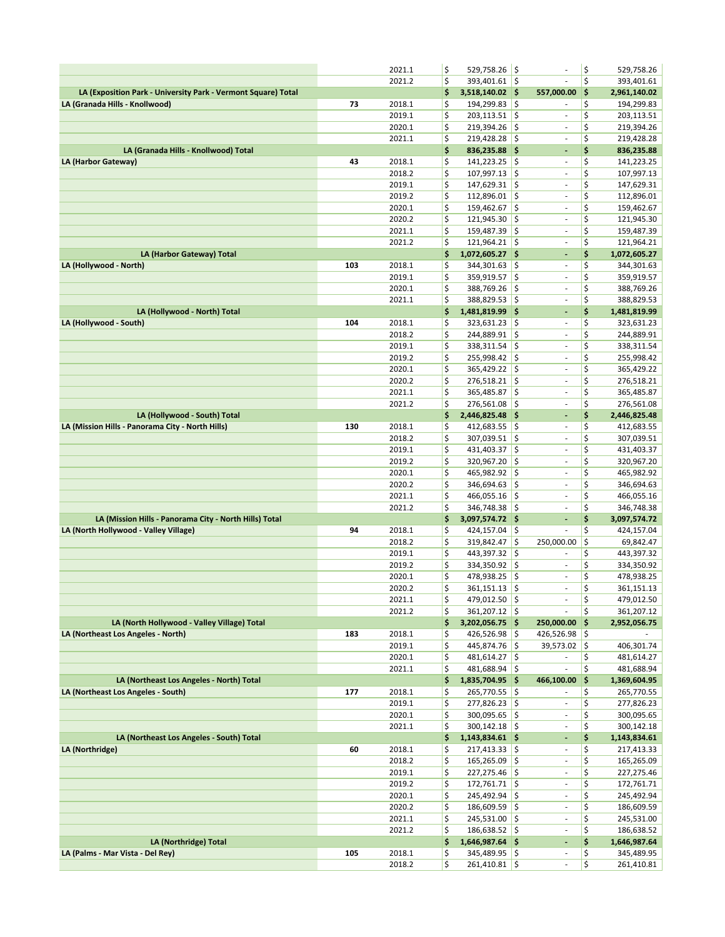|                                                                                                 |     | 2021.1           | \$       | 529,758.26 \$                      |                          |                                                      | \$       | 529,758.26                 |
|-------------------------------------------------------------------------------------------------|-----|------------------|----------|------------------------------------|--------------------------|------------------------------------------------------|----------|----------------------------|
|                                                                                                 |     | 2021.2           | \$       | 393,401.61 \$                      |                          |                                                      | \$       | 393,401.61                 |
| LA (Exposition Park - University Park - Vermont Square) Total                                   |     |                  | \$       | $3,518,140.02$ \$                  |                          | 557,000.00                                           | \$       | 2,961,140.02               |
| LA (Granada Hills - Knollwood)                                                                  | 73  | 2018.1           | \$       | 194,299.83                         | $\vert \mathsf{s}$       |                                                      | \$       | 194,299.83                 |
|                                                                                                 |     | 2019.1           | \$       | $203,113.51$ \$                    |                          | $\overline{\phantom{a}}$                             | \$       | 203,113.51                 |
|                                                                                                 |     | 2020.1           | \$       | 219,394.26                         | ∣\$                      | $\overline{\phantom{a}}$                             | \$       | 219,394.26                 |
| LA (Granada Hills - Knollwood) Total                                                            |     | 2021.1           | \$<br>\$ | 219,428.28<br>836,235.88 \$        | $\vert \mathsf{s}$       | ä,<br>$\overline{\phantom{a}}$                       | \$<br>\$ | 219,428.28                 |
| LA (Harbor Gateway)                                                                             | 43  | 2018.1           | \$       | 141,223.25                         | $\vert \mathbf{S} \vert$ | ٠                                                    | \$       | 836,235.88<br>141,223.25   |
|                                                                                                 |     | 2018.2           | \$       | 107,997.13                         | S,                       | $\sim$                                               | \$       | 107,997.13                 |
|                                                                                                 |     | 2019.1           | \$       | 147,629.31                         | ∣\$                      | $\overline{\phantom{a}}$                             | \$       | 147,629.31                 |
|                                                                                                 |     | 2019.2           | \$       | 112,896.01                         | \$                       | $\overline{\phantom{a}}$                             | \$       | 112,896.01                 |
|                                                                                                 |     | 2020.1           | \$       | 159,462.67                         | ۱\$                      | $\blacksquare$                                       | \$       | 159,462.67                 |
|                                                                                                 |     | 2020.2           | \$       | 121,945.30                         | ۱\$                      | $\overline{\phantom{a}}$                             | \$       | 121,945.30                 |
|                                                                                                 |     | 2021.1           | \$       | 159,487.39                         | ۱\$                      | $\bar{\phantom{a}}$                                  | \$       | 159,487.39                 |
|                                                                                                 |     | 2021.2           | \$       | 121,964.21 \$                      |                          | $\overline{\phantom{a}}$                             | \$       | 121,964.21                 |
| LA (Harbor Gateway) Total                                                                       |     |                  | \$       | 1,072,605.27 \$                    |                          | ÷,                                                   | \$       | 1,072,605.27               |
| LA (Hollywood - North)                                                                          | 103 | 2018.1           | \$       | 344,301.63                         | ∣\$                      | $\sim$                                               | \$       | 344,301.63                 |
|                                                                                                 |     | 2019.1<br>2020.1 | \$<br>\$ | 359,919.57 \$                      |                          | $\bar{\phantom{a}}$<br>$\overline{\phantom{a}}$      | \$<br>\$ | 359,919.57                 |
|                                                                                                 |     | 2021.1           | \$       | 388,769.26<br>388,829.53 \$        | I\$                      | ÷,                                                   | \$       | 388,769.26<br>388,829.53   |
| LA (Hollywood - North) Total                                                                    |     |                  | \$       | 1,481,819.99 \$                    |                          | $\blacksquare$                                       | \$       | 1,481,819.99               |
| LA (Hollywood - South)                                                                          | 104 | 2018.1           | \$       | 323,631.23                         | \$                       | $\overline{\phantom{a}}$                             | \$       | 323,631.23                 |
|                                                                                                 |     | 2018.2           | \$       | 244,889.91                         | \$                       | ÷,                                                   | \$       | 244,889.91                 |
|                                                                                                 |     | 2019.1           | \$       | 338,311.54                         | ∣\$                      | $\overline{\phantom{a}}$                             | \$       | 338,311.54                 |
|                                                                                                 |     | 2019.2           | \$       | 255,998.42                         | ∣\$                      | $\overline{\phantom{a}}$                             | \$       | 255,998.42                 |
|                                                                                                 |     | 2020.1           | \$       | 365,429.22 \$                      |                          | $\overline{\phantom{a}}$                             | \$       | 365,429.22                 |
|                                                                                                 |     | 2020.2           | \$       | 276,518.21                         | \$                       | ä,                                                   | \$       | 276,518.21                 |
|                                                                                                 |     | 2021.1           | \$       | 365,485.87                         | ۱\$                      | ÷,                                                   | \$       | 365,485.87                 |
|                                                                                                 |     | 2021.2           | \$<br>\$ | 276,561.08 \$<br>2,446,825.48 \$   |                          | $\sim$<br>÷,                                         | \$<br>\$ | 276,561.08<br>2,446,825.48 |
| LA (Hollywood - South) Total<br>LA (Mission Hills - Panorama City - North Hills)                | 130 | 2018.1           | \$       | 412,683.55                         | İ\$                      | $\overline{\phantom{a}}$                             | \$       | 412,683.55                 |
|                                                                                                 |     | 2018.2           | \$       | 307,039.51                         | ۱\$                      | $\overline{\phantom{a}}$                             | \$       | 307,039.51                 |
|                                                                                                 |     | 2019.1           | \$       | 431,403.37                         | ۱\$                      | $\blacksquare$                                       | \$       | 431,403.37                 |
|                                                                                                 |     | 2019.2           | \$       | 320,967.20                         | ∣\$                      | $\overline{\phantom{a}}$                             | \$       | 320,967.20                 |
|                                                                                                 |     | 2020.1           | \$       | 465,982.92                         | \$                       | $\overline{\phantom{a}}$                             | \$       | 465,982.92                 |
|                                                                                                 |     | 2020.2           | \$       | 346,694.63                         | l\$                      | ÷,                                                   | \$       | 346,694.63                 |
|                                                                                                 |     | 2021.1           | \$       | 466,055.16                         | ∣\$                      | $\overline{\phantom{a}}$                             | \$       | 466,055.16                 |
|                                                                                                 |     | 2021.2           | \$       | 346,748.38                         | ∣\$                      | $\overline{\phantom{a}}$                             | \$       | 346,748.38                 |
| LA (Mission Hills - Panorama City - North Hills) Total<br>LA (North Hollywood - Valley Village) | 94  | 2018.1           | \$<br>\$ | 3,097,574.72 \$<br>424,157.04      | ١\$                      | $\blacksquare$                                       | \$<br>\$ | 3,097,574.72<br>424,157.04 |
|                                                                                                 |     | 2018.2           | \$       | 319,842.47                         | I\$                      | 250,000.00                                           | \$       | 69,842.47                  |
|                                                                                                 |     | 2019.1           | \$       | 443,397.32                         | \$                       | $\overline{\phantom{a}}$                             | \$       | 443,397.32                 |
|                                                                                                 |     | 2019.2           | \$       | 334,350.92                         | ۱\$                      | $\overline{\phantom{a}}$                             | \$       | 334,350.92                 |
|                                                                                                 |     | 2020.1           | \$       | 478,938.25                         | \$                       | $\overline{\phantom{a}}$                             | \$       | 478,938.25                 |
|                                                                                                 |     | 2020.2           | \$       | 361,151.13                         | ۱\$                      | $\overline{\phantom{a}}$                             | \$       | 361,151.13                 |
|                                                                                                 |     | 2021.1           | \$       | 479,012.50 \$                      |                          | $\blacksquare$                                       | \$       | 479,012.50                 |
|                                                                                                 |     | 2021.2           | \$       | $361,207.12$ \$                    |                          | $\overline{\phantom{a}}$                             | \$       | 361,207.12                 |
| LA (North Hollywood - Valley Village) Total                                                     |     |                  | \$       | $3,202,056.75$ \$                  |                          | 250,000.00 \$                                        |          | 2,952,056.75               |
| LA (Northeast Los Angeles - North)                                                              | 183 | 2018.1           | \$       | $426,526.98$ \$                    |                          | $426,526.98$ \$                                      |          |                            |
|                                                                                                 |     | 2019.1<br>2020.1 | \$<br>\$ | $445,874.76$ \$<br>$481,614.27$ \$ |                          | $39,573.02$ \$<br>$\sim$                             | \$       | 406,301.74<br>481,614.27   |
|                                                                                                 |     | 2021.1           | \$       | $481,688.94$ \$                    |                          | ÷.                                                   | \$       | 481,688.94                 |
| LA (Northeast Los Angeles - North) Total                                                        |     |                  | \$       | 1,835,704.95 \$                    |                          | 466,100.00 \$                                        |          | 1,369,604.95               |
| LA (Northeast Los Angeles - South)                                                              | 177 | 2018.1           | \$       | 265,770.55 \$                      |                          | $\sim$                                               | \$       | 265,770.55                 |
|                                                                                                 |     |                  |          |                                    |                          |                                                      |          | 277,826.23                 |
|                                                                                                 |     | 2019.1           | \$       | $277,826.23$ \$                    |                          | $\overline{\phantom{a}}$                             | \$       |                            |
|                                                                                                 |     | 2020.1           | \$       | $300,095.65$ \$                    |                          | ÷,                                                   | \$       | 300,095.65                 |
|                                                                                                 |     | 2021.1           | \$       | $300,142.18$ \$                    |                          | $\overline{\phantom{a}}$                             | \$       | 300,142.18                 |
| LA (Northeast Los Angeles - South) Total                                                        |     |                  | \$       | $1,143,834.61$ \$                  |                          | $\blacksquare$                                       | \$       | 1,143,834.61               |
| LA (Northridge)                                                                                 | 60  | 2018.1           | \$       | $217,413.33$ \$                    |                          | $\sim$                                               | \$       | 217,413.33                 |
|                                                                                                 |     | 2018.2           | \$       | $165,265.09$ \$                    |                          | $\overline{\phantom{a}}$                             | \$       | 165,265.09                 |
|                                                                                                 |     | 2019.1           | \$       | $227,275.46$ \$                    |                          | $\sim$<br>$\overline{\phantom{a}}$                   | \$       | 227,275.46                 |
|                                                                                                 |     | 2019.2<br>2020.1 | \$       | $172,761.71$ \$                    |                          | $\overline{\phantom{a}}$                             | \$       | 172,761.71                 |
|                                                                                                 |     | 2020.2           | \$<br>\$ | 245,492.94 \$<br>186,609.59 \$     |                          | ÷,                                                   | \$<br>\$ | 245,492.94<br>186,609.59   |
|                                                                                                 |     | 2021.1           | \$       | 245,531.00 \$                      |                          | $\sim$                                               | \$       | 245,531.00                 |
|                                                                                                 |     | 2021.2           | \$       | 186,638.52 \$                      |                          | $\blacksquare$                                       | \$       | 186,638.52                 |
| LA (Northridge) Total                                                                           |     |                  | \$       | 1,646,987.64 \$                    |                          | ÷                                                    | \$       | 1,646,987.64               |
| LA (Palms - Mar Vista - Del Rey)                                                                | 105 | 2018.1<br>2018.2 | \$<br>\$ | $345,489.95$ \$<br>$261,410.81$ \$ |                          | $\overline{\phantom{a}}$<br>$\overline{\phantom{a}}$ | \$<br>\$ | 345,489.95<br>261,410.81   |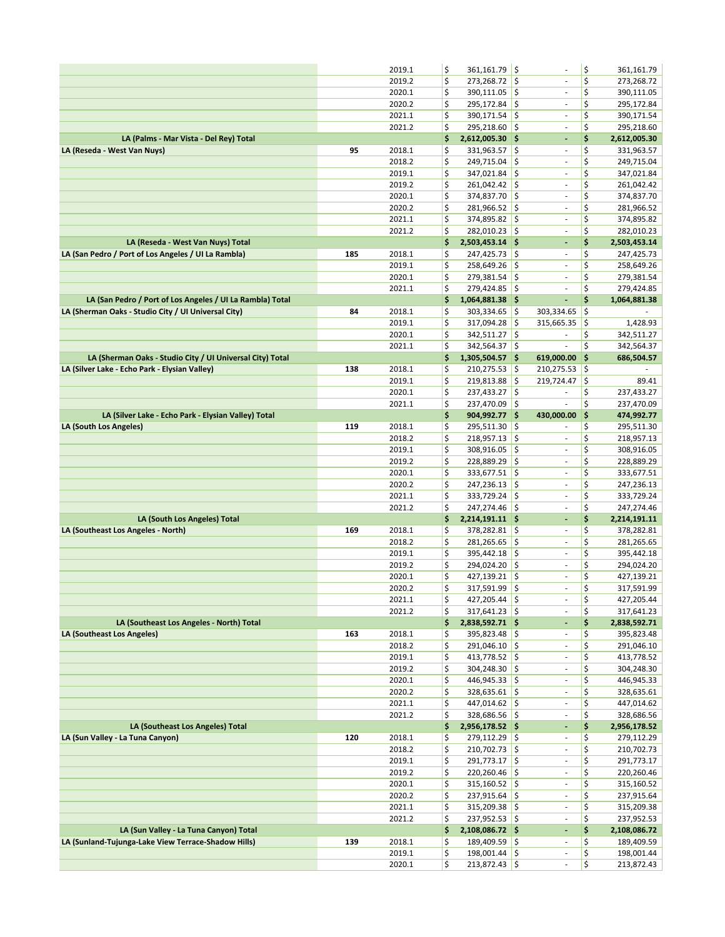|                                                           |     | 2019.1           | \$       | 361,161.79 \$                    |            |                                                      | \$       | 361,161.79                 |
|-----------------------------------------------------------|-----|------------------|----------|----------------------------------|------------|------------------------------------------------------|----------|----------------------------|
|                                                           |     | 2019.2           | \$       | 273,268.72 \$                    |            | $\overline{\phantom{a}}$                             | \$       | 273,268.72                 |
|                                                           |     | 2020.1           | \$       | 390,111.05 \$                    |            | $\sim$                                               | \$       | 390,111.05                 |
|                                                           |     | 2020.2           | \$       | 295,172.84                       | ¦\$        | ÷                                                    | \$       | 295,172.84                 |
|                                                           |     | 2021.1           | \$       | 390,171.54                       | ¦\$        | $\sim$                                               | \$       | 390,171.54                 |
| LA (Palms - Mar Vista - Del Rey) Total                    |     | 2021.2           | \$<br>\$ | 295,218.60 \$<br>2,612,005.30 \$ |            | $\overline{\phantom{a}}$<br>÷,                       | \$<br>\$ | 295,218.60<br>2,612,005.30 |
| LA (Reseda - West Van Nuys)                               | 95  | 2018.1           | \$       | 331,963.57                       | ١\$        | $\overline{\phantom{a}}$                             | \$       | 331,963.57                 |
|                                                           |     | 2018.2           | \$       | 249,715.04                       | ¦\$        | $\overline{\phantom{a}}$                             | \$       | 249,715.04                 |
|                                                           |     | 2019.1           | \$       | 347,021.84                       | ¦\$        | $\overline{\phantom{a}}$                             | \$       | 347,021.84                 |
|                                                           |     | 2019.2           | \$       | 261,042.42                       | ¦\$        | $\sim$                                               | \$       | 261,042.42                 |
|                                                           |     | 2020.1           | \$       | 374,837.70                       | ¦\$        | ÷                                                    | \$       | 374,837.70                 |
|                                                           |     | 2020.2           | \$       | 281,966.52 \$                    |            | $\sim$                                               | \$       | 281,966.52                 |
|                                                           |     | 2021.1           | \$       | 374,895.82 \$                    |            | $\sim$                                               | \$       | 374,895.82                 |
|                                                           |     | 2021.2           | \$       | 282,010.23                       | ¦\$        | ä,                                                   | \$       | 282,010.23                 |
| LA (Reseda - West Van Nuys) Total                         |     |                  | \$       | 2,503,453.14 \$                  |            | ٠                                                    | \$       | 2,503,453.14               |
| LA (San Pedro / Port of Los Angeles / UI La Rambla)       | 185 | 2018.1           | \$       | 247,425.73 \$                    |            | $\overline{\phantom{a}}$                             | \$       | 247,425.73                 |
|                                                           |     | 2019.1           | \$       | 258,649.26                       | ¦\$        | $\overline{\phantom{a}}$                             | \$       | 258,649.26                 |
|                                                           |     | 2020.1           | \$       | 279,381.54                       | ¦\$        | $\sim$                                               | \$<br>\$ | 279,381.54                 |
| LA (San Pedro / Port of Los Angeles / UI La Rambla) Total |     | 2021.1           | \$<br>\$ | 279,424.85<br>1,064,881.38 \$    | ¦\$        | ÷<br>٠                                               | \$       | 279,424.85<br>1,064,881.38 |
| LA (Sherman Oaks - Studio City / UI Universal City)       | 84  | 2018.1           | \$       | 303,334.65                       | ¦\$        | 303,334.65                                           | \$       |                            |
|                                                           |     | 2019.1           | \$       | 317,094.28                       | ¦\$        | 315,665.35                                           | \$       | 1,428.93                   |
|                                                           |     | 2020.1           | \$       | 342,511.27                       | ¦\$        | ÷                                                    | \$       | 342,511.27                 |
|                                                           |     | 2021.1           | \$       | 342,564.37                       | ١\$        |                                                      | \$       | 342,564.37                 |
| LA (Sherman Oaks - Studio City / UI Universal City) Total |     |                  | \$       | 1,305,504.57 \$                  |            | 619,000.00                                           | \$       | 686,504.57                 |
| LA (Silver Lake - Echo Park - Elysian Valley)             | 138 | 2018.1           | \$       | 210,275.53                       | l\$        | 210,275.53                                           | \$       |                            |
|                                                           |     | 2019.1           | \$       | 219,813.88                       | \$         | 219,724.47                                           | \$       | 89.41                      |
|                                                           |     | 2020.1           | \$       | 237,433.27                       | ¦\$        | $\overline{\phantom{a}}$                             | \$       | 237,433.27                 |
|                                                           |     | 2021.1           | \$       | 237,470.09                       | ١\$        | $\sim$                                               | \$       | 237,470.09                 |
| LA (Silver Lake - Echo Park - Elysian Valley) Total       |     |                  | \$       | 904,992.77 \$                    |            | 430,000.00                                           | \$       | 474,992.77                 |
| LA (South Los Angeles)                                    | 119 | 2018.1           | \$       | 295,511.30                       | ¦\$        | ÷                                                    | \$       | 295,511.30                 |
|                                                           |     | 2018.2           | \$       | $218,957.13$ \$                  |            | $\overline{\phantom{a}}$                             | \$<br>\$ | 218,957.13                 |
|                                                           |     | 2019.1<br>2019.2 | \$<br>\$ | 308,916.05<br>228,889.29         | ¦\$<br>¦\$ | $\sim$<br>ä,                                         | \$       | 308,916.05<br>228,889.29   |
|                                                           |     | 2020.1           | \$       | 333,677.51                       | ¦\$        | $\sim$                                               | \$       | 333,677.51                 |
|                                                           |     | 2020.2           | \$       | 247,236.13                       | ¦\$        | $\overline{\phantom{a}}$                             | \$       | 247,236.13                 |
|                                                           |     | 2021.1           | \$       | 333,729.24                       | ¦\$        | $\overline{\phantom{a}}$                             | \$       | 333,729.24                 |
|                                                           |     | 2021.2           | \$       | 247,274.46                       | ¦\$        | $\bar{\phantom{a}}$                                  | \$       | 247,274.46                 |
| LA (South Los Angeles) Total                              |     |                  | \$       | 2,214,191.11 \$                  |            | ٠                                                    | \$       | 2,214,191.11               |
| LA (Southeast Los Angeles - North)                        | 169 | 2018.1           | \$       | 378,282.81 \$                    |            | $\overline{\phantom{a}}$                             | \$       | 378,282.81                 |
|                                                           |     | 2018.2           | \$       | 281,265.65                       | ¦\$        | $\overline{\phantom{a}}$                             | \$       | 281,265.65                 |
|                                                           |     | 2019.1           | \$       | 395,442.18 \$                    |            | $\overline{\phantom{a}}$                             | \$       | 395,442.18                 |
|                                                           |     | 2019.2           | \$       | 294,024.20                       | ¦\$        | $\overline{\phantom{a}}$                             | \$       | 294,024.20                 |
|                                                           |     | 2020.1<br>2020.2 | \$<br>\$ | 427,139.21<br>317,591.99         | ١\$<br>¦\$ | $\blacksquare$<br>ä,                                 | \$<br>\$ | 427,139.21                 |
|                                                           |     | 2021.1           | \$       | $427,205.44$ \$                  |            | ä,                                                   | \$       | 317,591.99<br>427,205.44   |
|                                                           |     | 2021.2           | \$       | $317,641.23$ \$                  |            | $\blacksquare$                                       | \$       | 317,641.23                 |
| LA (Southeast Los Angeles - North) Total                  |     |                  | \$       | 2,838,592.71 \$                  |            | ٠                                                    | \$       | 2,838,592.71               |
| LA (Southeast Los Angeles)                                | 163 | 2018.1           | \$       | 395,823.48 \$                    |            | $\sim$                                               | \$       | 395,823.48                 |
|                                                           |     | 2018.2           | \$       | 291,046.10 \$                    |            | $\overline{\phantom{a}}$                             | \$       | 291,046.10                 |
|                                                           |     | 2019.1           | \$       | 413,778.52 \$                    |            | $\blacksquare$                                       | \$       | 413,778.52                 |
|                                                           |     | 2019.2           | \$       | 304,248.30 \$                    |            | ٠                                                    | \$       | 304,248.30                 |
|                                                           |     | 2020.1           | \$       | 446,945.33 \$                    |            | $\blacksquare$                                       | \$       | 446,945.33                 |
|                                                           |     | 2020.2           | \$       | $328,635.61$ \$                  |            | $\overline{\phantom{a}}$                             | \$       | 328,635.61                 |
|                                                           |     | 2021.1<br>2021.2 | \$<br>\$ | 447,014.62 \$<br>328,686.56 \$   |            | $\overline{\phantom{a}}$<br>$\overline{\phantom{a}}$ | \$<br>\$ | 447,014.62                 |
| LA (Southeast Los Angeles) Total                          |     |                  | \$       | 2,956,178.52 \$                  |            | ٠                                                    | \$       | 328,686.56<br>2,956,178.52 |
| LA (Sun Valley - La Tuna Canyon)                          | 120 | 2018.1           | \$       | 279,112.29 \$                    |            | $\sim$                                               | \$       | 279,112.29                 |
|                                                           |     | 2018.2           | \$       | $210,702.73$ \$                  |            | ÷,                                                   | \$       | 210,702.73                 |
|                                                           |     | 2019.1           | \$       | 291,773.17 \$                    |            | ÷                                                    | \$       | 291,773.17                 |
|                                                           |     | 2019.2           | \$       | 220,260.46 \$                    |            | $\blacksquare$                                       | \$       | 220,260.46                 |
|                                                           |     | 2020.1           | \$       | $315,160.52$ \$                  |            | $\overline{\phantom{a}}$                             | \$       | 315,160.52                 |
|                                                           |     | 2020.2           | \$       | 237,915.64 \$                    |            | $\overline{\phantom{a}}$                             | \$       | 237,915.64                 |
|                                                           |     | 2021.1           | \$       | $315,209.38$ \$                  |            | $\blacksquare$                                       | \$       | 315,209.38                 |
|                                                           |     | 2021.2           | \$       | $237,952.53$ \$                  |            | $\bar{\phantom{a}}$                                  | \$       | 237,952.53                 |
| LA (Sun Valley - La Tuna Canyon) Total                    |     |                  | \$       | 2,108,086.72 \$                  |            | ÷                                                    | \$       | 2,108,086.72               |
| LA (Sunland-Tujunga-Lake View Terrace-Shadow Hills)       | 139 | 2018.1<br>2019.1 | \$<br>\$ | 189,409.59 \$<br>$198,001.44$ \$ |            | $\overline{\phantom{a}}$<br>٠                        | \$<br>\$ | 189,409.59<br>198,001.44   |
|                                                           |     | 2020.1           | \$       | $213,872.43$ \$                  |            | ä,                                                   | \$       | 213,872.43                 |
|                                                           |     |                  |          |                                  |            |                                                      |          |                            |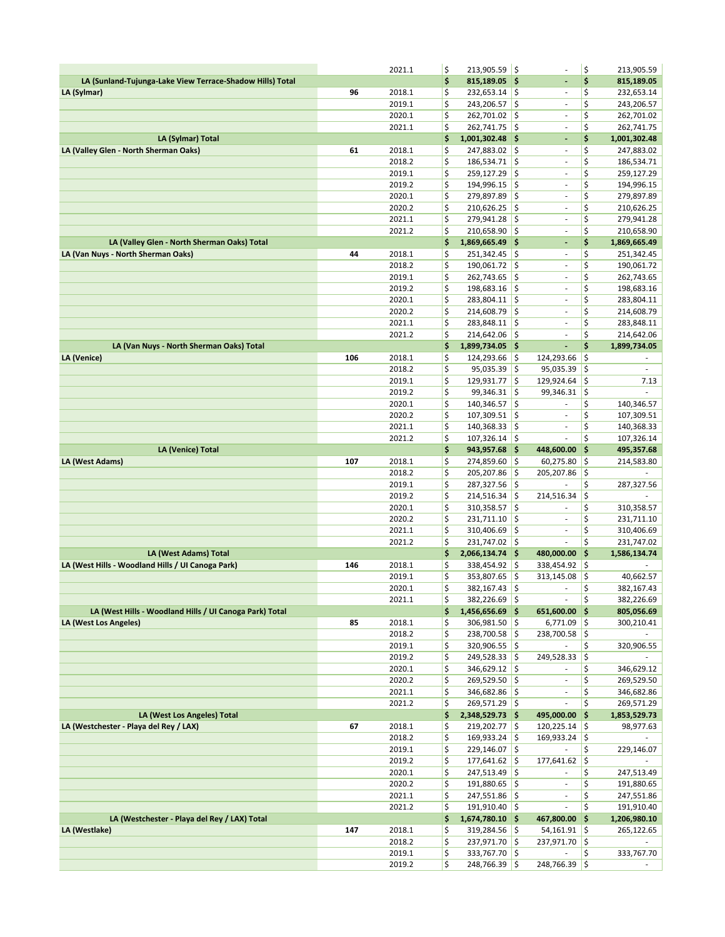|                                                                                   |     | 2021.1           | \$       | $213,905.59$ \$                  |                    |                                                      | \$                       | 213,905.59                 |
|-----------------------------------------------------------------------------------|-----|------------------|----------|----------------------------------|--------------------|------------------------------------------------------|--------------------------|----------------------------|
| LA (Sunland-Tujunga-Lake View Terrace-Shadow Hills) Total                         |     |                  | \$       | 815,189.05 \$                    |                    | ÷,                                                   | \$                       | 815,189.05                 |
| LA (Sylmar)                                                                       | 96  | 2018.1           | \$       | $232,653.14$ \$                  |                    | $\sim$                                               | \$                       | 232,653.14                 |
|                                                                                   |     | 2019.1           | \$       | 243,206.57                       | ¦\$                | ÷                                                    | \$                       | 243,206.57                 |
|                                                                                   |     | 2020.1           | \$       | 262,701.02                       | ¦\$                | $\overline{\phantom{a}}$                             | \$                       | 262,701.02                 |
|                                                                                   |     | 2021.1           | \$       | 262,741.75                       | ¦\$                | ÷,                                                   | \$                       | 262,741.75                 |
| LA (Sylmar) Total                                                                 |     |                  | \$       | 1,001,302.48                     | ∣\$                | L,                                                   | \$                       | 1,001,302.48               |
| LA (Valley Glen - North Sherman Oaks)                                             | 61  | 2018.1           | \$       | 247,883.02 \$                    |                    | $\qquad \qquad \blacksquare$                         | \$                       | 247,883.02                 |
|                                                                                   |     | 2018.2           | \$       | 186,534.71 \$                    |                    | ÷,                                                   | \$                       | 186,534.71                 |
|                                                                                   |     | 2019.1           | \$       | 259,127.29                       | ¦\$                | $\overline{\phantom{a}}$                             | \$                       | 259,127.29                 |
|                                                                                   |     | 2019.2           | \$       | 194,996.15                       | $\frac{1}{2}$      | ÷                                                    | \$                       | 194,996.15                 |
|                                                                                   |     | 2020.1           | \$       | 279,897.89                       | ¦\$                | ÷                                                    | \$                       | 279,897.89                 |
|                                                                                   |     | 2020.2           | \$       | 210,626.25                       | ¦\$                | $\bar{\phantom{a}}$                                  | \$                       | 210,626.25                 |
|                                                                                   |     | 2021.1           | \$       | 279,941.28                       | ¦\$                | $\overline{\phantom{a}}$                             | \$                       | 279,941.28                 |
|                                                                                   |     | 2021.2           | \$       | 210,658.90                       | $\frac{1}{2}$      | $\omega$                                             | \$                       | 210,658.90                 |
| LA (Valley Glen - North Sherman Oaks) Total<br>LA (Van Nuys - North Sherman Oaks) | 44  | 2018.1           | \$<br>\$ | 1,869,665.49 \$<br>251,342.45    | $\frac{1}{2}$      | ٠<br>$\overline{\phantom{a}}$                        | \$<br>\$                 | 1,869,665.49<br>251,342.45 |
|                                                                                   |     | 2018.2           | \$       | 190,061.72                       | ¦\$                | $\sim$                                               | \$                       | 190,061.72                 |
|                                                                                   |     | 2019.1           | \$       | 262,743.65                       | ¦\$                | ÷                                                    | \$                       | 262,743.65                 |
|                                                                                   |     | 2019.2           | \$       | 198,683.16                       | ¦\$                | ÷,                                                   | \$                       | 198,683.16                 |
|                                                                                   |     | 2020.1           | \$       | 283,804.11                       | $\frac{1}{2}$      | $\overline{\phantom{a}}$                             | \$                       | 283,804.11                 |
|                                                                                   |     | 2020.2           | \$       | 214,608.79                       | ¦\$                | $\overline{\phantom{a}}$                             | \$                       | 214,608.79                 |
|                                                                                   |     | 2021.1           | \$       | 283,848.11                       | $\frac{1}{2}$      | $\sim$                                               | \$                       | 283,848.11                 |
|                                                                                   |     | 2021.2           | \$       | 214,642.06                       | ¦\$                | ÷                                                    | \$                       | 214,642.06                 |
| LA (Van Nuys - North Sherman Oaks) Total                                          |     |                  | \$       | 1,899,734.05 \$                  |                    | L,                                                   | \$                       | 1,899,734.05               |
| LA (Venice)                                                                       | 106 | 2018.1           | \$       | 124,293.66                       | ¦\$                | 124,293.66                                           | \$                       |                            |
|                                                                                   |     | 2018.2           | \$       | 95,035.39                        | \$                 | 95,035.39                                            | \$                       | $\overline{\phantom{a}}$   |
|                                                                                   |     | 2019.1           | \$       | 129,931.77                       | ¦\$                | 129,924.64                                           | \$                       | 7.13                       |
|                                                                                   |     | 2019.2           | \$       | 99,346.31                        | ¦\$                | 99,346.31                                            | \$                       |                            |
|                                                                                   |     | 2020.1           | \$       | 140,346.57                       | ¦\$                | ä,                                                   | \$                       | 140,346.57                 |
|                                                                                   |     | 2020.2           | \$       | 107,309.51                       | \$                 | $\bar{\phantom{a}}$                                  | \$                       | 107,309.51                 |
|                                                                                   |     | 2021.1           | \$       | 140,368.33                       | \$                 | $\blacksquare$                                       | \$                       | 140,368.33                 |
|                                                                                   |     | 2021.2           | \$       | 107,326.14                       | ¦\$                |                                                      | \$                       | 107,326.14                 |
| LA (Venice) Total                                                                 |     |                  | \$       | 943,957.68                       | ∣\$                | 448,600.00                                           | \$                       | 495,357.68                 |
| LA (West Adams)                                                                   | 107 | 2018.1           | \$       | 274,859.60                       | ¦\$                | 60,275.80                                            | \$                       | 214,583.80                 |
|                                                                                   |     | 2018.2<br>2019.1 | \$<br>\$ | 205,207.86<br>287,327.56         | \$<br>¦\$          | 205,207.86                                           | \$<br>\$                 | 287,327.56                 |
|                                                                                   |     | 2019.2           | \$       | 214,516.34                       | ¦\$                | 214,516.34                                           | \$                       |                            |
|                                                                                   |     | 2020.1           | \$       | 310,358.57                       | $\frac{1}{2}$      |                                                      | \$                       | 310,358.57                 |
|                                                                                   |     | 2020.2           | \$       | 231,711.10                       | ¦\$                | ä,                                                   | \$                       | 231,711.10                 |
|                                                                                   |     | 2021.1           | \$       | 310,406.69                       | ¦\$                | ä,                                                   | \$                       | 310,406.69                 |
|                                                                                   |     | 2021.2           | \$       | 231,747.02                       | ¦\$                | $\sim$                                               | \$                       | 231,747.02                 |
| LA (West Adams) Total                                                             |     |                  | \$       | 2,066,134.74 \$                  |                    | 480,000.00                                           | \$                       | 1,586,134.74               |
| LA (West Hills - Woodland Hills / UI Canoga Park)                                 | 146 | 2018.1           | \$       | 338,454.92                       | ¦\$                | 338,454.92                                           | \$                       |                            |
|                                                                                   |     | 2019.1           | \$       | 353,807.65                       | ¦\$                | 313,145.08                                           | \$                       | 40,662.57                  |
|                                                                                   |     | 2020.1           | \$       | 382,167.43                       | ¦\$                | ÷,                                                   | \$                       | 382,167.43                 |
|                                                                                   |     | 2021.1           | \$       | 382,226.69 \$                    |                    | $\sim$                                               | \$                       | 382,226.69                 |
| LA (West Hills - Woodland Hills / UI Canoga Park) Total                           |     |                  | \$       | 1,456,656.69 \$                  |                    | 651,600.00                                           | - 15                     | 805,056.69                 |
| LA (West Los Angeles)                                                             | 85  | 2018.1           | \$       | $306,981.50$ \$                  |                    | $6,771.09$ \$                                        |                          | 300,210.41                 |
|                                                                                   |     | 2018.2           | \$       | 238,700.58 \$                    |                    | 238,700.58 \$                                        |                          |                            |
|                                                                                   |     | 2019.1           | \$       | 320,906.55 \$                    |                    |                                                      | \$                       | 320,906.55                 |
|                                                                                   |     | 2019.2           | \$       | 249,528.33                       | $\ddot{\varsigma}$ | 249,528.33                                           | ∣\$                      |                            |
|                                                                                   |     | 2020.1<br>2020.2 | \$       | 346,629.12 \$                    |                    | $\overline{\phantom{a}}$<br>$\overline{\phantom{a}}$ | \$<br>\$                 | 346,629.12                 |
|                                                                                   |     | 2021.1           | \$<br>\$ | $269,529.50$ \$<br>346,682.86 \$ |                    | $\bar{\phantom{a}}$                                  | \$                       | 269,529.50<br>346,682.86   |
|                                                                                   |     | 2021.2           | \$       | 269,571.29 \$                    |                    | $\overline{\phantom{a}}$                             | \$                       | 269,571.29                 |
| LA (West Los Angeles) Total                                                       |     |                  | \$       | 2,348,529.73 \$                  |                    | 495,000.00                                           | ∣\$                      | 1,853,529.73               |
| LA (Westchester - Playa del Rey / LAX)                                            | 67  | 2018.1           | \$       | 219,202.77 \$                    |                    | 120,225.14                                           | $\vert \mathbf{S} \vert$ | 98,977.63                  |
|                                                                                   |     | 2018.2           | \$       | $169,933.24$ \$                  |                    | 169,933.24 \$                                        |                          |                            |
|                                                                                   |     | 2019.1           | \$       | $229,146.07$ \$                  |                    |                                                      | \$                       | 229,146.07                 |
|                                                                                   |     | 2019.2           | \$       | $177,641.62$ \$                  |                    | 177,641.62 \$                                        |                          |                            |
|                                                                                   |     | 2020.1           | \$       | 247,513.49 \$                    |                    | $\sim$                                               | \$                       | 247,513.49                 |
|                                                                                   |     | 2020.2           | \$       | 191,880.65 \$                    |                    | $\bar{\phantom{a}}$                                  | \$                       | 191,880.65                 |
|                                                                                   |     | 2021.1           | \$       | 247,551.86 \$                    |                    | $\blacksquare$                                       | \$                       | 247,551.86                 |
|                                                                                   |     | 2021.2           | \$       | $191,910.40$ \$                  |                    | $\sim$                                               | \$                       | 191,910.40                 |
| LA (Westchester - Playa del Rey / LAX) Total                                      |     |                  | \$       | 1,674,780.10 \$                  |                    | 467,800.00                                           | ∣\$                      | 1,206,980.10               |
| LA (Westlake)                                                                     | 147 | 2018.1           | \$       | $319,284.56$ \$                  |                    | $54,161.91$ \$                                       |                          | 265,122.65                 |
|                                                                                   |     |                  |          |                                  |                    |                                                      |                          |                            |
|                                                                                   |     | 2018.2           | \$       | 237,971.70 \$                    |                    | 237,971.70 \$                                        |                          |                            |
|                                                                                   |     | 2019.1<br>2019.2 | \$<br>\$ | 333,767.70 \$<br>$248,766.39$ \$ |                    | 248,766.39 \$                                        | \$                       | 333,767.70                 |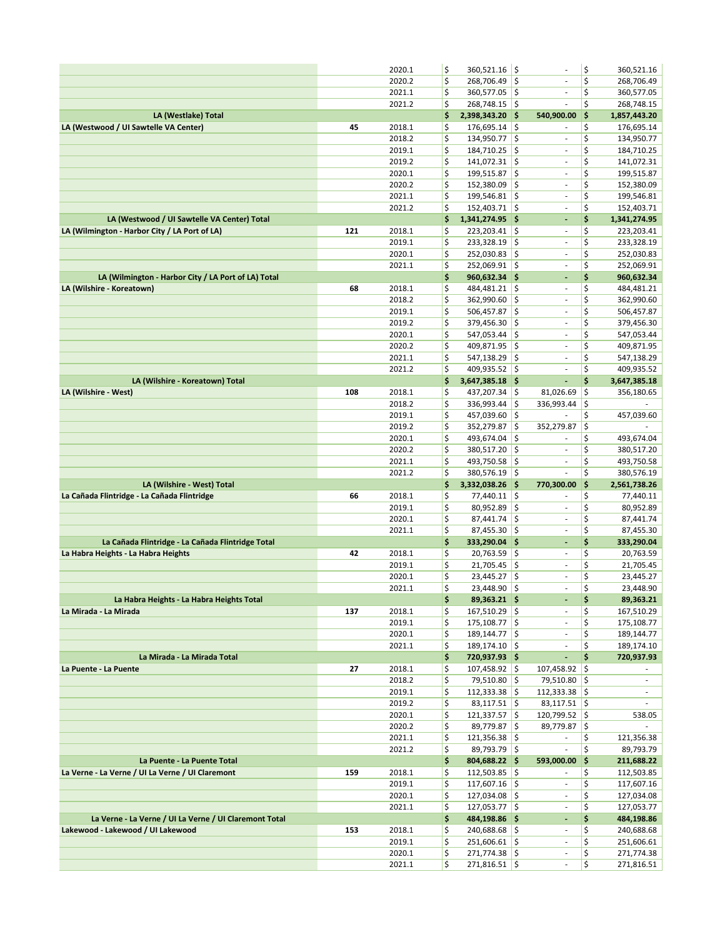|                                                        |     | 2020.1           | \$       | 360,521.16 \$                    |               |                                    | \$       | 360,521.16               |
|--------------------------------------------------------|-----|------------------|----------|----------------------------------|---------------|------------------------------------|----------|--------------------------|
|                                                        |     | 2020.2           | \$       | 268,706.49                       | ¦\$           | $\bar{\phantom{a}}$                | \$       | 268,706.49               |
|                                                        |     | 2021.1           | \$       | 360,577.05 \$                    |               | $\overline{\phantom{a}}$           | \$       | 360,577.05               |
|                                                        |     | 2021.2           | \$       | 268,748.15                       | ¦\$           | ä,                                 | \$       | 268,748.15               |
| LA (Westlake) Total                                    |     |                  | \$       | 2,398,343.20 \$                  |               | 540,900.00                         | \$       | 1,857,443.20             |
| LA (Westwood / UI Sawtelle VA Center)                  | 45  | 2018.1           | \$       | 176,695.14                       | $\frac{1}{2}$ | $\sim$                             | \$       | 176,695.14               |
|                                                        |     | 2018.2           | \$       | 134,950.77                       | $\frac{1}{2}$ | $\bar{\phantom{a}}$                | \$       | 134,950.77               |
|                                                        |     | 2019.1           | \$       | 184,710.25                       | ¦\$           | $\overline{\phantom{a}}$           | \$       | 184,710.25               |
|                                                        |     | 2019.2           | \$       | 141,072.31 \$                    |               | $\overline{\phantom{a}}$           | \$       | 141,072.31               |
|                                                        |     | 2020.1           | \$       | 199,515.87                       | ¦\$           | $\overline{\phantom{a}}$           | \$       | 199,515.87               |
|                                                        |     | 2020.2           | \$       | 152,380.09                       | ¦\$           | $\sim$                             | \$       | 152,380.09               |
|                                                        |     | 2021.1           | \$       | 199,546.81                       | $\frac{1}{2}$ | ä,                                 | \$       | 199,546.81               |
|                                                        |     | 2021.2           | \$       | 152,403.71 \$                    |               | ä,                                 | \$       | 152,403.71               |
| LA (Westwood / UI Sawtelle VA Center) Total            |     |                  | \$       | 1,341,274.95 \$                  |               | $\blacksquare$                     | \$       | 1,341,274.95             |
| LA (Wilmington - Harbor City / LA Port of LA)          | 121 | 2018.1           | \$       | 223,203.41                       | ¦\$           | ä,                                 | \$       | 223,203.41               |
|                                                        |     | 2019.1           | \$       | 233,328.19                       | ¦\$           | $\overline{\phantom{a}}$           | \$       | 233,328.19               |
|                                                        |     | 2020.1           | \$       | 252,030.83                       | ¦\$           | $\overline{\phantom{a}}$           | \$       |                          |
|                                                        |     | 2021.1           | \$       | 252,069.91 \$                    |               | $\overline{\phantom{a}}$           | \$       | 252,030.83<br>252,069.91 |
|                                                        |     |                  |          | 960,632.34 \$                    |               |                                    | \$       |                          |
| LA (Wilmington - Harbor City / LA Port of LA) Total    |     |                  | \$       |                                  |               | ÷,                                 |          | 960,632.34               |
| LA (Wilshire - Koreatown)                              | 68  | 2018.1           | \$       | 484,481.21 \$                    |               | $\overline{\phantom{a}}$           | \$       | 484,481.21               |
|                                                        |     | 2018.2           | \$       | 362,990.60                       | ¦\$           | $\overline{\phantom{a}}$           | \$       | 362,990.60               |
|                                                        |     | 2019.1           | \$       | 506,457.87                       | ¦\$           | $\bar{\phantom{a}}$                | \$       | 506,457.87               |
|                                                        |     | 2019.2           | \$       | 379,456.30                       | $\frac{1}{2}$ | ä,                                 | \$       | 379,456.30               |
|                                                        |     | 2020.1           | \$       | 547,053.44                       | \$            | $\overline{\phantom{a}}$           | \$       | 547,053.44               |
|                                                        |     | 2020.2           | \$       | 409,871.95 \$                    |               | ÷,                                 | \$       | 409,871.95               |
|                                                        |     | 2021.1           | \$       | 547,138.29                       | ¦\$           | $\overline{\phantom{a}}$           | \$       | 547,138.29               |
|                                                        |     | 2021.2           | \$       | 409,935.52 \$                    |               | ä,                                 | \$       | 409,935.52               |
| LA (Wilshire - Koreatown) Total                        |     |                  | \$       | 3,647,385.18 \$                  |               | ä,                                 | \$       | 3,647,385.18             |
| LA (Wilshire - West)                                   | 108 | 2018.1           | \$       | 437,207.34                       | ¦\$           | 81,026.69                          | \$       | 356,180.65               |
|                                                        |     | 2018.2           | \$       | 336,993.44                       | ¦\$           | 336,993.44                         | \$       | $\sim$                   |
|                                                        |     | 2019.1           | \$       | 457,039.60                       | $\frac{1}{2}$ |                                    | \$       | 457,039.60               |
|                                                        |     | 2019.2           | \$       | 352,279.87                       | ¦\$           | 352,279.87                         | \$       |                          |
|                                                        |     | 2020.1           | \$       | 493,674.04                       | $\frac{1}{2}$ |                                    | \$       | 493,674.04               |
|                                                        |     | 2020.2           | \$       | 380,517.20                       | ¦\$           | $\overline{\phantom{a}}$           | \$       | 380,517.20               |
|                                                        |     | 2021.1           | \$       | 493,750.58                       | ١\$           | $\blacksquare$                     | \$       | 493,750.58               |
|                                                        |     |                  |          |                                  |               |                                    |          |                          |
|                                                        |     | 2021.2           | \$       | 380,576.19                       | $\frac{1}{2}$ |                                    | \$       | 380,576.19               |
| LA (Wilshire - West) Total                             |     |                  | \$       | 3,332,038.26                     | - 1\$         | 770,300.00                         | \$       | 2,561,738.26             |
| La Cañada Flintridge - La Cañada Flintridge            | 66  | 2018.1           | \$       |                                  |               | $\sim$                             | \$       | 77,440.11                |
|                                                        |     | 2019.1           | \$       | 77,440.11 \$<br>80,952.89        |               | $\sim$                             | \$       |                          |
|                                                        |     | 2020.1           |          |                                  | ¦\$<br>¦\$    | $\sim$                             |          | 80,952.89                |
|                                                        |     |                  | \$       | 87,441.74                        |               | ÷,                                 | \$       | 87,441.74                |
|                                                        |     | 2021.1           | \$       | 87,455.30                        | ¦\$           | $\overline{\phantom{a}}$           | \$       | 87,455.30                |
| La Cañada Flintridge - La Cañada Flintridge Total      |     |                  | \$       | 333,290.04 \$                    |               | $\overline{\phantom{a}}$           | \$       | 333,290.04               |
| La Habra Heights - La Habra Heights                    | 42  | 2018.1           | \$       | $20,763.59$ \$                   |               | ä,                                 | \$       | 20,763.59                |
|                                                        |     | 2019.1           | \$       | 21,705.45                        | ¦\$           |                                    | \$       | 21,705.45                |
|                                                        |     | 2020.1           | \$       | 23,445.27                        | ¦\$           | $\qquad \qquad \blacksquare$<br>ä, | \$       | 23,445.27                |
|                                                        |     | 2021.1           | \$       | 23,448.90                        | ¦\$           |                                    | \$       | 23,448.90                |
| La Habra Heights - La Habra Heights Total              |     |                  | \$       | 89,363.21 \$                     |               | ٠                                  | \$       | 89,363.21                |
| La Mirada - La Mirada                                  | 137 | 2018.1           | \$       | $167,510.29$ \$                  |               | $\overline{\phantom{a}}$           | \$       | 167,510.29               |
|                                                        |     | 2019.1           | \$       | 175,108.77 \$                    |               | $\sim$                             | \$       | 175,108.77               |
|                                                        |     | 2020.1           | \$       | 189,144.77 \$                    |               | $\blacksquare$                     | \$       | 189,144.77               |
|                                                        |     | 2021.1           | \$       | 189,174.10 \$                    |               | $\overline{\phantom{a}}$           | \$       | 189,174.10               |
| La Mirada - La Mirada Total                            |     |                  | \$       | 720,937.93 \$                    |               | ä,                                 | \$       | 720,937.93               |
| La Puente - La Puente                                  | 27  | 2018.1           | \$       | $107,458.92$ \$                  |               | 107,458.92 \$                      |          |                          |
|                                                        |     | 2018.2           | \$       | 79,510.80 \$                     |               | 79,510.80 \$                       |          | ٠                        |
|                                                        |     | 2019.1           | \$       | $112,333.38$ \$                  |               | $112,333.38$ \$                    |          | $\overline{\phantom{a}}$ |
|                                                        |     | 2019.2           | \$       | $83,117.51$ \$                   |               | $83,117.51$ \$                     |          | $\sim$                   |
|                                                        |     | 2020.1           | \$       | $121,337.57$ \$                  |               | $120,799.52$ \$                    |          | 538.05                   |
|                                                        |     | 2020.2           | \$       | $89,779.87$ \$                   |               | 89,779.87 \$                       |          | ٠                        |
|                                                        |     | 2021.1           | \$       | $121,356.38$ \$                  |               | $\overline{\phantom{a}}$           | \$       | 121,356.38               |
|                                                        |     | 2021.2           | \$       | $89,793.79$ \$                   |               | $\overline{\phantom{a}}$           | \$       | 89,793.79                |
| La Puente - La Puente Total                            |     |                  | \$       | 804,688.22 \$                    |               | 593,000.00                         | \$       | 211,688.22               |
| La Verne - La Verne / UI La Verne / UI Claremont       | 159 | 2018.1           | \$       | $112,503.85$ \$                  |               | $\sim$                             | \$       | 112,503.85               |
|                                                        |     | 2019.1           | \$       | $117,607.16$ \$                  |               | $\sim$                             | \$       | 117,607.16               |
|                                                        |     | 2020.1           | \$       | 127,034.08 \$                    |               | $\overline{\phantom{a}}$           | \$       | 127,034.08               |
|                                                        |     | 2021.1           | \$       | $127,053.77$ \$                  |               | $\overline{\phantom{a}}$           | \$       | 127,053.77               |
| La Verne - La Verne / UI La Verne / UI Claremont Total |     |                  | \$       | 484,198.86 \$                    |               | $\overline{\phantom{a}}$           | \$       | 484,198.86               |
| Lakewood - Lakewood / UI Lakewood                      | 153 | 2018.1           | \$       | 240,688.68 \$                    |               | $\sim$                             | \$       | 240,688.68               |
|                                                        |     | 2019.1           | \$       | $251,606.61$ \$                  |               | $\blacksquare$                     | \$       | 251,606.61               |
|                                                        |     | 2020.1<br>2021.1 | \$<br>\$ | 271,774.38 \$<br>$271,816.51$ \$ |               | $\blacksquare$                     | \$<br>\$ | 271,774.38<br>271,816.51 |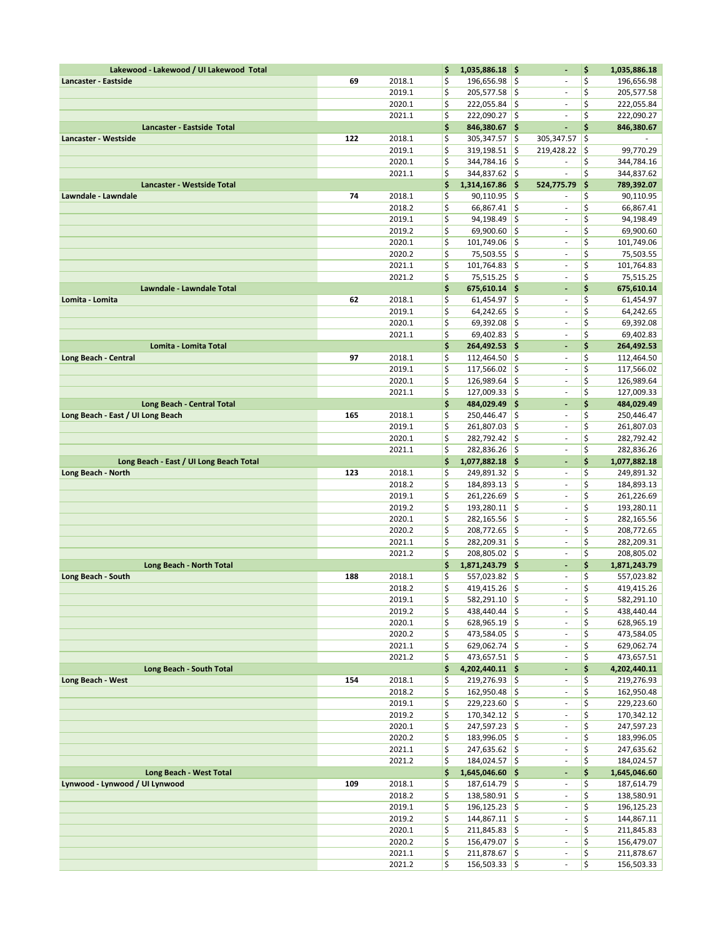| Lakewood - Lakewood / UI Lakewood Total      |     |                  | \$       | 1,035,886.18 \$                   |               | $\blacksquare$                                  | \$       | 1,035,886.18               |
|----------------------------------------------|-----|------------------|----------|-----------------------------------|---------------|-------------------------------------------------|----------|----------------------------|
| Lancaster - Eastside                         | 69  | 2018.1           | \$       | 196,656.98 \$                     |               | $\sim$                                          | \$       | 196,656.98                 |
|                                              |     | 2019.1           | \$       | 205,577.58 \$                     |               | ÷,                                              | \$       | 205,577.58                 |
|                                              |     | 2020.1           | \$       | 222,055.84                        | \$            |                                                 | \$       | 222,055.84                 |
|                                              |     | 2021.1           | \$       | 222,090.27 \$                     |               | ä,                                              | \$       | 222,090.27                 |
| Lancaster - Eastside Total                   |     |                  | \$       | 846,380.67 \$                     |               | ä,                                              | \$       | 846,380.67                 |
| Lancaster - Westside                         | 122 | 2018.1           | \$       | 305,347.57                        | ١\$           | 305,347.57                                      | \$       |                            |
|                                              |     | 2019.1<br>2020.1 | \$<br>\$ | 319,198.51<br>344,784.16          | l\$<br>I\$    | 219,428.22<br>$\sim$                            | \$<br>\$ | 99,770.29<br>344,784.16    |
|                                              |     | 2021.1           | \$       | 344,837.62 \$                     |               | $\overline{\phantom{a}}$                        | \$       | 344,837.62                 |
| Lancaster - Westside Total                   |     |                  | \$       | 1,314,167.86                      | - 15          | 524,775.79                                      | \$       | 789,392.07                 |
| Lawndale - Lawndale                          | 74  | 2018.1           | \$       | 90,110.95                         | ١\$           |                                                 | \$       | 90,110.95                  |
|                                              |     | 2018.2           | \$       | $66,867.41$ \$                    |               | $\overline{\phantom{a}}$                        | \$       | 66,867.41                  |
|                                              |     | 2019.1           | \$       | 94,198.49                         | \$            | $\overline{\phantom{a}}$                        | \$       | 94,198.49                  |
|                                              |     | 2019.2           | \$       | 69,900.60                         | ¦\$           | ä,                                              | \$       | 69,900.60                  |
|                                              |     | 2020.1           | \$       | 101,749.06                        | \$ ا          | ÷,                                              | \$       | 101,749.06                 |
|                                              |     | 2020.2           | \$       | 75,503.55                         | ∣\$           | ÷                                               | \$       | 75,503.55                  |
|                                              |     | 2021.1           | \$       | 101,764.83                        | ∣\$           | $\overline{\phantom{a}}$                        | \$       | 101,764.83                 |
|                                              |     | 2021.2           | \$       | 75,515.25 \$                      |               | $\overline{\phantom{a}}$                        | \$       | 75,515.25                  |
| Lawndale - Lawndale Total<br>Lomita - Lomita | 62  | 2018.1           | \$<br>\$ | $675,610.14$ \$<br>$61,454.97$ \$ |               | ÷,<br>$\bar{\phantom{a}}$                       | \$<br>\$ | 675,610.14<br>61,454.97    |
|                                              |     | 2019.1           | \$       | 64,242.65                         | ∣\$           | $\overline{\phantom{a}}$                        | \$       | 64,242.65                  |
|                                              |     | 2020.1           | \$       | 69,392.08                         | ۱\$           | ä,                                              | \$       | 69,392.08                  |
|                                              |     | 2021.1           | \$       | $69,402.83$ \$                    |               | ä,                                              | \$       | 69,402.83                  |
| <b>Lomita - Lomita Total</b>                 |     |                  | \$       | 264,492.53 \$                     |               | $\blacksquare$                                  | \$       | 264,492.53                 |
| Long Beach - Central                         | 97  | 2018.1           | \$       | 112,464.50                        | \$            | $\overline{\phantom{a}}$                        | \$       | 112,464.50                 |
|                                              |     | 2019.1           | \$       | 117,566.02                        | ١\$           | ÷,                                              | \$       | 117,566.02                 |
|                                              |     | 2020.1           | \$       | 126,989.64                        | $\frac{1}{2}$ | ä,                                              | \$       | 126,989.64                 |
|                                              |     | 2021.1           | \$       | 127,009.33 \$                     |               | $\overline{\phantom{a}}$                        | \$       | 127,009.33                 |
| Long Beach - Central Total                   |     | 2018.1           | \$<br>\$ | 484,029.49 \$                     |               | $\blacksquare$<br>$\overline{\phantom{a}}$      | \$<br>\$ | 484,029.49                 |
| Long Beach - East / UI Long Beach            | 165 | 2019.1           | \$       | 250,446.47 \$<br>261,807.03       | ١\$           | $\overline{\phantom{a}}$                        | \$       | 250,446.47<br>261,807.03   |
|                                              |     | 2020.1           | \$       | 282,792.42 \$                     |               | ÷,                                              | \$       | 282,792.42                 |
|                                              |     | 2021.1           | \$       | 282,836.26 \$                     |               | $\overline{\phantom{a}}$                        | \$       | 282,836.26                 |
| Long Beach - East / UI Long Beach Total      |     |                  | \$       | 1,077,882.18 \$                   |               | $\blacksquare$                                  | \$       | 1,077,882.18               |
| Long Beach - North                           | 123 | 2018.1           | \$       | 249,891.32 \$                     |               | $\overline{\phantom{a}}$                        | \$       | 249,891.32                 |
|                                              |     | 2018.2           | \$       | 184,893.13 \$                     |               | $\bar{\phantom{a}}$                             | \$       | 184,893.13                 |
|                                              |     | 2019.1           | \$       | 261,226.69                        | \$ ا          | $\bar{\phantom{a}}$                             | \$       | 261,226.69                 |
|                                              |     | 2019.2           | \$       | 193,280.11                        | ¦\$           | $\overline{\phantom{a}}$                        | \$       | 193,280.11                 |
|                                              |     | 2020.1           | \$       | 282,165.56                        | ¦\$           | ÷,<br>ä,                                        | \$       | 282,165.56                 |
|                                              |     | 2020.2<br>2021.1 | \$<br>\$ | 208,772.65<br>282,209.31 \$       | ∣\$           | $\sim$                                          | \$<br>\$ | 208,772.65<br>282,209.31   |
|                                              |     | 2021.2           | \$       | 208,805.02 \$                     |               | $\overline{\phantom{a}}$                        | \$       | 208,805.02                 |
| <b>Long Beach - North Total</b>              |     |                  | \$       | 1,871,243.79                      | - 15          | ÷,                                              | \$       | 1,871,243.79               |
| Long Beach - South                           | 188 | 2018.1           | \$       | 557,023.82 \$                     |               | $\sim$                                          | \$       | 557,023.82                 |
|                                              |     | 2018.2           | \$       | 419,415.26                        | İ\$           | ä,                                              | \$       | 419,415.26                 |
|                                              |     | 2019.1           | \$       | 582,291.10 \$                     |               | $\overline{\phantom{a}}$                        | \$       | 582,291.10                 |
|                                              |     | 2019.2           | \$       | 438,440.44 \$                     |               | $\blacksquare$                                  | \$       | 438,440.44                 |
|                                              |     | 2020.1           | \$       | $628,965.19$ \$                   |               | $\overline{\phantom{a}}$                        | \$       | 628,965.19                 |
|                                              |     | 2020.2           | \$<br>\$ | 473,584.05 \$                     |               | $\sim$<br>$\bar{\phantom{a}}$                   | \$       | 473,584.05                 |
|                                              |     | 2021.1<br>2021.2 | \$       | 629,062.74 \$<br>473,657.51 \$    |               | $\overline{\phantom{a}}$                        | \$<br>\$ | 629,062.74<br>473,657.51   |
| Long Beach - South Total                     |     |                  | \$       | 4,202,440.11 \$                   |               | ÷                                               | \$       | 4,202,440.11               |
| Long Beach - West                            | 154 | 2018.1           | \$       | 219,276.93 \$                     |               | $\overline{\phantom{a}}$                        | \$       | 219,276.93                 |
|                                              |     | 2018.2           | \$       | 162,950.48 \$                     |               | $\overline{\phantom{a}}$                        | \$       | 162,950.48                 |
|                                              |     | 2019.1           | \$       | 229,223.60 \$                     |               | $\blacksquare$                                  | \$       | 229,223.60                 |
|                                              |     | 2019.2           | \$       | $170,342.12$ \$                   |               | $\overline{\phantom{a}}$                        | \$       | 170,342.12                 |
|                                              |     | 2020.1           | \$       | 247,597.23 \$                     |               | $\overline{\phantom{a}}$                        | \$       | 247,597.23                 |
|                                              |     | 2020.2           | \$       | 183,996.05 \$                     |               | $\bar{\phantom{a}}$                             | \$       | 183,996.05                 |
|                                              |     | 2021.1           | \$<br>\$ | $247,635.62$ \$<br>184,024.57 \$  |               | $\overline{\phantom{a}}$<br>$\bar{\phantom{a}}$ | \$<br>\$ | 247,635.62                 |
| Long Beach - West Total                      |     | 2021.2           | \$       | 1,645,046.60 \$                   |               | $\overline{\phantom{a}}$                        | \$       | 184,024.57<br>1,645,046.60 |
| Lynwood - Lynwood / UI Lynwood               | 109 | 2018.1           | \$       | 187,614.79 \$                     |               | $\bar{\phantom{a}}$                             | \$       | 187,614.79                 |
|                                              |     | 2018.2           | \$       | 138,580.91 \$                     |               | $\overline{\phantom{a}}$                        | \$       | 138,580.91                 |
|                                              |     | 2019.1           | \$       | $196, 125.23$ \$                  |               | $\overline{\phantom{a}}$                        | \$       | 196,125.23                 |
|                                              |     | 2019.2           | \$       | $144,867.11$ \$                   |               | $\overline{\phantom{a}}$                        | \$       | 144,867.11                 |
|                                              |     | 2020.1           | \$       | $211,845.83$ \$                   |               | $\overline{\phantom{a}}$                        | \$       | 211,845.83                 |
|                                              |     | 2020.2           | \$       | 156,479.07 \$                     |               | ÷,                                              | \$       | 156,479.07                 |
|                                              |     | 2021.1           | \$       | 211,878.67 \$                     |               | $\blacksquare$                                  | \$       | 211,878.67                 |
|                                              |     | 2021.2           | \$       | $156,503.33$ \$                   |               |                                                 | \$       | 156,503.33                 |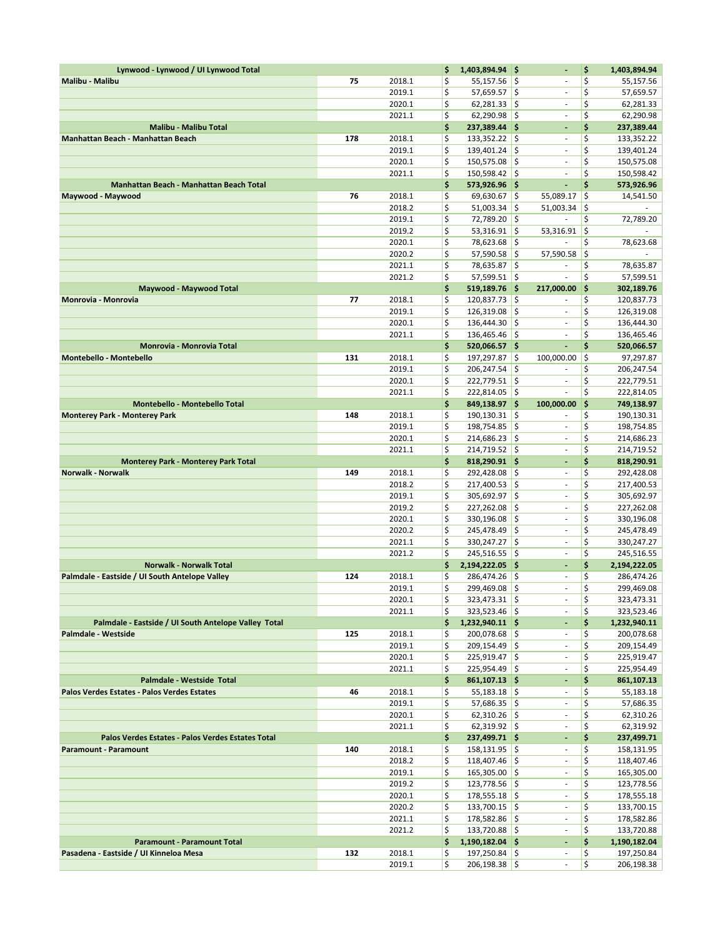| Lynwood - Lynwood / UI Lynwood Total                 |     |                  | \$       | 1,403,894.94 \$                    |            |                                | \$        | 1,403,894.94               |
|------------------------------------------------------|-----|------------------|----------|------------------------------------|------------|--------------------------------|-----------|----------------------------|
| Malibu - Malibu                                      | 75  | 2018.1           | \$       | 55,157.56                          | l\$        | $\overline{\phantom{a}}$       | \$        | 55,157.56                  |
|                                                      |     | 2019.1           | \$       | $57,659.57$ \$                     |            | $\blacksquare$                 | \$        | 57,659.57                  |
|                                                      |     | 2020.1           | \$       | 62,281.33                          | l\$        | ÷,                             | \$        | 62,281.33                  |
| <b>Malibu - Malibu Total</b>                         |     | 2021.1           | \$<br>\$ | 62,290.98<br>237,389.44 \$         | ∣\$        | $\overline{\phantom{a}}$<br>ä, | \$<br>\$  | 62,290.98<br>237,389.44    |
| Manhattan Beach - Manhattan Beach                    | 178 | 2018.1           | \$       | 133,352.22                         | \$ ا       | ä,                             | \$        | 133,352.22                 |
|                                                      |     | 2019.1           | \$       | 139,401.24 \$                      |            | $\blacksquare$                 | \$        | 139,401.24                 |
|                                                      |     | 2020.1           | \$       | 150,575.08                         | ۱\$        | ÷                              | \$        | 150,575.08                 |
|                                                      |     | 2021.1           | \$       | 150,598.42                         | ۱\$        | ä,                             | \$        | 150,598.42                 |
| <b>Manhattan Beach - Manhattan Beach Total</b>       |     |                  | \$       | 573,926.96 \$                      |            | ÷,                             | \$        | 573,926.96                 |
| Maywood - Maywood                                    | 76  | 2018.1           | \$       | 69,630.67                          | ¦\$        | 55,089.17                      | \$        | 14,541.50                  |
|                                                      |     | 2018.2           | \$       | 51,003.34                          | ¦\$        | 51,003.34                      | \$        |                            |
|                                                      |     | 2019.1           | \$       | 72,789.20                          | ١\$        | ä,                             | \$        | 72,789.20                  |
|                                                      |     | 2019.2<br>2020.1 | \$<br>\$ | 53,316.91                          | \$         | 53,316.91                      | ¦\$<br>\$ |                            |
|                                                      |     | 2020.2           | \$       | 78,623.68<br>57,590.58             | ١\$<br>۱\$ | 57,590.58                      | \$        | 78,623.68                  |
|                                                      |     | 2021.1           | \$       | 78,635.87                          | ¦\$        |                                | \$        | 78,635.87                  |
|                                                      |     | 2021.2           | \$       | 57,599.51                          | l\$        | ä,                             | \$        | 57,599.51                  |
| Maywood - Maywood Total                              |     |                  | \$       | $519,189.76$ \$                    |            | 217,000.00                     | \$        | 302,189.76                 |
| Monrovia - Monrovia                                  | 77  | 2018.1           | \$       | 120,837.73                         | I\$        | ٠                              | \$        | 120,837.73                 |
|                                                      |     | 2019.1           | \$       | 126,319.08                         | \$ ا       | $\overline{\phantom{a}}$       | \$        | 126,319.08                 |
|                                                      |     | 2020.1           | \$       | 136,444.30                         | \$         | ä,                             | \$        | 136,444.30                 |
|                                                      |     | 2021.1           | \$       | $136,465.46$ \$                    |            | $\blacksquare$                 | \$        | 136,465.46                 |
| Monrovia - Monrovia Total                            |     |                  | \$       | 520,066.57 \$                      |            | ÷,                             | \$        | 520,066.57                 |
| <b>Montebello - Montebello</b>                       | 131 | 2018.1<br>2019.1 | \$<br>\$ | 197,297.87<br>206,247.54           | \$<br>\$   | 100,000.00                     | \$<br>\$  | 97,297.87<br>206,247.54    |
|                                                      |     | 2020.1           | \$       | 222,779.51                         | l\$        | $\overline{\phantom{a}}$       | \$        | 222,779.51                 |
|                                                      |     | 2021.1           | \$       | 222,814.05                         | \$ ا       | ä,                             | \$        | 222,814.05                 |
| <b>Montebello - Montebello Total</b>                 |     |                  | \$       | 849,138.97 \$                      |            | 100,000.00                     | \$        | 749,138.97                 |
| <b>Monterey Park - Monterey Park</b>                 | 148 | 2018.1           | \$       | 190,130.31                         | l\$        | ä,                             | \$        | 190,130.31                 |
|                                                      |     | 2019.1           | \$       | 198,754.85                         | l\$        | $\blacksquare$                 | \$        | 198,754.85                 |
|                                                      |     | 2020.1           | \$       | 214,686.23                         | l\$        | ä,                             | \$        | 214,686.23                 |
|                                                      |     | 2021.1           | \$       | 214,719.52                         | ۱\$        | $\overline{\phantom{a}}$       | \$        | 214,719.52                 |
| <b>Monterey Park - Monterey Park Total</b>           |     |                  | \$       | 818,290.91 \$                      |            | ä,                             | \$        | 818,290.91                 |
| <b>Norwalk - Norwalk</b>                             | 149 | 2018.1<br>2018.2 | \$<br>\$ | 292,428.08<br>217,400.53           | ١\$<br>¦\$ | ٠<br>$\overline{\phantom{a}}$  | \$<br>\$  | 292,428.08<br>217,400.53   |
|                                                      |     | 2019.1           | \$       | 305,692.97                         | ١\$        | $\overline{\phantom{a}}$       | \$        | 305,692.97                 |
|                                                      |     | 2019.2           | \$       | 227,262.08                         | \$         | $\overline{\phantom{a}}$       | \$        | 227,262.08                 |
|                                                      |     | 2020.1           | \$       | 330,196.08                         | \$,        | $\blacksquare$                 | \$        | 330,196.08                 |
|                                                      |     | 2020.2           | \$       | 245,478.49                         | ١\$        | ä,                             | \$        | 245,478.49                 |
|                                                      |     | 2021.1           | \$       | 330,247.27                         | ¦\$        | $\overline{\phantom{a}}$       | \$        | 330,247.27                 |
|                                                      |     | 2021.2           | \$       | 245,516.55                         | ۱\$        | $\overline{\phantom{a}}$       | \$        | 245,516.55                 |
| <b>Norwalk - Norwalk Total</b>                       |     |                  | \$       | 2,194,222.05 \$                    |            | ÷,                             | \$        | 2,194,222.05               |
| Palmdale - Eastside / UI South Antelope Valley       | 124 | 2018.1           | \$       | 286,474.26 \$                      |            | $\overline{\phantom{a}}$<br>ä, | \$        | 286,474.26                 |
|                                                      |     | 2019.1<br>2020.1 | \$<br>\$ | 299,469.08<br>$323,473.31$ \$      | l\$        | $\overline{\phantom{a}}$       | \$<br>\$  | 299,469.08<br>323,473.31   |
|                                                      |     | 2021.1           | \$       | $323,523.46$ \$                    |            | $\blacksquare$                 | \$        | 323,523.46                 |
| Palmdale - Eastside / UI South Antelope Valley Total |     |                  | \$       | $1,232,940.11$ \$                  |            | $\blacksquare$                 | \$        | 1,232,940.11               |
| Palmdale - Westside                                  | 125 | 2018.1           | \$       | $200,078.68$ \$                    |            | $\overline{\phantom{a}}$       | \$        | 200,078.68                 |
|                                                      |     | 2019.1           | \$       | $209,154.49$ \$                    |            | $\sim$                         | \$        | 209,154.49                 |
|                                                      |     | 2020.1           | \$       | $225,919.47$ \$                    |            | $\blacksquare$                 | \$        | 225,919.47                 |
|                                                      |     | 2021.1           | \$       | $225,954.49$ \$                    |            | ÷,                             | \$        | 225,954.49                 |
| Palmdale - Westside Total                            |     |                  | \$       | $861,107.13$ \$                    |            | ٠                              | \$        | 861,107.13                 |
| Palos Verdes Estates - Palos Verdes Estates          | 46  | 2018.1           | \$       | $55,183.18$ \$                     |            | ÷,                             | \$        | 55,183.18                  |
|                                                      |     | 2019.1<br>2020.1 | \$<br>\$ | $57,686.35$ \$<br>$62,310.26$ \$   |            | $\blacksquare$<br>÷.           | \$<br>\$  | 57,686.35<br>62,310.26     |
|                                                      |     | 2021.1           | \$       | $62,319.92$ \$                     |            | ÷,                             | \$        | 62,319.92                  |
| Palos Verdes Estates - Palos Verdes Estates Total    |     |                  | \$       | 237,499.71 \$                      |            | ÷,                             | \$        | 237,499.71                 |
| Paramount - Paramount                                | 140 | 2018.1           | \$       | $158,131.95$ \$                    |            | $\blacksquare$                 | \$        | 158,131.95                 |
|                                                      |     | 2018.2           | \$       | $118,407.46$ \$                    |            | $\blacksquare$                 | \$        | 118,407.46                 |
|                                                      |     | 2019.1           | \$       | $165,305.00$ \$                    |            | $\overline{\phantom{a}}$       | \$        | 165,305.00                 |
|                                                      |     | 2019.2           | \$       | $123,778.56$ \$                    |            | $\overline{\phantom{a}}$       | \$        | 123,778.56                 |
|                                                      |     | 2020.1           | \$       | $178,555.18$ \$                    |            | $\blacksquare$                 | \$        | 178,555.18                 |
|                                                      |     | 2020.2           | \$       | $133,700.15$ \$                    |            | $\overline{\phantom{a}}$       | \$        | 133,700.15                 |
|                                                      |     | 2021.1<br>2021.2 | \$<br>\$ | $178,582.86$ \$<br>$133,720.88$ \$ |            | $\overline{\phantom{a}}$<br>÷, | \$<br>\$  | 178,582.86                 |
| <b>Paramount - Paramount Total</b>                   |     |                  | \$       | $1,190,182.04$ \$                  |            | ٠                              | \$        | 133,720.88<br>1,190,182.04 |
| Pasadena - Eastside / UI Kinneloa Mesa               | 132 | 2018.1           | \$       | $197,250.84$ \$                    |            | $\overline{\phantom{a}}$       | \$        | 197,250.84                 |
|                                                      |     | 2019.1           | \$       | $206,198.38$ \$                    |            | $\sim$                         | \$        | 206,198.38                 |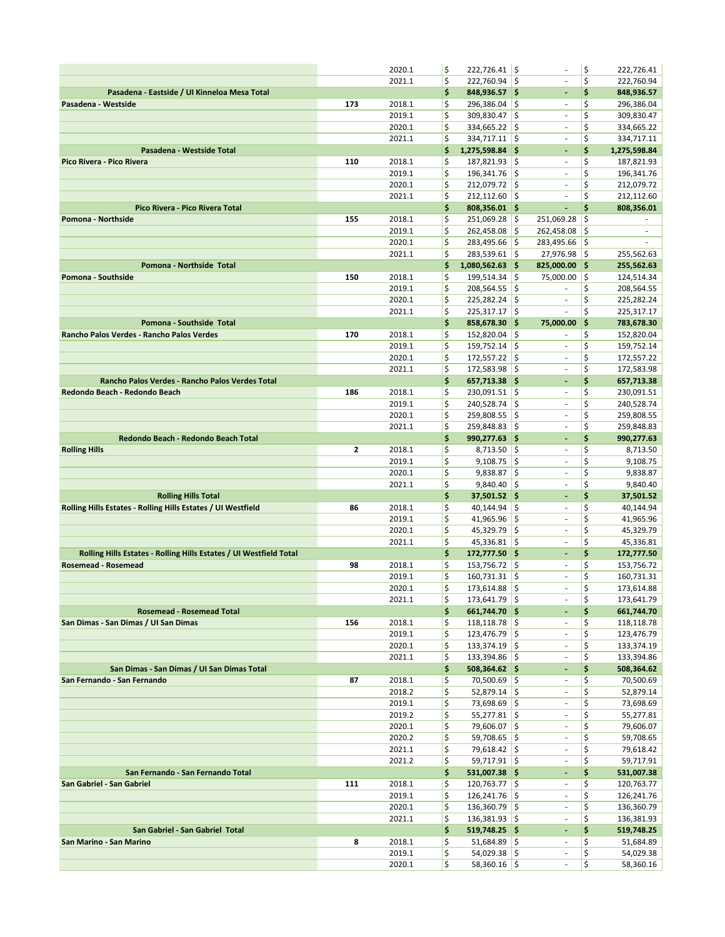|                                                                    |     | 2020.1           | \$       | $222,726.41$ \$                    |            | ٠                             | \$       | 222,726.41               |
|--------------------------------------------------------------------|-----|------------------|----------|------------------------------------|------------|-------------------------------|----------|--------------------------|
|                                                                    |     | 2021.1           | \$       | 222,760.94 \$                      |            | $\overline{\phantom{a}}$      | \$       | 222,760.94               |
| Pasadena - Eastside / UI Kinneloa Mesa Total                       |     |                  | \$       | 848,936.57 \$                      |            | ٠                             | \$       | 848,936.57               |
| Pasadena - Westside                                                | 173 | 2018.1           | \$       | 296,386.04                         | ١\$        | $\overline{\phantom{a}}$      | \$       | 296,386.04               |
|                                                                    |     | 2019.1           | \$       | 309,830.47                         | ¦\$        | $\overline{\phantom{a}}$      | \$       | 309,830.47               |
|                                                                    |     | 2020.1           | \$       | $334,665.22$ \$                    |            | $\overline{\phantom{a}}$      | \$       | 334,665.22               |
|                                                                    |     | 2021.1           | \$       | 334,717.11                         | ¦\$        | $\overline{\phantom{a}}$      | \$       | 334,717.11               |
| Pasadena - Westside Total                                          |     |                  | \$       | 1,275,598.84 \$                    |            | ٠                             | \$       | 1,275,598.84             |
| Pico Rivera - Pico Rivera                                          | 110 | 2018.1           | \$       | 187,821.93 \$                      |            | $\overline{\phantom{a}}$      | \$       | 187,821.93               |
|                                                                    |     | 2019.1           | \$       | 196,341.76                         | ¦\$        | $\bar{\phantom{a}}$           | \$       | 196,341.76               |
|                                                                    |     | 2020.1           | \$       | 212,079.72                         | l\$        | $\overline{\phantom{a}}$      | \$       | 212,079.72               |
|                                                                    |     | 2021.1           | \$       | 212,112.60                         | ١\$        | ä,                            | \$       | 212,112.60               |
| Pico Rivera - Pico Rivera Total                                    |     |                  | \$<br>\$ | 808,356.01 \$                      |            | ÷,                            | \$<br>\$ | 808,356.01               |
| Pomona - Northside                                                 | 155 | 2018.1<br>2019.1 | \$       | 251,069.28<br>262,458.08           | I\$<br>¦\$ | 251,069.28<br>262,458.08      | \$       | $\overline{\phantom{a}}$ |
|                                                                    |     | 2020.1           | \$       | 283,495.66                         | ¦\$        | 283,495.66                    | - 15     |                          |
|                                                                    |     | 2021.1           | \$       | 283,539.61 \$                      |            | 27,976.98                     | İ\$      | 255,562.63               |
| Pomona - Northside Total                                           |     |                  | \$       | $1,080,562.63$ \$                  |            | 825,000.00                    | \$       | 255,562.63               |
| Pomona - Southside                                                 | 150 | 2018.1           | \$       | 199,514.34                         | ¦\$        | 75,000.00                     | \$       | 124,514.34               |
|                                                                    |     | 2019.1           | \$       | 208,564.55                         | ¦\$        |                               | \$       | 208,564.55               |
|                                                                    |     | 2020.1           | \$       | 225,282.24                         | ¦\$        | $\overline{\phantom{a}}$      | \$       | 225,282.24               |
|                                                                    |     | 2021.1           | \$       | $225,317.17$ \$                    |            | $\bar{\phantom{a}}$           | \$       | 225,317.17               |
| Pomona - Southside Total                                           |     |                  | \$       | 858,678.30                         | - 15       | 75,000.00                     | \$       | 783,678.30               |
| Rancho Palos Verdes - Rancho Palos Verdes                          | 170 | 2018.1           | \$       | 152,820.04                         | ¦\$        |                               | \$       | 152,820.04               |
|                                                                    |     | 2019.1           | \$       | 159,752.14                         | ١\$        | $\overline{\phantom{a}}$      | \$       | 159,752.14               |
|                                                                    |     | 2020.1           | \$       | 172,557.22                         | ¦\$        | $\overline{\phantom{a}}$      | \$       | 172,557.22               |
|                                                                    |     | 2021.1           | \$       | 172,583.98                         | l\$        | $\overline{\phantom{a}}$      | \$       | 172,583.98               |
| Rancho Palos Verdes - Rancho Palos Verdes Total                    |     |                  | \$       | 657,713.38 \$                      |            | ٠                             | \$       | 657,713.38               |
| Redondo Beach - Redondo Beach                                      | 186 | 2018.1           | \$       | $230,091.51$ \$                    |            | $\bar{\phantom{a}}$           | \$       | 230,091.51               |
|                                                                    |     | 2019.1           | \$       | 240,528.74                         | ١\$        | $\overline{\phantom{a}}$      | \$       | 240,528.74               |
|                                                                    |     | 2020.1           | \$       | 259,808.55                         | ¦\$        | ä,                            | \$       | 259,808.55               |
|                                                                    |     | 2021.1           | \$<br>\$ | 259,848.83                         | ١\$        | $\overline{\phantom{a}}$      | \$<br>\$ | 259,848.83               |
| Redondo Beach - Redondo Beach Total<br><b>Rolling Hills</b>        | 2   | 2018.1           | \$       | 990,277.63 \$<br>8,713.50          | ¦\$        | ÷<br>$\overline{\phantom{a}}$ | \$       | 990,277.63<br>8,713.50   |
|                                                                    |     | 2019.1           | \$       | 9,108.75                           | ¦\$        | $\overline{\phantom{a}}$      | \$       | 9,108.75                 |
|                                                                    |     | 2020.1           | \$       | 9,838.87                           | \$         | ÷                             | \$       | 9,838.87                 |
|                                                                    |     | 2021.1           | \$       | $9,840.40$ \$                      |            | ä,                            | \$       | 9,840.40                 |
| <b>Rolling Hills Total</b>                                         |     |                  | \$       | 37,501.52 \$                       |            | $\blacksquare$                | \$       | 37,501.52                |
| Rolling Hills Estates - Rolling Hills Estates / UI Westfield       | 86  | 2018.1           | \$       | 40,144.94                          | ¦\$        | $\overline{\phantom{a}}$      | \$       | 40,144.94                |
|                                                                    |     | 2019.1           | \$       | 41,965.96                          | l\$        | $\overline{\phantom{a}}$      | \$       | 41,965.96                |
|                                                                    |     | 2020.1           | \$       | 45,329.79                          | ١\$        | ÷,                            | \$       | 45,329.79                |
|                                                                    |     | 2021.1           | \$       | $45,336.81$ \$                     |            | $\overline{\phantom{a}}$      | \$       | 45,336.81                |
| Rolling Hills Estates - Rolling Hills Estates / UI Westfield Total |     |                  | \$       | 172,777.50 \$                      |            | ÷,                            | \$       | 172,777.50               |
| Rosemead - Rosemead                                                | 98  | 2018.1           | \$       | 153,756.72 \$                      |            | ÷                             | \$       | 153,756.72               |
|                                                                    |     | 2019.1           | \$       | $160,731.31$ \$                    |            | $\sim$                        | \$       | 160,731.31               |
|                                                                    |     | 2020.1           | \$       | 173,614.88                         | I\$        | ä,                            | \$       | 173,614.88               |
|                                                                    |     | 2021.1           | \$       | 173,641.79 \$                      |            | $\overline{\phantom{a}}$      | \$       | 173,641.79               |
| Rosemead - Rosemead Total                                          |     | 2018.1           | \$<br>\$ | 661,744.70 \$                      |            | ٠<br>$\overline{\phantom{a}}$ | \$<br>\$ | 661,744.70               |
| San Dimas - San Dimas / UI San Dimas                               | 156 | 2019.1           | \$       | $118,118.78$ \$<br>$123,476.79$ \$ |            | $\sim$                        | \$       | 118,118.78<br>123,476.79 |
|                                                                    |     | 2020.1           | \$       | $133,374.19$ \$                    |            | $\overline{\phantom{a}}$      | \$       | 133,374.19               |
|                                                                    |     | 2021.1           | \$       | 133,394.86 \$                      |            | $\overline{\phantom{a}}$      | \$       | 133,394.86               |
| San Dimas - San Dimas / UI San Dimas Total                         |     |                  | \$       | 508,364.62 \$                      |            | ٠                             | \$       | 508,364.62               |
| San Fernando - San Fernando                                        | 87  | 2018.1           | \$       | 70,500.69 \$                       |            | $\overline{\phantom{a}}$      | \$       | 70,500.69                |
|                                                                    |     | 2018.2           | \$       | $52,879.14$ \$                     |            | $\bar{\phantom{a}}$           | \$       | 52,879.14                |
|                                                                    |     | 2019.1           | \$       | 73,698.69 \$                       |            | $\overline{\phantom{a}}$      | \$       | 73,698.69                |
|                                                                    |     | 2019.2           | \$       | $55,277.81$ \$                     |            | ä,                            | \$       | 55,277.81                |
|                                                                    |     | 2020.1           | \$       | 79,606.07 \$                       |            | $\overline{\phantom{a}}$      | \$       | 79,606.07                |
|                                                                    |     | 2020.2           | \$       | $59,708.65$ \$                     |            | $\blacksquare$                | \$       | 59,708.65                |
|                                                                    |     | 2021.1           | \$       | 79,618.42 \$                       |            | $\overline{\phantom{a}}$      | \$       | 79,618.42                |
|                                                                    |     | 2021.2           | \$       | $59,717.91$ \$                     |            | ÷                             | \$       | 59,717.91                |
| San Fernando - San Fernando Total                                  |     |                  | \$       | 531,007.38 \$                      |            | ÷,                            | \$       | 531,007.38               |
| San Gabriel - San Gabriel                                          | 111 | 2018.1           | \$       | $120,763.77$ \$                    |            | $\bar{\phantom{a}}$           | \$       | 120,763.77               |
|                                                                    |     | 2019.1           | \$       | $126,241.76$ \$                    |            | ÷<br>ä,                       | \$       | 126,241.76               |
|                                                                    |     | 2020.1<br>2021.1 | \$<br>\$ | $136,360.79$ \$<br>136,381.93 \$   |            | $\overline{\phantom{a}}$      | \$<br>\$ | 136,360.79<br>136,381.93 |
| San Gabriel - San Gabriel Total                                    |     |                  | \$       | 519,748.25 \$                      |            | ٠                             | \$       | 519,748.25               |
| San Marino - San Marino                                            | 8   | 2018.1           | \$       | $51,684.89$ \$                     |            | $\overline{\phantom{a}}$      | \$       | 51,684.89                |
|                                                                    |     | 2019.1           | \$       | $54,029.38$ \$                     |            | ٠                             | \$       | 54,029.38                |
|                                                                    |     | 2020.1           | \$       | $58,360.16$ \$                     |            | ÷                             | \$       | 58,360.16                |
|                                                                    |     |                  |          |                                    |            |                               |          |                          |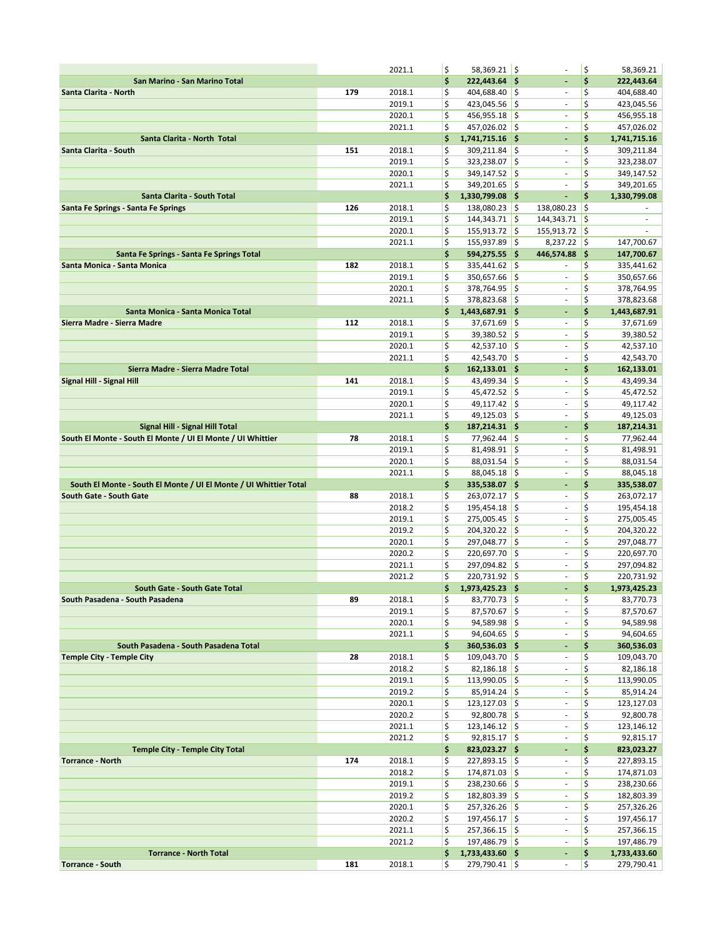|                                                                   |     | 2021.1           | \$       | $58,369.21$ \$                    |       |                                                      | \$       | 58,369.21                  |
|-------------------------------------------------------------------|-----|------------------|----------|-----------------------------------|-------|------------------------------------------------------|----------|----------------------------|
| San Marino - San Marino Total                                     |     |                  | \$       | $222,443.64$ \$                   |       | ÷,                                                   | \$       | 222,443.64                 |
| Santa Clarita - North                                             | 179 | 2018.1           | \$       | 404,688.40 \$                     |       | $\overline{\phantom{a}}$                             | \$       | 404,688.40                 |
|                                                                   |     | 2019.1           | \$       | $423,045.56$ \$                   |       | $\overline{\phantom{a}}$                             | \$       | 423,045.56                 |
|                                                                   |     | 2020.1           | \$       | $456,955.18$ \$                   |       | $\overline{\phantom{a}}$                             | \$       | 456,955.18                 |
|                                                                   |     | 2021.1           | \$       | 457,026.02 \$                     |       | ä,                                                   | \$       | 457,026.02                 |
| Santa Clarita - North Total                                       |     |                  | \$       | 1,741,715.16                      | - 1\$ | $\overline{\phantom{a}}$                             | \$       | 1,741,715.16               |
| Santa Clarita - South                                             | 151 | 2018.1           | \$       | 309,211.84                        | ۱\$   | $\overline{\phantom{a}}$                             | \$       | 309,211.84                 |
|                                                                   |     | 2019.1           | \$       | 323,238.07 \$                     |       | $\overline{\phantom{a}}$                             | \$       | 323,238.07                 |
|                                                                   |     | 2020.1           | \$       | 349,147.52                        | \$    | $\sim$                                               | \$       | 349,147.52                 |
|                                                                   |     | 2021.1           | \$       | 349,201.65 \$                     |       | $\overline{\phantom{a}}$                             | \$       | 349,201.65                 |
| Santa Clarita - South Total                                       |     |                  | \$       | 1,330,799.08 \$                   |       | ÷.                                                   | \$       | 1,330,799.08               |
| Santa Fe Springs - Santa Fe Springs                               | 126 | 2018.1           | \$       | 138,080.23                        | \$    | 138,080.23                                           | \$       |                            |
|                                                                   |     | 2019.1           | \$       | $144,343.71$ \$                   |       | 144,343.71                                           | \$       | ٠                          |
|                                                                   |     | 2020.1           | \$       | 155,913.72                        | \$    | 155,913.72                                           | \$       |                            |
|                                                                   |     | 2021.1           | \$       | $155,937.89$ \$                   |       | $8,237.22$ \$                                        |          | 147,700.67                 |
| Santa Fe Springs - Santa Fe Springs Total                         |     |                  | \$       | $594,275.55$ \$                   |       | 446,574.88                                           | ا\$      | 147,700.67                 |
| Santa Monica - Santa Monica                                       | 182 | 2018.1           | \$       | 335,441.62 \$                     |       |                                                      | \$       | 335,441.62                 |
|                                                                   |     | 2019.1           | \$       | 350,657.66                        | ۱\$   | $\overline{\phantom{a}}$                             | \$       | 350,657.66                 |
|                                                                   |     | 2020.1           | \$       | 378,764.95                        | l\$   | ä,                                                   | \$       | 378,764.95                 |
|                                                                   |     | 2021.1           | \$       | 378,823.68 \$                     |       | ä,                                                   | \$       | 378,823.68                 |
| Santa Monica - Santa Monica Total                                 |     |                  | \$       | 1,443,687.91 \$                   |       | $\blacksquare$                                       | \$       | 1,443,687.91               |
| Sierra Madre - Sierra Madre                                       | 112 | 2018.1           | \$       | 37,671.69                         | ¦\$   | $\overline{\phantom{a}}$                             | \$       | 37,671.69                  |
|                                                                   |     | 2019.1           | \$       | 39,380.52                         | \$    | $\overline{\phantom{a}}$                             | \$       | 39,380.52                  |
|                                                                   |     | 2020.1           | \$       | $42,537.10$ \$                    |       | $\sim$                                               | \$       | 42,537.10                  |
|                                                                   |     | 2021.1           | \$       | 42,543.70                         | l\$   | $\overline{\phantom{a}}$                             | \$       | 42,543.70                  |
| Sierra Madre - Sierra Madre Total                                 |     |                  | \$       | $162,133.01$ \$                   |       | ٠                                                    | \$       | 162,133.01                 |
| Signal Hill - Signal Hill                                         | 141 | 2018.1<br>2019.1 | \$<br>\$ | 43,499.34 \$<br>45,472.52 \$      |       | $\overline{\phantom{a}}$<br>$\overline{\phantom{a}}$ | \$<br>\$ | 43,499.34<br>45,472.52     |
|                                                                   |     | 2020.1           | \$       | $49,117.42$ \$                    |       | ÷,                                                   | \$       | 49,117.42                  |
|                                                                   |     | 2021.1           | \$       | 49,125.03                         | \$    | ä,                                                   | \$       | 49,125.03                  |
| Signal Hill - Signal Hill Total                                   |     |                  | \$       | 187,214.31 \$                     |       | ٠                                                    | \$       | 187,214.31                 |
| South El Monte - South El Monte / UI El Monte / UI Whittier       | 78  | 2018.1           | \$       | $77,962.44$ \$                    |       | ÷                                                    | \$       | 77,962.44                  |
|                                                                   |     | 2019.1           | \$       | 81,498.91                         | \$    | $\bar{\phantom{a}}$                                  | \$       | 81,498.91                  |
|                                                                   |     | 2020.1           | \$       | 88,031.54                         | ¦\$   | $\overline{\phantom{a}}$                             | \$       | 88,031.54                  |
|                                                                   |     | 2021.1           | \$       | 88,045.18                         | \$    | ÷,                                                   | \$       | 88,045.18                  |
| South El Monte - South El Monte / UI El Monte / UI Whittier Total |     |                  | \$       | 335,538.07 \$                     |       | $\overline{\phantom{a}}$                             | \$       | 335,538.07                 |
| South Gate - South Gate                                           | 88  | 2018.1           | \$       | 263,072.17 \$                     |       | $\overline{\phantom{a}}$                             | \$       | 263,072.17                 |
|                                                                   |     | 2018.2           | \$       | 195,454.18                        | \$    | $\overline{\phantom{a}}$                             | \$       | 195,454.18                 |
|                                                                   |     | 2019.1           | \$       | 275,005.45                        | \$    | $\overline{\phantom{a}}$                             | \$       | 275,005.45                 |
|                                                                   |     | 2019.2           | \$       | $204,320.22$ \$                   |       | ä,                                                   | \$       | 204,320.22                 |
|                                                                   |     | 2020.1           | \$       | 297,048.77                        | l\$   | $\overline{\phantom{a}}$                             | \$       | 297,048.77                 |
|                                                                   |     | 2020.2           | \$       | 220,697.70 \$                     |       | $\overline{\phantom{a}}$                             | \$       | 220,697.70                 |
|                                                                   |     | 2021.1           | \$       | 297,094.82                        | \$    | ÷                                                    | \$       | 297,094.82                 |
|                                                                   |     | 2021.2           | \$       | 220,731.92 \$                     |       | ä,                                                   | \$       | 220,731.92                 |
| South Gate - South Gate Total                                     |     |                  | \$       | 1,973,425.23 \$<br>$83,770.73$ \$ |       | $\overline{a}$<br>$\overline{\phantom{a}}$           | \$       | 1,973,425.23               |
| South Pasadena - South Pasadena                                   | 89  | 2018.1<br>2019.1 | \$<br>\$ | $87,570.67$ \$                    |       | ÷,                                                   | \$<br>\$ | 83,770.73<br>87,570.67     |
|                                                                   |     | 2020.1           | \$       | $94,589.98$ \$                    |       | $\overline{\phantom{a}}$                             | \$       | 94,589.98                  |
|                                                                   |     | 2021.1           | \$       | $94,604.65$ \$                    |       | $\overline{\phantom{a}}$                             | \$       | 94,604.65                  |
| South Pasadena - South Pasadena Total                             |     |                  | \$       | $360,536.03$ \$                   |       | $\overline{\phantom{a}}$                             | \$       | 360,536.03                 |
| <b>Temple City - Temple City</b>                                  | 28  | 2018.1           | \$       | 109,043.70 \$                     |       | $\overline{\phantom{a}}$                             | \$       | 109,043.70                 |
|                                                                   |     | 2018.2           | \$       | $82,186.18$ \$                    |       | $\overline{\phantom{a}}$                             | \$       | 82,186.18                  |
|                                                                   |     | 2019.1           | \$       | $113,990.05$ \$                   |       | $\sim$                                               | \$       | 113,990.05                 |
|                                                                   |     | 2019.2           | \$       | $85,914.24$ \$                    |       | $\sim$                                               | \$       | 85,914.24                  |
|                                                                   |     | 2020.1           | \$       | $123,127.03$ \$                   |       | $\overline{\phantom{a}}$                             | \$       | 123,127.03                 |
|                                                                   |     | 2020.2           | \$       | $92,800.78$ \$                    |       | $\overline{\phantom{a}}$                             | \$       | 92,800.78                  |
|                                                                   |     | 2021.1           | \$       | $123,146.12$ \$                   |       | $\overline{\phantom{a}}$                             | \$       | 123,146.12                 |
|                                                                   |     | 2021.2           | \$       | $92,815.17$ \$                    |       | $\overline{\phantom{a}}$                             | \$       | 92,815.17                  |
| <b>Temple City - Temple City Total</b>                            |     |                  | \$       | 823,023.27 \$                     |       | ÷                                                    | \$       | 823,023.27                 |
| <b>Torrance - North</b>                                           | 174 | 2018.1           | \$       | $227,893.15$ \$                   |       | $\overline{\phantom{a}}$                             | \$       | 227,893.15                 |
|                                                                   |     | 2018.2           | \$       | 174,871.03 \$                     |       | $\bar{\phantom{a}}$                                  | \$       | 174,871.03                 |
|                                                                   |     | 2019.1           | \$       | $238,230.66$ \$                   |       | $\bar{\phantom{a}}$                                  | \$       | 238,230.66                 |
|                                                                   |     | 2019.2           | \$       | 182,803.39 \$                     |       | $\overline{\phantom{a}}$                             | \$       | 182,803.39                 |
|                                                                   |     | 2020.1           | \$       | $257,326.26$ \$                   |       | $\overline{\phantom{a}}$                             | \$       | 257,326.26                 |
|                                                                   |     | 2020.2           | \$       | $197,456.17$ \$                   |       | $\overline{\phantom{a}}$                             | \$       | 197,456.17                 |
|                                                                   |     | 2021.1<br>2021.2 | \$<br>\$ | $257,366.15$ \$<br>197,486.79 \$  |       | $\sim$<br>$\overline{\phantom{a}}$                   | \$<br>\$ | 257,366.15                 |
| <b>Torrance - North Total</b>                                     |     |                  | \$       | $1,733,433.60$ \$                 |       | ٠                                                    | \$       | 197,486.79<br>1,733,433.60 |
| <b>Torrance - South</b>                                           | 181 | 2018.1           | \$       | $279,790.41$ \$                   |       | $\overline{\phantom{a}}$                             | \$       | 279,790.41                 |
|                                                                   |     |                  |          |                                   |       |                                                      |          |                            |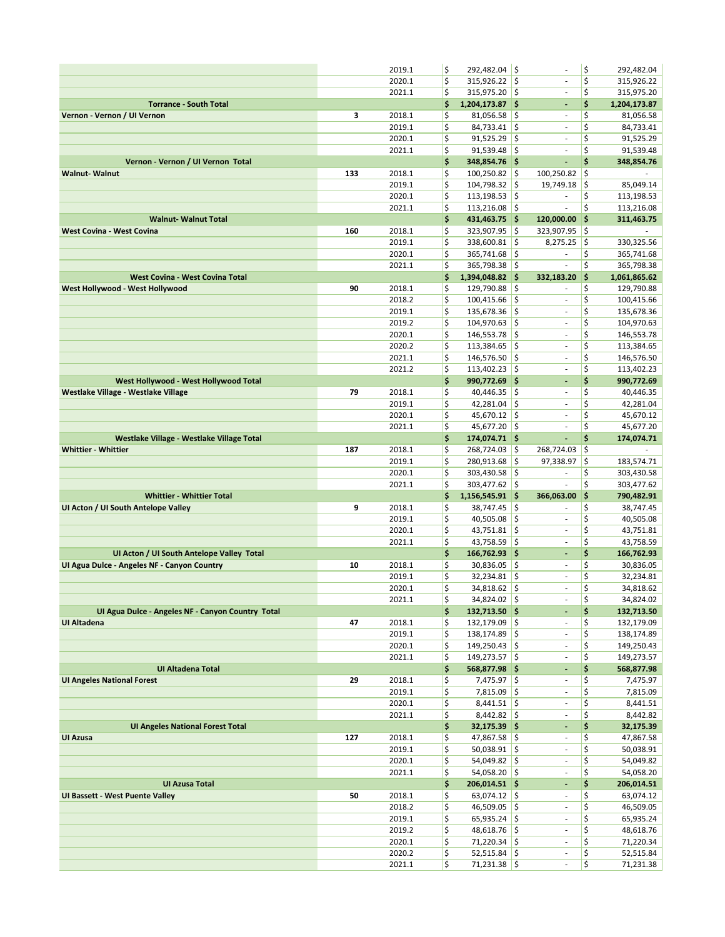|                                                        |     | 2019.1           | \$       | 292,482.04 \$                    |            | ÷,                                                   | \$       | 292,482.04              |
|--------------------------------------------------------|-----|------------------|----------|----------------------------------|------------|------------------------------------------------------|----------|-------------------------|
|                                                        |     | 2020.1           | \$       | $315,926.22$ \$                  |            | ä,                                                   | \$       | 315,926.22              |
|                                                        |     | 2021.1           | \$       | 315,975.20 \$                    |            | $\overline{\phantom{a}}$                             | \$       | 315,975.20              |
| <b>Torrance - South Total</b>                          |     |                  | \$       | 1,204,173.87 \$                  |            | $\blacksquare$                                       | \$       | 1,204,173.87            |
| Vernon - Vernon / UI Vernon                            | 3   | 2018.1           | \$       | $81,056.58$ \$                   |            | $\sim$                                               | \$       | 81,056.58               |
|                                                        |     | 2019.1           | \$       | $84,733.41$ \$                   |            | $\sim$                                               | \$       | 84,733.41               |
|                                                        |     | 2020.1           | \$       | $91,525.29$ \$                   |            | ä,                                                   | \$       | 91,525.29               |
|                                                        |     | 2021.1           | \$       | $91,539.48$ \$                   |            | ÷,                                                   | \$       | 91,539.48               |
| Vernon - Vernon / UI Vernon Total                      |     |                  | \$       | 348,854.76 \$                    |            | ÷,                                                   | \$       | 348,854.76              |
| <b>Walnut-Walnut</b>                                   | 133 | 2018.1<br>2019.1 | \$<br>\$ | 100,250.82                       | ۱\$<br>l\$ | 100,250.82                                           | \$       |                         |
|                                                        |     | 2020.1           | \$       | 104,798.32<br>113,198.53         | I\$        | 19,749.18<br>÷,                                      | \$<br>\$ | 85,049.14<br>113,198.53 |
|                                                        |     | 2021.1           | \$       | $113,216.08$ \$                  |            | ä,                                                   | \$       | 113,216.08              |
| <b>Walnut-Walnut Total</b>                             |     |                  | \$       | 431,463.75 \$                    |            | 120,000.00                                           | \$       | 311,463.75              |
| <b>West Covina - West Covina</b>                       | 160 | 2018.1           | \$       | 323,907.95 \$                    |            | 323,907.95                                           | \$       |                         |
|                                                        |     | 2019.1           | \$       | 338,600.81 \$                    |            | 8,275.25                                             | \$       | 330,325.56              |
|                                                        |     | 2020.1           | \$       | 365,741.68 \$                    |            | $\sim$                                               | \$       | 365,741.68              |
|                                                        |     | 2021.1           | \$       | 365,798.38 \$                    |            | ÷.                                                   | \$       | 365,798.38              |
| <b>West Covina - West Covina Total</b>                 |     |                  | \$       | 1,394,048.82 \$                  |            | 332,183.20                                           | \$       | 1,061,865.62            |
| West Hollywood - West Hollywood                        | 90  | 2018.1           | \$       | 129,790.88 \$                    |            | $\overline{\phantom{a}}$                             | \$       | 129,790.88              |
|                                                        |     | 2018.2           | \$       | $100,415.66$ \$                  |            | $\overline{\phantom{a}}$                             | \$       | 100,415.66              |
|                                                        |     | 2019.1           | \$       | 135,678.36 \$                    |            | $\overline{\phantom{a}}$                             | \$       | 135,678.36              |
|                                                        |     | 2019.2           | \$       | 104,970.63                       | ۱\$        | ä,                                                   | \$       | 104,970.63              |
|                                                        |     | 2020.1           | \$       | 146,553.78 \$                    |            | ÷,                                                   | \$       | 146,553.78              |
|                                                        |     | 2020.2           | \$       | 113,384.65                       | ۱\$        | ä,                                                   | \$       | 113,384.65              |
|                                                        |     | 2021.1           | \$       | 146,576.50 \$                    |            | $\overline{\phantom{a}}$                             | \$       | 146,576.50              |
|                                                        |     | 2021.2           | \$       | $113,402.23$ \$                  |            | ä,                                                   | \$       | 113,402.23              |
| West Hollywood - West Hollywood Total                  |     |                  | \$       | 990,772.69 \$                    |            | ÷,                                                   | \$       | 990,772.69              |
| Westlake Village - Westlake Village                    | 79  | 2018.1           | \$       | $40,446.35$ \$                   |            | $\overline{\phantom{a}}$                             | \$       | 40,446.35               |
|                                                        |     | 2019.1           | \$       | $42,281.04$ \$                   |            | $\overline{\phantom{a}}$                             | \$       | 42,281.04               |
|                                                        |     | 2020.1           | \$<br>\$ | 45,670.12 \$                     |            | ä,                                                   | \$<br>\$ | 45,670.12               |
| Westlake Village - Westlake Village Total              |     | 2021.1           | \$       | 45,677.20 \$<br>174,074.71 \$    |            | ÷,<br>ä,                                             | \$       | 45,677.20<br>174,074.71 |
| <b>Whittier - Whittier</b>                             | 187 | 2018.1           | \$       | 268,724.03                       | ۱\$        | 268,724.03                                           | \$       | ÷.                      |
|                                                        |     | 2019.1           | \$       | 280,913.68                       | ۱\$        | 97,338.97                                            | \$       | 183,574.71              |
|                                                        |     | 2020.1           | \$       | 303,430.58                       | ۱\$        | $\overline{\phantom{a}}$                             | \$       | 303,430.58              |
|                                                        |     |                  | \$       | 303,477.62 \$                    |            | ä,                                                   | \$       | 303,477.62              |
|                                                        |     |                  |          |                                  |            |                                                      |          |                         |
| <b>Whittier - Whittier Total</b>                       |     | 2021.1           | \$       |                                  |            | 366,063.00                                           | \$       | 790,482.91              |
| UI Acton / UI South Antelope Valley                    | 9   | 2018.1           | \$       | 1,156,545.91 \$<br>38,747.45     | ∣\$        |                                                      | \$       | 38,747.45               |
|                                                        |     | 2019.1           | \$       | 40,505.08                        | ۱\$        | $\blacksquare$                                       | \$       | 40,505.08               |
|                                                        |     | 2020.1           | \$       | $43,751.81$ \$                   |            | $\overline{\phantom{a}}$                             | \$       | 43,751.81               |
|                                                        |     | 2021.1           | \$       | 43,758.59                        | ∣\$        | $\sim$                                               | \$       | 43,758.59               |
| UI Acton / UI South Antelope Valley Total              |     |                  | \$       | 166,762.93 \$                    |            | $\blacksquare$                                       | \$       | 166,762.93              |
| UI Agua Dulce - Angeles NF - Canyon Country            | 10  | 2018.1           | \$       | $30,836.05$ \$                   |            | ٠                                                    | \$       | 30,836.05               |
|                                                        |     | 2019.1           | \$       | $32,234.81$ \$                   |            | $\blacksquare$                                       | \$       | 32,234.81               |
|                                                        |     | 2020.1           | \$       | 34,818.62 \$                     |            | ä,                                                   | \$       | 34,818.62               |
|                                                        |     | 2021.1           | \$       | $34,824.02$ \$                   |            | $\overline{\phantom{a}}$                             | \$       | 34,824.02               |
| UI Agua Dulce - Angeles NF - Canyon Country Total      |     |                  | \$       | 132,713.50 \$                    |            | ٠                                                    | \$       | 132,713.50              |
| UI Altadena                                            | 47  | 2018.1           | \$       | $132,179.09$ \$                  |            | $\overline{\phantom{a}}$                             | \$       | 132,179.09              |
|                                                        |     | 2019.1           | \$       | $138,174.89$ \$                  |            | $\overline{\phantom{a}}$                             | \$       | 138,174.89              |
|                                                        |     | 2020.1           | \$       | $149,250.43$ \$                  |            | $\overline{\phantom{a}}$<br>÷,                       | \$       | 149,250.43              |
|                                                        |     | 2021.1           | \$       | 149,273.57 \$                    |            | ٠                                                    | \$       | 149,273.57              |
| UI Altadena Total<br><b>UI Angeles National Forest</b> |     |                  | \$       | 568,877.98 \$                    |            | $\sim$                                               | \$       | 568,877.98              |
|                                                        | 29  | 2018.1<br>2019.1 | \$<br>\$ | $7,475.97$ \$<br>$7,815.09$ \$   |            | $\overline{\phantom{a}}$                             | \$<br>\$ | 7,475.97<br>7,815.09    |
|                                                        |     | 2020.1           | \$       | $8,441.51$ \$                    |            | $\blacksquare$                                       | \$       | 8,441.51                |
|                                                        |     | 2021.1           | \$       | $8,442.82$ \$                    |            | $\overline{\phantom{a}}$                             | \$       | 8,442.82                |
| <b>UI Angeles National Forest Total</b>                |     |                  | \$       | 32,175.39 \$                     |            | ٠                                                    | \$       | 32,175.39               |
| <b>UI Azusa</b>                                        | 127 | 2018.1           | \$       | $47,867.58$ \$                   |            | $\overline{\phantom{a}}$                             | \$       | 47,867.58               |
|                                                        |     | 2019.1           | \$       | $50,038.91$ \$                   |            | $\overline{\phantom{a}}$                             | \$       | 50,038.91               |
|                                                        |     | 2020.1           | \$       | $54,049.82$ \$                   |            | $\overline{\phantom{a}}$                             | \$       | 54,049.82               |
|                                                        |     | 2021.1           | \$       | $54,058.20$ \$                   |            | $\blacksquare$                                       | \$       | 54,058.20               |
| <b>UI Azusa Total</b>                                  |     |                  | \$       | 206,014.51 \$                    |            | ÷                                                    | \$       | 206,014.51              |
| <b>UI Bassett - West Puente Valley</b>                 | 50  | 2018.1           | \$       | $63,074.12$ \$                   |            | $\blacksquare$                                       | \$       | 63,074.12               |
|                                                        |     | 2018.2           | \$       | 46,509.05 \$                     |            | $\overline{\phantom{a}}$                             | \$       | 46,509.05               |
|                                                        |     | 2019.1           | \$       | $65,935.24$ \$                   |            | $\overline{\phantom{a}}$                             | \$       | 65,935.24               |
|                                                        |     | 2019.2           | \$       | $48,618.76$ \$                   |            | $\overline{\phantom{a}}$<br>$\overline{\phantom{a}}$ | \$       | 48,618.76               |
|                                                        |     | 2020.1           | \$       | $71,220.34$ \$                   |            | $\overline{\phantom{a}}$                             | \$       | 71,220.34               |
|                                                        |     | 2020.2<br>2021.1 | \$<br>\$ | $52,515.84$ \$<br>$71,231.38$ \$ |            | ä,                                                   | \$<br>\$ | 52,515.84<br>71,231.38  |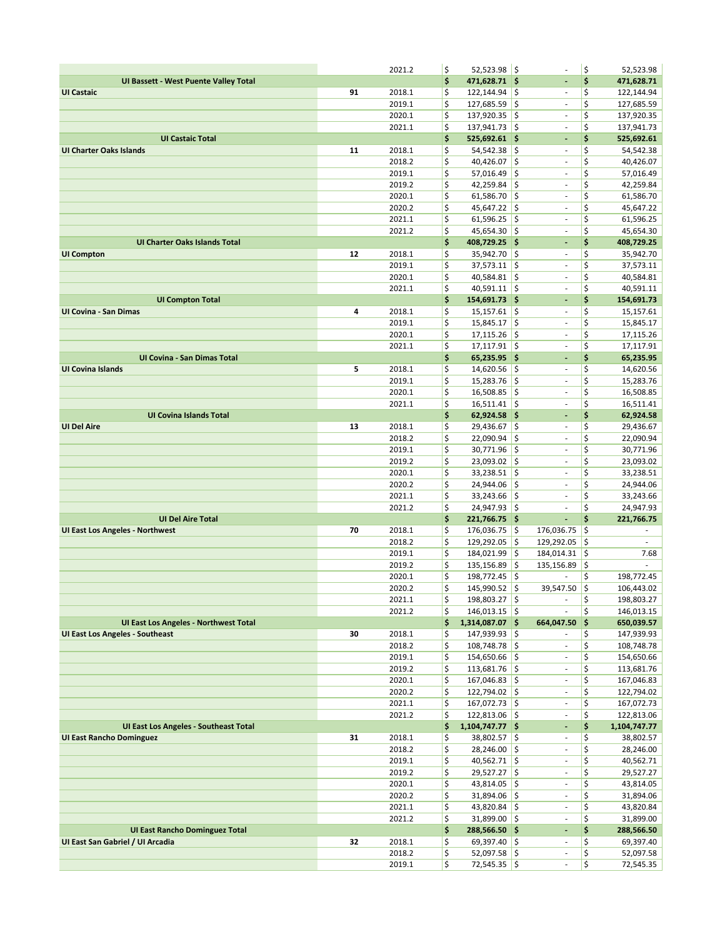|                                              |    | 2021.2           | \$       | $52,523.98$ \$                   |      | Ĭ.                       | \$       | 52,523.98                |
|----------------------------------------------|----|------------------|----------|----------------------------------|------|--------------------------|----------|--------------------------|
| UI Bassett - West Puente Valley Total        |    |                  | \$       | 471,628.71 \$                    |      | ÷,                       | \$       | 471,628.71               |
| <b>UI Castaic</b>                            | 91 | 2018.1           | \$       | $122, 144.94$ \$                 |      | $\overline{\phantom{a}}$ | \$       | 122,144.94               |
|                                              |    | 2019.1           | \$       | $127,685.59$ \$                  |      | $\overline{\phantom{a}}$ | \$       | 127,685.59               |
|                                              |    | 2020.1           | \$       | 137,920.35 \$                    |      | $\blacksquare$           | \$       | 137,920.35               |
|                                              |    | 2021.1           | \$       | $137,941.73$ \$                  |      | $\overline{\phantom{a}}$ | \$       | 137,941.73               |
| <b>UI Castaic Total</b>                      |    |                  | \$       | $525,692.61$ \$                  |      | ÷                        | \$       | 525,692.61               |
| <b>UI Charter Oaks Islands</b>               | 11 | 2018.1           | \$       | $54,542.38$ \$                   |      | $\blacksquare$           | \$       | 54,542.38                |
|                                              |    | 2018.2           | \$       | $40,426.07$ \$                   |      | ä,                       | \$       | 40,426.07                |
|                                              |    | 2019.1           | \$       | 57,016.49                        | ١\$  | $\overline{\phantom{a}}$ | \$       | 57,016.49                |
|                                              |    | 2019.2           | \$       | 42,259.84                        | l\$  | ÷,                       | \$       | 42,259.84                |
|                                              |    | 2020.1           | \$       | $61,586.70$ \$                   |      | ÷,                       | \$       | 61,586.70                |
|                                              |    | 2020.2           | \$       | 45,647.22 \$                     |      | $\blacksquare$           | \$       | 45,647.22                |
|                                              |    | 2021.1           | \$       | $61,596.25$ \$                   |      | $\overline{\phantom{a}}$ | \$       | 61,596.25                |
|                                              |    | 2021.2           | \$       | 45,654.30 \$                     |      | ÷,                       | \$       | 45,654.30                |
| UI Charter Oaks Islands Total                |    |                  | \$       | 408,729.25 \$                    |      | ٠                        | \$       | 408,729.25               |
| <b>UI Compton</b>                            | 12 | 2018.1           | \$       | 35,942.70 \$                     |      | ÷                        | \$       | 35,942.70                |
|                                              |    | 2019.1           | \$<br>\$ | 37,573.11                        | ∣\$  | $\sim$                   | \$       | 37,573.11                |
|                                              |    | 2020.1<br>2021.1 | \$       | $40,584.81$ \$                   |      | $\blacksquare$<br>÷,     | \$<br>\$ | 40,584.81                |
| <b>UI Compton Total</b>                      |    |                  | \$       | $40,591.11$ \$<br>154,691.73 \$  |      | $\overline{\phantom{a}}$ | \$       | 40,591.11<br>154,691.73  |
| <b>UI Covina - San Dimas</b>                 | 4  | 2018.1           | \$       | $15,157.61$ \$                   |      | $\overline{\phantom{a}}$ | \$       | 15,157.61                |
|                                              |    | 2019.1           | \$       | $15,845.17$ \$                   |      | ä,                       | \$       | 15,845.17                |
|                                              |    | 2020.1           | \$       | $17,115.26$ \$                   |      | ÷,                       | \$       | 17,115.26                |
|                                              |    | 2021.1           | \$       | $17,117.91$ \$                   |      | ä,                       | \$       | 17,117.91                |
| UI Covina - San Dimas Total                  |    |                  | \$       | 65,235.95 \$                     |      | $\blacksquare$           | \$       | 65,235.95                |
| <b>UI Covina Islands</b>                     | 5  | 2018.1           | \$       | $14,620.56$ \$                   |      | $\bar{\phantom{a}}$      | \$       | 14,620.56                |
|                                              |    | 2019.1           | \$       | $15,283.76$ \$                   |      | $\overline{\phantom{a}}$ | \$       | 15,283.76                |
|                                              |    | 2020.1           | \$       | 16,508.85                        | ∣\$  | $\overline{\phantom{a}}$ | \$       | 16,508.85                |
|                                              |    | 2021.1           | \$       | $16,511.41$ \$                   |      | $\overline{\phantom{a}}$ | \$       | 16,511.41                |
| <b>UI Covina Islands Total</b>               |    |                  | \$       | 62,924.58 \$                     |      | $\blacksquare$           | \$       | 62,924.58                |
| <b>UI Del Aire</b>                           | 13 | 2018.1           | \$       | 29,436.67 \$                     |      | $\blacksquare$           | \$       | 29,436.67                |
|                                              |    | 2018.2           | \$       | $22,090.94$ \$                   |      | $\overline{\phantom{a}}$ | \$       | 22,090.94                |
|                                              |    | 2019.1           | \$       | 30,771.96                        | ∣\$  | $\overline{\phantom{a}}$ | \$       | 30,771.96                |
|                                              |    | 2019.2           | \$       | $23,093.02$ \$                   |      | $\overline{\phantom{a}}$ | \$       | 23,093.02                |
|                                              |    | 2020.1           | \$       | 33,238.51                        | ¦\$  | $\overline{\phantom{a}}$ | \$       | 33,238.51                |
|                                              |    | 2020.2           | \$       | 24,944.06                        | ∣\$  | $\overline{\phantom{a}}$ | \$       | 24,944.06                |
|                                              |    | 2021.1           | \$       | $33,243.66$ \$                   |      | $\overline{\phantom{a}}$ | \$       | 33,243.66                |
|                                              |    | 2021.2           | \$       | 24,947.93                        | ∣\$  | ä,                       | \$       | 24,947.93                |
| <b>UI Del Aire Total</b>                     |    |                  | \$       | 221,766.75 \$                    |      | ÷,                       | \$       | 221,766.75               |
| <b>UI East Los Angeles - Northwest</b>       | 70 | 2018.1           | \$       | 176,036.75 \$                    |      | 176,036.75               | \$       | $\overline{\phantom{a}}$ |
|                                              |    | 2018.2           | \$       | 129,292.05                       | ١\$  | 129,292.05               | \$       | $\overline{\phantom{a}}$ |
|                                              |    | 2019.1           | \$       | 184,021.99                       | \$ ا | 184,014.31               | \$       | 7.68                     |
|                                              |    | 2019.2           | \$<br>\$ | 135,156.89<br>198,772.45 \$      | l\$  | 135,156.89               | \$<br>\$ |                          |
|                                              |    | 2020.1<br>2020.2 | \$       | 145,990.52                       | I\$  | 39,547.50                | l\$      | 198,772.45<br>106,443.02 |
|                                              |    | 2021.1           | \$       | 198,803.27 \$                    |      | $\bar{\phantom{a}}$      | \$       | 198,803.27               |
|                                              |    | 2021.2           | \$       | $146,013.15$ \$                  |      | $\overline{\phantom{a}}$ | \$       | 146,013.15               |
| <b>UI East Los Angeles - Northwest Total</b> |    |                  | \$       | $1,314,087.07$ \$                |      | 664,047.50 \$            |          | 650,039.57               |
| <b>UI East Los Angeles - Southeast</b>       | 30 | 2018.1           | \$       | 147,939.93 \$                    |      | $\sim$                   | \$       | 147,939.93               |
|                                              |    | 2018.2           | \$       | 108,748.78 \$                    |      | $\sim$                   | \$       | 108,748.78               |
|                                              |    | 2019.1           | \$       | $154,650.66$ \$                  |      | $\blacksquare$           | \$       | 154,650.66               |
|                                              |    | 2019.2           | \$       | $113,681.76$ \$                  |      | $\sim$                   | \$       | 113,681.76               |
|                                              |    |                  |          | $167,046.83$ \$                  |      | $\overline{\phantom{a}}$ | \$       | 167,046.83               |
|                                              |    | 2020.1           | \$       |                                  |      |                          |          | 122,794.02               |
|                                              |    | 2020.2           | \$       | 122,794.02 \$                    |      | $\overline{\phantom{a}}$ | \$       |                          |
|                                              |    | 2021.1           | \$       | 167,072.73 \$                    |      | $\overline{\phantom{a}}$ | \$       | 167,072.73               |
|                                              |    | 2021.2           | \$       | $122,813.06$ \$                  |      | $\overline{\phantom{a}}$ | \$       | 122,813.06               |
| <b>UI East Los Angeles - Southeast Total</b> |    |                  | \$       | 1,104,747.77 \$                  |      | ÷                        | \$       | 1,104,747.77             |
| <b>UI East Rancho Dominguez</b>              | 31 | 2018.1           | \$       | 38,802.57 \$                     |      | $\sim$                   | \$       | 38,802.57                |
|                                              |    | 2018.2           | \$       | $28,246.00$ \$                   |      | ÷.                       | \$       | 28,246.00                |
|                                              |    | 2019.1           | \$       | $40,562.71$ \$                   |      | $\sim$                   | \$       | 40,562.71                |
|                                              |    | 2019.2           | \$       | $29,527.27$ \$                   |      | $\overline{\phantom{a}}$ | \$       | 29,527.27                |
|                                              |    | 2020.1           | \$       | 43,814.05 \$                     |      | ÷.                       | \$       | 43,814.05                |
|                                              |    | 2020.2           | \$       | $31,894.06$ \$                   |      | ÷                        | \$       | 31,894.06                |
|                                              |    | 2021.1           | \$       | 43,820.84 \$                     |      | $\overline{\phantom{a}}$ | \$       | 43,820.84                |
|                                              |    | 2021.2           | \$       | $31,899.00$ \$                   |      | ÷.                       | \$       | 31,899.00                |
| <b>UI East Rancho Dominguez Total</b>        |    |                  | \$       | 288,566.50 \$                    |      | ÷                        | \$       | 288,566.50               |
| UI East San Gabriel / UI Arcadia             | 32 | 2018.1           | \$       | $69,397.40$ \$                   |      | $\overline{\phantom{a}}$ | \$       | 69,397.40                |
|                                              |    | 2018.2<br>2019.1 | \$<br>\$ | $52,097.58$ \$<br>$72,545.35$ \$ |      | $\sim$<br>ä,             | \$<br>\$ | 52,097.58<br>72,545.35   |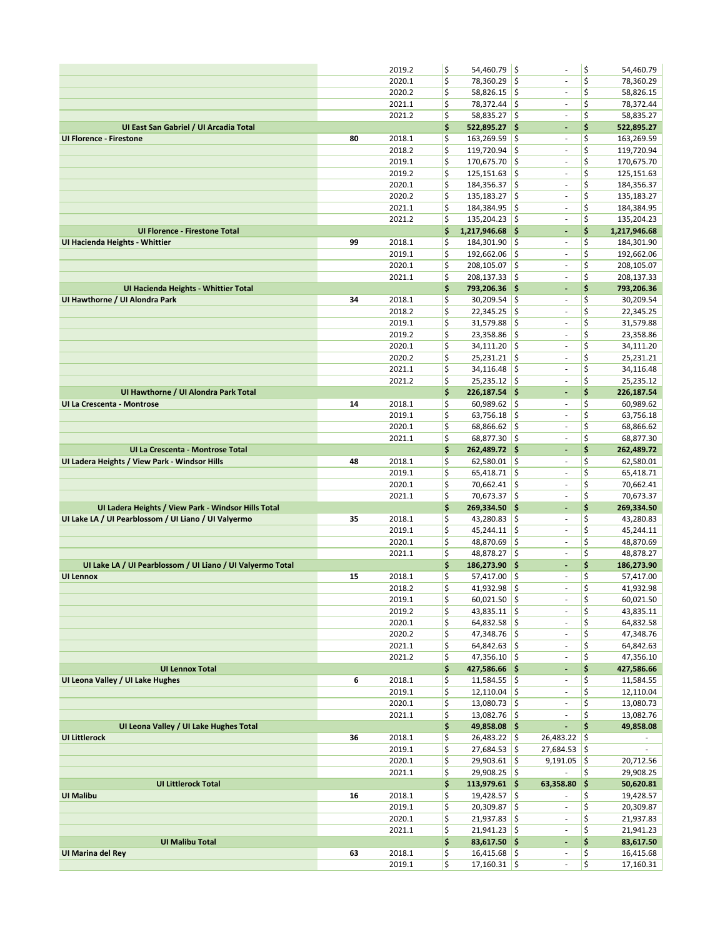|                                                            |    | 2019.2           | \$       | 54,460.79 \$                     |      |                                    | \$       | 54,460.79                |
|------------------------------------------------------------|----|------------------|----------|----------------------------------|------|------------------------------------|----------|--------------------------|
|                                                            |    | 2020.1           | \$       | 78,360.29                        | ١\$  | $\overline{\phantom{a}}$           | \$       | 78,360.29                |
|                                                            |    | 2020.2           | \$       | $58,826.15$ \$                   |      | $\sim$                             | \$       | 58,826.15                |
|                                                            |    | 2021.1           | \$       | 78,372.44                        | ¦\$  | ÷                                  | \$       | 78,372.44                |
|                                                            |    | 2021.2           | \$       | 58,835.27 \$                     |      | $\overline{\phantom{a}}$           | \$       | 58,835.27                |
| UI East San Gabriel / UI Arcadia Total                     |    |                  | \$       | 522,895.27 \$                    |      | $\blacksquare$                     | \$       | 522,895.27               |
| <b>UI Florence - Firestone</b>                             | 80 | 2018.1<br>2018.2 | \$       | 163,269.59                       | ١\$  | ä,                                 | \$<br>\$ | 163,269.59               |
|                                                            |    | 2019.1           | \$<br>\$ | 119,720.94<br>170,675.70 \$      | ¦\$  | $\overline{\phantom{a}}$<br>ä,     | \$       | 119,720.94<br>170,675.70 |
|                                                            |    | 2019.2           | \$       | 125,151.63                       | ¦\$  | $\overline{\phantom{a}}$           | \$       | 125,151.63               |
|                                                            |    | 2020.1           | \$       | 184,356.37 \$                    |      | $\overline{\phantom{a}}$           | \$       | 184,356.37               |
|                                                            |    | 2020.2           | \$       | 135,183.27                       | \$   | ä,                                 | \$       | 135,183.27               |
|                                                            |    | 2021.1           | \$       | 184,384.95                       | ¦\$  | $\sim$                             | \$       | 184,384.95               |
|                                                            |    | 2021.2           | \$       | $135,204.23$ \$                  |      | $\overline{\phantom{a}}$           | \$       | 135,204.23               |
| <b>UI Florence - Firestone Total</b>                       |    |                  | \$       | 1,217,946.68 \$                  |      | $\blacksquare$                     | \$       | 1,217,946.68             |
| UI Hacienda Heights - Whittier                             | 99 | 2018.1           | \$       | 184,301.90                       | ١\$  | $\overline{\phantom{a}}$           | \$       | 184,301.90               |
|                                                            |    | 2019.1           | \$       | 192,662.06 \$                    |      | $\overline{\phantom{a}}$           | \$       | 192,662.06               |
|                                                            |    | 2020.1           | \$       | 208,105.07 \$                    |      | $\sim$                             | \$       | 208,105.07               |
|                                                            |    | 2021.1           | \$       | 208,137.33 \$                    |      | $\overline{\phantom{a}}$           | \$       | 208,137.33               |
| UI Hacienda Heights - Whittier Total                       |    |                  | \$       | 793,206.36 \$                    |      | ÷,                                 | \$       | 793,206.36               |
| UI Hawthorne / UI Alondra Park                             | 34 | 2018.1           | \$       | $30,209.54$ \$                   |      | $\overline{\phantom{a}}$           | \$       | 30,209.54                |
|                                                            |    | 2018.2           | \$       | 22,345.25                        | \$ ا | $\bar{\phantom{a}}$                | \$       | 22,345.25                |
|                                                            |    | 2019.1           | \$       | 31,579.88                        | ¦\$  | ä,                                 | \$       | 31,579.88                |
|                                                            |    | 2019.2           | \$       | 23,358.86<br>$34,111.20$ \$      | l\$  | $\overline{\phantom{a}}$<br>÷,     | \$<br>\$ | 23,358.86                |
|                                                            |    | 2020.1<br>2020.2 | \$<br>\$ | $25,231.21$ \$                   |      | $\overline{\phantom{a}}$           | \$       | 34,111.20<br>25,231.21   |
|                                                            |    | 2021.1           | \$       | 34,116.48                        | ۱\$  | $\overline{\phantom{a}}$           | \$       | 34,116.48                |
|                                                            |    | 2021.2           | \$       | $25,235.12$ \$                   |      | ÷                                  | \$       | 25,235.12                |
| UI Hawthorne / UI Alondra Park Total                       |    |                  | \$       | 226,187.54 \$                    |      | ٠                                  | \$       | 226,187.54               |
| UI La Crescenta - Montrose                                 | 14 | 2018.1           | \$       | $60,989.62$ \$                   |      | $\sim$                             | \$       | 60,989.62                |
|                                                            |    | 2019.1           | \$       | 63,756.18                        | ¦\$  | $\overline{\phantom{a}}$           | \$       | 63,756.18                |
|                                                            |    | 2020.1           | \$       | $68,866.62$ \$                   |      | $\overline{\phantom{a}}$           | \$       | 68,866.62                |
|                                                            |    | 2021.1           | \$       | 68,877.30 \$                     |      | ÷,                                 | \$       | 68,877.30                |
| UI La Crescenta - Montrose Total                           |    |                  | \$       | 262,489.72 \$                    |      | ٠                                  | \$       | 262,489.72               |
| UI Ladera Heights / View Park - Windsor Hills              | 48 | 2018.1           | \$       | $62,580.01$ \$                   |      | $\overline{\phantom{a}}$           | \$       | 62,580.01                |
|                                                            |    | 2019.1           | \$       | 65,418.71                        | ¦\$  | ÷                                  | \$       | 65,418.71                |
|                                                            |    | 2020.1           | \$       | $70,662.41$ \$                   |      | $\overline{\phantom{a}}$           | \$       | 70,662.41                |
|                                                            |    | 2021.1           | \$       | 70,673.37 \$                     |      | ä,                                 | \$       | 70,673.37                |
| UI Ladera Heights / View Park - Windsor Hills Total        |    |                  | \$       | 269,334.50 \$                    |      | ÷,                                 | \$       | 269,334.50               |
| UI Lake LA / UI Pearblossom / UI Liano / UI Valyermo       | 35 | 2018.1<br>2019.1 | \$<br>\$ | 43,280.83 \$                     |      | $\sim$<br>ä,                       | \$<br>\$ | 43,280.83                |
|                                                            |    | 2020.1           | \$       | $45,244.11$ \$<br>48,870.69      | ¦\$  | $\overline{\phantom{a}}$           | \$       | 45,244.11<br>48,870.69   |
|                                                            |    | 2021.1           | \$       | 48,878.27 \$                     |      | $\overline{\phantom{a}}$           | \$       | 48,878.27                |
| UI Lake LA / UI Pearblossom / UI Liano / UI Valyermo Total |    |                  | \$       | 186,273.90 \$                    |      | ٠                                  | \$       | 186,273.90               |
| <b>UI Lennox</b>                                           | 15 | 2018.1           | \$       | 57,417.00 \$                     |      | $\overline{\phantom{a}}$           | \$       | 57,417.00                |
|                                                            |    | 2018.2           | \$       | $41,932.98$ \$                   |      | ä,                                 | \$       | 41,932.98                |
|                                                            |    | 2019.1           | \$       | $60,021.50$ \$                   |      | ä,                                 | \$       | 60,021.50                |
|                                                            |    | 2019.2           | \$       | 43,835.11 \$                     |      | ÷,                                 | \$       | 43,835.11                |
|                                                            |    | 2020.1           | \$       | $64,832.58$ \$                   |      | $\blacksquare$                     | \$       | 64,832.58                |
|                                                            |    | 2020.2           | \$       | 47,348.76 \$                     |      | $\overline{\phantom{a}}$           | \$       | 47,348.76                |
|                                                            |    | 2021.1           | \$       | $64,842.63$ \$                   |      | $\sim$                             | \$       | 64,842.63                |
|                                                            |    | 2021.2           | \$       | 47,356.10 \$                     |      | ÷                                  | \$       | 47,356.10                |
| <b>UI Lennox Total</b>                                     |    |                  | \$       | 427,586.66 \$                    |      | ۰                                  | \$       | 427,586.66               |
| UI Leona Valley / UI Lake Hughes                           | 6  | 2018.1<br>2019.1 | \$<br>\$ | $11,584.55$ \$<br>$12,110.04$ \$ |      | $\overline{\phantom{a}}$<br>$\sim$ | \$<br>\$ | 11,584.55<br>12,110.04   |
|                                                            |    | 2020.1           | \$       | $13,080.73$ \$                   |      | $\overline{\phantom{a}}$           | \$       | 13,080.73                |
|                                                            |    | 2021.1           | \$       | $13,082.76$ \$                   |      | $\overline{\phantom{a}}$           | \$       | 13,082.76                |
| UI Leona Valley / UI Lake Hughes Total                     |    |                  | \$       | 49,858.08 \$                     |      | ÷,                                 | \$       | 49,858.08                |
| <b>UI Littlerock</b>                                       | 36 | 2018.1           | \$       | $26,483.22$ \$                   |      | $26,483.22$ \$                     |          | $\overline{\phantom{a}}$ |
|                                                            |    | 2019.1           | \$       | $27,684.53$ \$                   |      | $27,684.53$ \$                     |          |                          |
|                                                            |    | 2020.1           | \$       | $29,903.61$ \$                   |      | $9,191.05$ \$                      |          | 20,712.56                |
|                                                            |    | 2021.1           | \$       | 29,908.25 \$                     |      |                                    | \$       | 29,908.25                |
| <b>UI Littlerock Total</b>                                 |    |                  | \$       | 113,979.61 \$                    |      | 63,358.80                          | \$       | 50,620.81                |
| <b>UI Malibu</b>                                           | 16 | 2018.1           | \$       | $19,428.57$ \$                   |      | $\blacksquare$                     | \$       | 19,428.57                |
|                                                            |    | 2019.1           | \$       | $20,309.87$ \$                   |      | $\overline{\phantom{a}}$           | \$       | 20,309.87                |
|                                                            |    | 2020.1           | \$       | $21,937.83$ \$                   |      | $\sim$                             | \$       | 21,937.83                |
|                                                            |    | 2021.1           | \$       | $21,941.23$ \$                   |      | $\overline{\phantom{a}}$           | \$       | 21,941.23                |
| <b>UI Malibu Total</b><br>UI Marina del Rey                | 63 | 2018.1           | \$<br>\$ | 83,617.50 \$<br>$16,415.68$ \$   |      | ÷,<br>$\blacksquare$               | \$<br>\$ | 83,617.50<br>16,415.68   |
|                                                            |    | 2019.1           | \$       | $17,160.31$ \$                   |      |                                    | \$       | 17,160.31                |
|                                                            |    |                  |          |                                  |      |                                    |          |                          |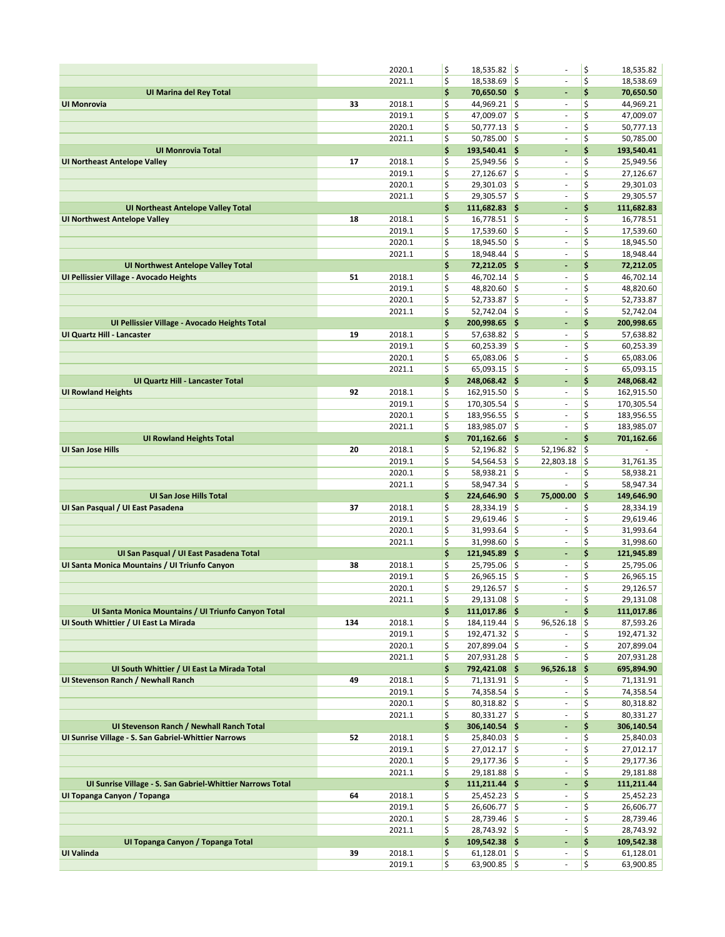|                                                            |     | 2020.1           | \$       | $18,535.82$ \$                   |                    | $\sim$                      | \$       | 18,535.82              |
|------------------------------------------------------------|-----|------------------|----------|----------------------------------|--------------------|-----------------------------|----------|------------------------|
|                                                            |     | 2021.1           | \$       | $18,538.69$ \$                   |                    | ä,                          | \$       | 18,538.69              |
| <b>UI Marina del Rey Total</b>                             |     |                  | \$       | $70,650.50$ \$                   |                    | ٠                           | \$       | 70,650.50              |
| <b>UI Monrovia</b>                                         | 33  | 2018.1           | \$       | $44,969.21$ \$                   |                    | ÷,                          | \$       | 44,969.21              |
|                                                            |     | 2019.1           | \$       | 47,009.07                        | ∣\$                | $\overline{\phantom{a}}$    | \$       | 47,009.07              |
|                                                            |     | 2020.1           | \$       | $50,777.13$ \$                   |                    | $\overline{\phantom{a}}$    | \$       | 50,777.13              |
|                                                            |     | 2021.1           | \$       | 50,785.00                        | ۱\$                | ÷,                          | \$       | 50,785.00              |
| <b>UI Monrovia Total</b>                                   |     |                  | \$       | 193,540.41 \$                    |                    | $\overline{\phantom{a}}$    | \$       | 193,540.41             |
| <b>UI Northeast Antelope Valley</b>                        | 17  | 2018.1           | \$       | $25,949.56$ \$                   |                    | ÷                           | \$       | 25,949.56              |
|                                                            |     | 2019.1           | \$       | 27,126.67                        | ∣\$                | $\overline{\phantom{a}}$    | \$       | 27,126.67              |
|                                                            |     | 2020.1           | \$       | $29,301.03$ \$                   |                    | $\overline{\phantom{a}}$    | \$       | 29,301.03              |
|                                                            |     | 2021.1           | \$       | $29,305.57$ \$                   |                    | ä,                          | \$       | 29,305.57              |
| <b>UI Northeast Antelope Valley Total</b>                  |     |                  | \$       | $111,682.83$ \$                  |                    | $\overline{\phantom{a}}$    | \$       | 111,682.83             |
| <b>UI Northwest Antelope Valley</b>                        | 18  | 2018.1           | \$       | $16,778.51$ \$                   |                    | $\overline{\phantom{a}}$    | \$       | 16,778.51              |
|                                                            |     | 2019.1           | \$       | 17,539.60                        | ¦\$                | ä,                          | \$       | 17,539.60              |
|                                                            |     | 2020.1           | \$       | 18,945.50                        | I\$                | $\overline{\phantom{a}}$    | \$       | 18,945.50              |
|                                                            |     | 2021.1           | \$       | 18,948.44                        | ۱\$                | ÷,                          | \$       | 18,948.44              |
| <b>UI Northwest Antelope Valley Total</b>                  |     |                  | \$       | 72,212.05 \$                     |                    | ÷,                          | \$       | 72,212.05              |
| UI Pellissier Village - Avocado Heights                    | 51  | 2018.1           | \$       | 46,702.14                        | ۱\$                | $\overline{\phantom{a}}$    | \$       | 46,702.14              |
|                                                            |     | 2019.1           | \$       | 48,820.60                        | \$                 | $\overline{\phantom{a}}$    | \$       | 48,820.60              |
|                                                            |     | 2020.1           | \$       | 52,733.87                        | ۱\$                | $\overline{\phantom{a}}$    | \$       | 52,733.87              |
|                                                            |     | 2021.1           | \$       | $52,742.04$ \$                   |                    | $\overline{\phantom{a}}$    | \$       | 52,742.04              |
| UI Pellissier Village - Avocado Heights Total              |     |                  | \$       | 200,998.65                       | ∥\$                | ÷,                          | \$       | 200,998.65             |
| <b>UI Quartz Hill - Lancaster</b>                          | 19  | 2018.1           | \$       | $57,638.82$ \$                   |                    | ÷,                          | \$       | 57,638.82              |
|                                                            |     | 2019.1           | \$       | $60,253.39$ \$                   |                    | ä,                          | \$       | 60,253.39              |
|                                                            |     | 2020.1           | \$       | 65,083.06                        | \$                 | $\overline{\phantom{a}}$    | \$       | 65,083.06              |
|                                                            |     | 2021.1           | \$       | $65,093.15$ \$                   |                    | $\overline{\phantom{a}}$    | \$       | 65,093.15              |
| <b>UI Quartz Hill - Lancaster Total</b>                    |     |                  | \$       | 248,068.42 \$                    |                    | ÷,                          | \$       | 248,068.42             |
| <b>UI Rowland Heights</b>                                  | 92  | 2018.1           | \$       | 162,915.50 \$                    |                    | $\overline{\phantom{a}}$    | \$       | 162,915.50             |
|                                                            |     | 2019.1           | \$       | $170,305.54$ \$                  |                    | $\overline{\phantom{a}}$    | \$       | 170,305.54             |
|                                                            |     | 2020.1           | \$       | 183,956.55                       | ۱\$                | ä,                          | \$       | 183,956.55             |
|                                                            |     | 2021.1           | \$       | 183,985.07 \$                    |                    | $\overline{\phantom{a}}$    | \$       | 183,985.07             |
| <b>UI Rowland Heights Total</b>                            |     |                  | \$       | 701,162.66 \$                    |                    | ÷.                          | \$       | 701,162.66             |
| <b>UI San Jose Hills</b>                                   | 20  | 2018.1           | \$       | 52,196.82                        | ١\$                | 52,196.82                   | \$       |                        |
|                                                            |     |                  |          |                                  |                    |                             |          |                        |
|                                                            |     | 2019.1           | \$       | 54,564.53                        | ¦\$                | 22,803.18                   | \$       | 31,761.35              |
|                                                            |     | 2020.1           | \$       | 58,938.21                        | $\ddot{\varsigma}$ | ä,                          | \$       | 58,938.21              |
|                                                            |     | 2021.1           | \$       | 58,947.34 \$                     |                    |                             | \$       | 58,947.34              |
| <b>UI San Jose Hills Total</b>                             |     |                  | \$       | 224,646.90 \$                    |                    | 75,000.00                   | \$       | 149,646.90             |
| UI San Pasqual / UI East Pasadena                          | 37  | 2018.1           | \$       | 28,334.19                        | ∣\$                |                             | \$       | 28,334.19              |
|                                                            |     | 2019.1           | \$       | 29,619.46                        | \$                 | $\overline{\phantom{a}}$    | \$       | 29,619.46              |
|                                                            |     | 2020.1           | \$       | 31,993.64                        | \$                 | $\overline{\phantom{a}}$    | \$       | 31,993.64              |
|                                                            |     | 2021.1           | \$       | 31,998.60                        | ∣\$                | $\blacksquare$              | \$       | 31,998.60              |
| UI San Pasqual / UI East Pasadena Total                    |     |                  | \$       | 121,945.89 \$                    |                    | $\blacksquare$              | \$       | 121,945.89             |
| Ul Santa Monica Mountains / Ul Triunfo Canyon              | 38  | 2018.1           | \$       | $25,795.06$ \$                   |                    | ٠                           | \$       | 25,795.06              |
|                                                            |     | 2019.1           | \$       | 26,965.15                        | ۱\$                | $\sim$                      | \$       | 26,965.15              |
|                                                            |     | 2020.1           | \$       | 29,126.57                        | ۱\$                | ä,                          | \$       | 29,126.57              |
|                                                            |     | 2021.1           | \$       | $29,131.08$ \$                   |                    | $\overline{\phantom{a}}$    | \$       | 29,131.08              |
| Ul Santa Monica Mountains / Ul Triunfo Canyon Total        |     |                  | \$       | 111,017.86 \$                    |                    | ۰                           | \$       | 111,017.86             |
| UI South Whittier / UI East La Mirada                      | 134 | 2018.1           | \$       | $184, 119.44$ \$                 |                    | $96,526.18$ \$              |          | 87,593.26              |
|                                                            |     | 2019.1           | \$       | $192,471.32$ \$                  |                    | $\sim$                      | \$       | 192,471.32             |
|                                                            |     | 2020.1           | \$       | 207,899.04 \$                    |                    | $\sim$                      | \$       | 207,899.04             |
|                                                            |     | 2021.1           | \$       | $207,931.28$ \$                  |                    | ÷,                          | \$       | 207,931.28             |
| UI South Whittier / UI East La Mirada Total                |     |                  | \$       | 792,421.08 \$                    |                    | 96,526.18<br>$\blacksquare$ | - 1\$    | 695,894.90             |
| UI Stevenson Ranch / Newhall Ranch                         | 49  | 2018.1           | \$       | $71,131.91$ \$                   |                    | $\overline{\phantom{a}}$    | \$       | 71,131.91              |
|                                                            |     | 2019.1           | \$       | 74,358.54 \$                     |                    | $\blacksquare$              | \$       | 74,358.54<br>80,318.82 |
|                                                            |     | 2020.1<br>2021.1 | \$<br>\$ | $80,318.82$ \$<br>$80,331.27$ \$ |                    | $\sim$                      | \$<br>\$ | 80,331.27              |
| UI Stevenson Ranch / Newhall Ranch Total                   |     |                  | \$       | 306,140.54 \$                    |                    | $\overline{\phantom{a}}$    | \$       | 306,140.54             |
| UI Sunrise Village - S. San Gabriel-Whittier Narrows       | 52  | 2018.1           | \$       | $25,840.03$ \$                   |                    | ÷,                          | \$       | 25,840.03              |
|                                                            |     | 2019.1           | \$       | $27,012.17$ \$                   |                    | ÷,                          | \$       | 27,012.17              |
|                                                            |     | 2020.1           | \$       | $29,177.36$ \$                   |                    | $\overline{\phantom{a}}$    | \$       | 29,177.36              |
|                                                            |     | 2021.1           | \$       | $29,181.88$ \$                   |                    | ÷,                          | \$       | 29,181.88              |
| UI Sunrise Village - S. San Gabriel-Whittier Narrows Total |     |                  | \$       | $111,211.44$ \$                  |                    | ÷                           | \$       | 111,211.44             |
| UI Topanga Canyon / Topanga                                | 64  | 2018.1           | \$       | $25,452.23$ \$                   |                    | $\overline{\phantom{a}}$    | \$       | 25,452.23              |
|                                                            |     | 2019.1           | \$       | $26,606.77$ \$                   |                    | $\blacksquare$              | \$       | 26,606.77              |
|                                                            |     | 2020.1           | \$       | $28,739.46$ \$                   |                    | $\overline{\phantom{a}}$    | \$       | 28,739.46              |
|                                                            |     | 2021.1           | \$       | $28,743.92$ \$                   |                    | $\overline{\phantom{a}}$    | \$       | 28,743.92              |
| UI Topanga Canyon / Topanga Total                          |     |                  | \$       | $109,542.38$ \$                  |                    | ÷                           | \$       | 109,542.38             |
| UI Valinda                                                 | 39  | 2018.1<br>2019.1 | \$<br>\$ | $61,128.01$ \$                   |                    | ÷                           | \$<br>\$ | 61,128.01              |